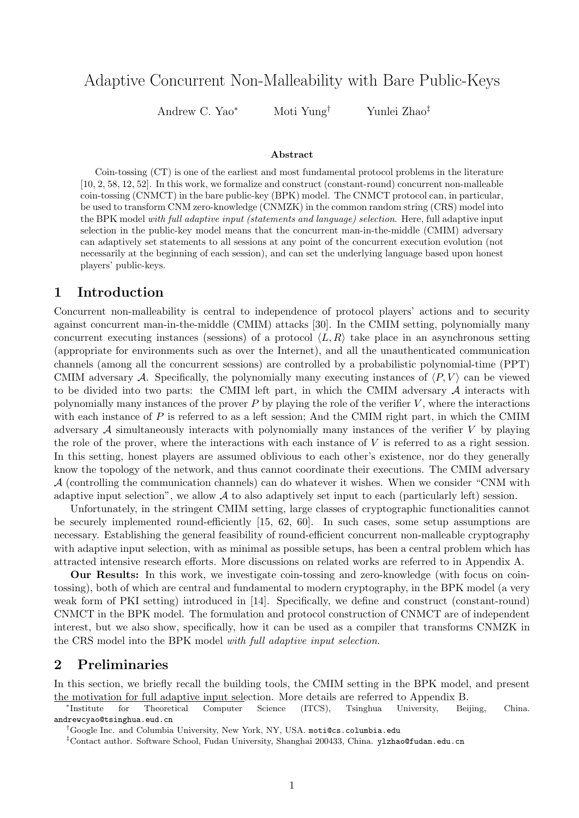# Adaptive Concurrent Non-Malleability with Bare Public-Keys

Andrew C. Yao*<sup>∗</sup>* Moti Yung*†* Yunlei Zhao*‡*

### **Abstract**

Coin-tossing (CT) is one of the earliest and most fundamental protocol problems in the literature [10, 2, 58, 12, 52]. In this work, we formalize and construct (constant-round) concurrent non-malleable coin-tossing (CNMCT) in the bare public-key (BPK) model. The CNMCT protocol can, in particular, be used to transform CNM zero-knowledge (CNMZK) in the common random string (CRS) model into the BPK model *with full adaptive input (statements and language) selection*. Here, full adaptive input selection in the public-key model means that the concurrent man-in-the-middle (CMIM) adversary can adaptively set statements to all sessions at any point of the concurrent execution evolution (not necessarily at the beginning of each session), and can set the underlying language based upon honest players' public-keys.

### **1 Introduction**

Concurrent non-malleability is central to independence of protocol players' actions and to security against concurrent man-in-the-middle (CMIM) attacks [30]. In the CMIM setting, polynomially many concurrent executing instances (sessions) of a protocol  $\langle L, R \rangle$  take place in an asynchronous setting (appropriate for environments such as over the Internet), and all the unauthenticated communication channels (among all the concurrent sessions) are controlled by a probabilistic polynomial-time (PPT) CMIM adversary A. Specifically, the polynomially many executing instances of  $\langle P, V \rangle$  can be viewed to be divided into two parts: the CMIM left part, in which the CMIM adversary *A* interacts with polynomially many instances of the prover *P* by playing the role of the verifier *V* , where the interactions with each instance of P is referred to as a left session; And the CMIM right part, in which the CMIM adversary *A* simultaneously interacts with polynomially many instances of the verifier *V* by playing the role of the prover, where the interactions with each instance of *V* is referred to as a right session. In this setting, honest players are assumed oblivious to each other's existence, nor do they generally know the topology of the network, and thus cannot coordinate their executions. The CMIM adversary *A* (controlling the communication channels) can do whatever it wishes. When we consider "CNM with adaptive input selection", we allow *A* to also adaptively set input to each (particularly left) session.

Unfortunately, in the stringent CMIM setting, large classes of cryptographic functionalities cannot be securely implemented round-efficiently [15, 62, 60]. In such cases, some setup assumptions are necessary. Establishing the general feasibility of round-efficient concurrent non-malleable cryptography with adaptive input selection, with as minimal as possible setups, has been a central problem which has attracted intensive research efforts. More discussions on related works are referred to in Appendix A.

**Our Results:** In this work, we investigate coin-tossing and zero-knowledge (with focus on cointossing), both of which are central and fundamental to modern cryptography, in the BPK model (a very weak form of PKI setting) introduced in [14]. Specifically, we define and construct (constant-round) CNMCT in the BPK model. The formulation and protocol construction of CNMCT are of independent interest, but we also show, specifically, how it can be used as a compiler that transforms CNMZK in the CRS model into the BPK model *with full adaptive input selection*.

## **2 Preliminaries**

In this section, we briefly recall the building tools, the CMIM setting in the BPK model, and present the motivation for full adaptive input selection. More details are referred to Appendix B.

*∗* for Theoretical Computer Science (ITCS), Tsinghua University, Beijing, China. andrewcyao@tsinghua.eud.cn

*†*Google Inc. and Columbia University, New York, NY, USA. moti@cs.columbia.edu

*‡*Contact author. Software School, Fudan University, Shanghai 200433, China. ylzhao@fudan.edu.cn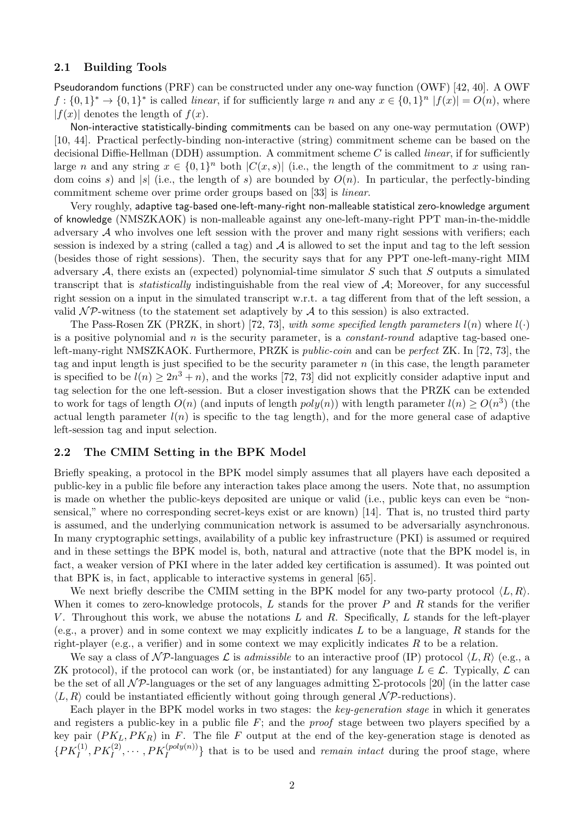### **2.1 Building Tools**

Pseudorandom functions (PRF) can be constructed under any one-way function (OWF) [42, 40]. A OWF  $f: \{0,1\}^* \to \{0,1\}^*$  is called *linear*, if for sufficiently large *n* and any  $x \in \{0,1\}^n |f(x)| = O(n)$ , where  $|f(x)|$  denotes the length of  $f(x)$ .

Non-interactive statistically-binding commitments can be based on any one-way permutation (OWP) [10, 44]. Practical perfectly-binding non-interactive (string) commitment scheme can be based on the decisional Diffie-Hellman (DDH) assumption. A commitment scheme *C* is called *linear*, if for sufficiently large *n* and any string  $x \in \{0,1\}^n$  both  $|C(x, s)|$  (i.e., the length of the commitment to *x* using random coins *s*) and |*s*| (i.e., the length of *s*) are bounded by  $O(n)$ . In particular, the perfectly-binding commitment scheme over prime order groups based on [33] is *linear*.

Very roughly, adaptive tag-based one-left-many-right non-malleable statistical zero-knowledge argument of knowledge (NMSZKAOK) is non-malleable against any one-left-many-right PPT man-in-the-middle adversary *A* who involves one left session with the prover and many right sessions with verifiers; each session is indexed by a string (called a tag) and *A* is allowed to set the input and tag to the left session (besides those of right sessions). Then, the security says that for any PPT one-left-many-right MIM adversary *A*, there exists an (expected) polynomial-time simulator *S* such that *S* outputs a simulated transcript that is *statistically* indistinguishable from the real view of *A*; Moreover, for any successful right session on a input in the simulated transcript w.r.t. a tag different from that of the left session, a valid  $\mathcal{NP}$ -witness (to the statement set adaptively by  $\mathcal A$  to this session) is also extracted.

The Pass-Rosen ZK (PRZK, in short) [72, 73], *with some specified length parameters*  $l(n)$  where  $l(\cdot)$ is a positive polynomial and *n* is the security parameter, is a *constant-round* adaptive tag-based oneleft-many-right NMSZKAOK. Furthermore, PRZK is *public-coin* and can be *perfect* ZK. In [72, 73], the tag and input length is just specified to be the security parameter *n* (in this case, the length parameter is specified to be  $l(n) \geq 2n^3 + n$ , and the works [72, 73] did not explicitly consider adaptive input and tag selection for the one left-session. But a closer investigation shows that the PRZK can be extended to work for tags of length  $O(n)$  (and inputs of length  $poly(n)$ ) with length parameter  $l(n) \geq O(n^3)$  (the actual length parameter  $l(n)$  is specific to the tag length), and for the more general case of adaptive left-session tag and input selection.

### **2.2 The CMIM Setting in the BPK Model**

Briefly speaking, a protocol in the BPK model simply assumes that all players have each deposited a public-key in a public file before any interaction takes place among the users. Note that, no assumption is made on whether the public-keys deposited are unique or valid (i.e., public keys can even be "nonsensical," where no corresponding secret-keys exist or are known) [14]. That is, no trusted third party is assumed, and the underlying communication network is assumed to be adversarially asynchronous. In many cryptographic settings, availability of a public key infrastructure (PKI) is assumed or required and in these settings the BPK model is, both, natural and attractive (note that the BPK model is, in fact, a weaker version of PKI where in the later added key certification is assumed). It was pointed out that BPK is, in fact, applicable to interactive systems in general [65].

We next briefly describe the CMIM setting in the BPK model for any two-party protocol *⟨L, R⟩*. When it comes to zero-knowledge protocols, *L* stands for the prover *P* and *R* stands for the verifier *V*. Throughout this work, we abuse the notations *L* and *R*. Specifically, *L* stands for the left-player (e.g., a prover) and in some context we may explicitly indicates *L* to be a language, *R* stands for the right-player (e.g., a verifier) and in some context we may explicitly indicates *R* to be a relation.

We say a class of  $\mathcal{NP}$ -languages  $\mathcal{L}$  is *admissible* to an interactive proof (IP) protocol  $\langle L, R \rangle$  (e.g., a ZK protocol), if the protocol can work (or, be instantiated) for any language  $L \in \mathcal{L}$ . Typically,  $\mathcal{L}$  can be the set of all *N P*-languages or the set of any languages admitting Σ-protocols [20] (in the latter case *⟨L, R⟩* could be instantiated efficiently without going through general *N P*-reductions).

Each player in the BPK model works in two stages: the *key-generation stage* in which it generates and registers a public-key in a public file *F*; and the *proof* stage between two players specified by a key pair  $(PK_L, PK_R)$  in *F*. The file *F* output at the end of the key-generation stage is denoted as  $\{PK_I^{(1)}, PK_I^{(2)}, \cdots, PK_I^{(poly(n))}\}\$  that is to be used and *remain intact* during the proof stage, where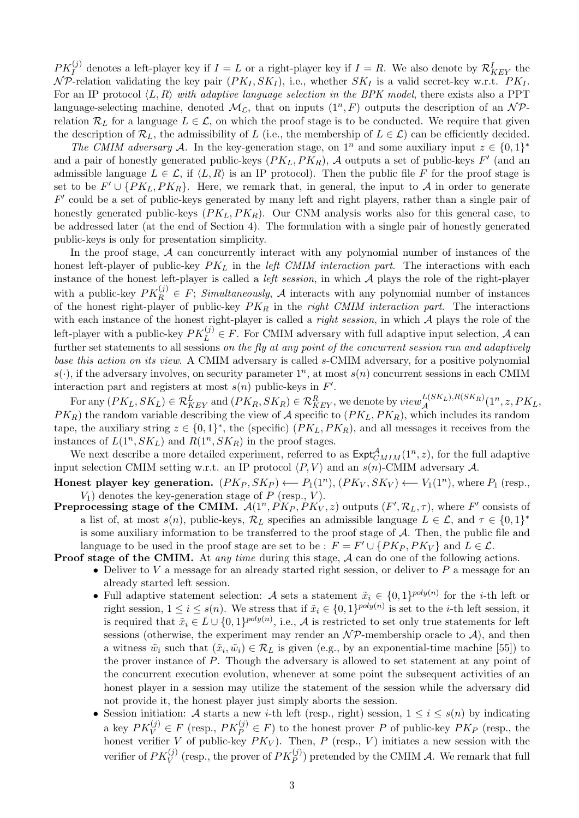$PK_I^{(j)}$  denotes a left-player key if  $I = L$  or a right-player key if  $I = R$ . We also denote by  $\mathcal{R}_{KEY}^I$  the  $N$ *P*-relation validating the key pair  $(PK_I, SK_I)$ , i.e., whether  $SK_I$  is a valid secret-key w.r.t.  $PK_I$ . For an IP protocol *⟨L, R⟩ with adaptive language selection in the BPK model*, there exists also a PPT language-selecting machine, denoted  $\mathcal{M}_{\mathcal{L}}$ , that on inputs  $(1^n, F)$  outputs the description of an  $\mathcal{NP}$ relation  $\mathcal{R}_L$  for a language  $L \in \mathcal{L}$ , on which the proof stage is to be conducted. We require that given the description of  $\mathcal{R}_L$ , the admissibility of *L* (i.e., the membership of  $L \in \mathcal{L}$ ) can be efficiently decided.

*The CMIM adversary A*. In the key-generation stage, on  $1^n$  and some auxiliary input  $z \in \{0,1\}^*$ and a pair of honestly generated public-keys (*PKL, PKR*), *A* outputs a set of public-keys *F ′* (and an admissible language  $L \in \mathcal{L}$ , if  $\langle L, R \rangle$  is an IP protocol). Then the public file *F* for the proof stage is set to be  $F' \cup \{PK_L, PK_R\}$ . Here, we remark that, in general, the input to  $A$  in order to generate *F ′* could be a set of public-keys generated by many left and right players, rather than a single pair of honestly generated public-keys (*PKL, PKR*). Our CNM analysis works also for this general case, to be addressed later (at the end of Section 4). The formulation with a single pair of honestly generated public-keys is only for presentation simplicity.

In the proof stage, A can concurrently interact with any polynomial number of instances of the honest left-player of public-key *PK<sup>L</sup>* in the *left CMIM interaction part*. The interactions with each instance of the honest left-player is called a *left session*, in which *A* plays the role of the right-player with a public-key  $PK_R^{(j)} \in F$ ; *Simultaneously*, *A* interacts with any polynomial number of instances of the honest right-player of public-key *PK<sup>R</sup>* in the *right CMIM interaction part*. The interactions with each instance of the honest right-player is called a *right session*, in which *A* plays the role of the left-player with a public-key  $PK_L^{(j)} \in F$ . For CMIM adversary with full adaptive input selection, *A* can further set statements to all sessions *on the fly at any point of the concurrent session run and adaptively base this action on its view*. A CMIM adversary is called *s*-CMIM adversary, for a positive polynomial  $s(\cdot)$ , if the adversary involves, on security parameter  $1^n$ , at most  $s(n)$  concurrent sessions in each CMIM interaction part and registers at most  $s(n)$  public-keys in  $F'$ .

For any  $(PK_L, SK_L) \in \mathcal{R}_{KEY}^L$  and  $(PK_R, SK_R) \in \mathcal{R}_{KEY}^R$ , we denote by  $view_{\mathcal{A}}^{L(SK_L), R(SK_R)}(1^n, z, PK_L, z)$ *PKR*) the random variable describing the view of *A* specific to (*PKL, PKR*), which includes its random tape, the auxiliary string  $z \in \{0,1\}^*$ , the (specific)  $(PK_L, PK_R)$ , and all messages it receives from the instances of  $L(1^n, SK_L)$  and  $R(1^n, SK_R)$  in the proof stages.

We next describe a more detailed experiment, referred to as  $\text{Expt}_{CMIM}^{\mathcal{A}}(1^n, z)$ , for the full adaptive input selection CMIM setting w.r.t. an IP protocol  $\langle P, V \rangle$  and an  $s(n)$ -CMIM adversary A.

**Honest player key generation.**  $(PK_P, SK_P) \leftarrow P_1(1^n), (PK_V, SK_V) \leftarrow V_1(1^n),$  where  $P_1$  (resp., *V*1) denotes the key-generation stage of *P* (resp., *V* ).

**Preprocessing stage of the CMIM.**  $\mathcal{A}(1^n, PK_P, PK_V, z)$  outputs  $(F', \mathcal{R}_L, \tau)$ , where  $F'$  consists of a list of, at most  $s(n)$ , public-keys,  $\mathcal{R}_L$  specifies an admissible language  $L \in \mathcal{L}$ , and  $\tau \in \{0,1\}^*$ is some auxiliary information to be transferred to the proof stage of *A*. Then, the public file and language to be used in the proof stage are set to be :  $F = F' \cup \{PK_P, PK_V\}$  and  $L \in \mathcal{L}$ .

**Proof stage of the CMIM.** At *any time* during this stage, *A* can do one of the following actions.

- *•* Deliver to *V* a message for an already started right session, or deliver to *P* a message for an already started left session.
- Full adaptive statement selection: *A* sets a statement  $\tilde{x}_i \in \{0,1\}^{poly(n)}$  for the *i*-th left or right session,  $1 \leq i \leq s(n)$ . We stress that if  $\tilde{x}_i \in \{0,1\}^{poly(n)}$  is set to the *i*-th left session, it is required that  $\tilde{x}_i \in L \cup \{0,1\}^{poly(n)}$ , i.e., *A* is restricted to set only true statements for left sessions (otherwise, the experiment may render an  $N\mathcal{P}$ -membership oracle to  $\mathcal{A}$ ), and then a witness  $\tilde{w}_i$  such that  $(\tilde{x}_i, \tilde{w}_i) \in \mathcal{R}_L$  is given (e.g., by an exponential-time machine [55]) to the prover instance of *P*. Though the adversary is allowed to set statement at any point of the concurrent execution evolution, whenever at some point the subsequent activities of an honest player in a session may utilize the statement of the session while the adversary did not provide it, the honest player just simply aborts the session.
- Session initiation: *A* starts a new *i*-th left (resp., right) session,  $1 \leq i \leq s(n)$  by indicating a key  $PK_V^{(j)} \in F$  (resp.,  $PK_P^{(j)} \in F$ ) to the honest prover *P* of public-key  $PK_P$  (resp., the honest verifier *V* of public-key  $PK_V$ ). Then, *P* (resp., *V*) initiates a new session with the verifier of  $PK_V^{(j)}$  (resp., the prover of  $PK_P^{(j)}$ ) pretended by the CMIM *A*. We remark that full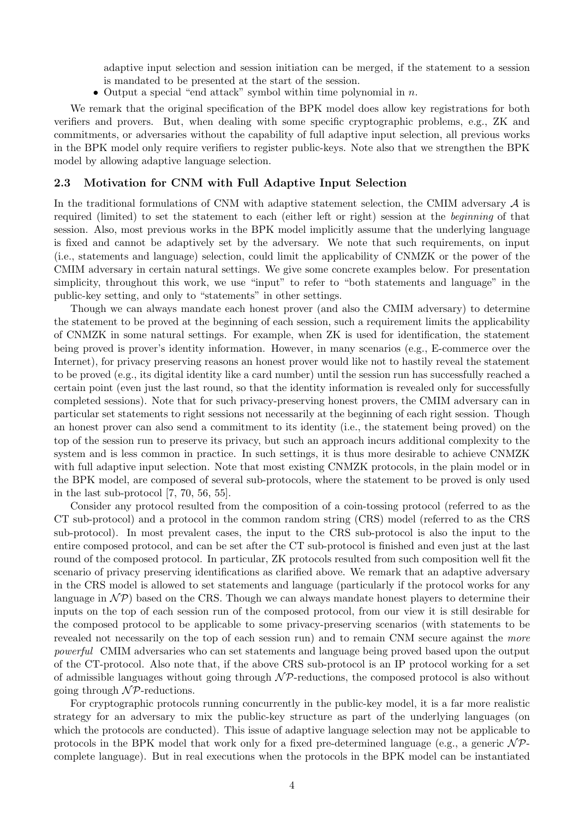adaptive input selection and session initiation can be merged, if the statement to a session is mandated to be presented at the start of the session.

*•* Output a special "end attack" symbol within time polynomial in *n*.

We remark that the original specification of the BPK model does allow key registrations for both verifiers and provers. But, when dealing with some specific cryptographic problems, e.g., ZK and commitments, or adversaries without the capability of full adaptive input selection, all previous works in the BPK model only require verifiers to register public-keys. Note also that we strengthen the BPK model by allowing adaptive language selection.

### **2.3 Motivation for CNM with Full Adaptive Input Selection**

In the traditional formulations of CNM with adaptive statement selection, the CMIM adversary *A* is required (limited) to set the statement to each (either left or right) session at the *beginning* of that session. Also, most previous works in the BPK model implicitly assume that the underlying language is fixed and cannot be adaptively set by the adversary. We note that such requirements, on input (i.e., statements and language) selection, could limit the applicability of CNMZK or the power of the CMIM adversary in certain natural settings. We give some concrete examples below. For presentation simplicity, throughout this work, we use "input" to refer to "both statements and language" in the public-key setting, and only to "statements" in other settings.

Though we can always mandate each honest prover (and also the CMIM adversary) to determine the statement to be proved at the beginning of each session, such a requirement limits the applicability of CNMZK in some natural settings. For example, when ZK is used for identification, the statement being proved is prover's identity information. However, in many scenarios (e.g., E-commerce over the Internet), for privacy preserving reasons an honest prover would like not to hastily reveal the statement to be proved (e.g., its digital identity like a card number) until the session run has successfully reached a certain point (even just the last round, so that the identity information is revealed only for successfully completed sessions). Note that for such privacy-preserving honest provers, the CMIM adversary can in particular set statements to right sessions not necessarily at the beginning of each right session. Though an honest prover can also send a commitment to its identity (i.e., the statement being proved) on the top of the session run to preserve its privacy, but such an approach incurs additional complexity to the system and is less common in practice. In such settings, it is thus more desirable to achieve CNMZK with full adaptive input selection. Note that most existing CNMZK protocols, in the plain model or in the BPK model, are composed of several sub-protocols, where the statement to be proved is only used in the last sub-protocol [7, 70, 56, 55].

Consider any protocol resulted from the composition of a coin-tossing protocol (referred to as the CT sub-protocol) and a protocol in the common random string (CRS) model (referred to as the CRS sub-protocol). In most prevalent cases, the input to the CRS sub-protocol is also the input to the entire composed protocol, and can be set after the CT sub-protocol is finished and even just at the last round of the composed protocol. In particular, ZK protocols resulted from such composition well fit the scenario of privacy preserving identifications as clarified above. We remark that an adaptive adversary in the CRS model is allowed to set statements and language (particularly if the protocol works for any language in  $\mathcal{N}P$ ) based on the CRS. Though we can always mandate honest players to determine their inputs on the top of each session run of the composed protocol, from our view it is still desirable for the composed protocol to be applicable to some privacy-preserving scenarios (with statements to be revealed not necessarily on the top of each session run) and to remain CNM secure against the *more powerful* CMIM adversaries who can set statements and language being proved based upon the output of the CT-protocol. Also note that, if the above CRS sub-protocol is an IP protocol working for a set of admissible languages without going through *N P*-reductions, the composed protocol is also without going through *N P*-reductions.

For cryptographic protocols running concurrently in the public-key model, it is a far more realistic strategy for an adversary to mix the public-key structure as part of the underlying languages (on which the protocols are conducted). This issue of adaptive language selection may not be applicable to protocols in the BPK model that work only for a fixed pre-determined language (e.g., a generic  $N\mathcal{P}$ complete language). But in real executions when the protocols in the BPK model can be instantiated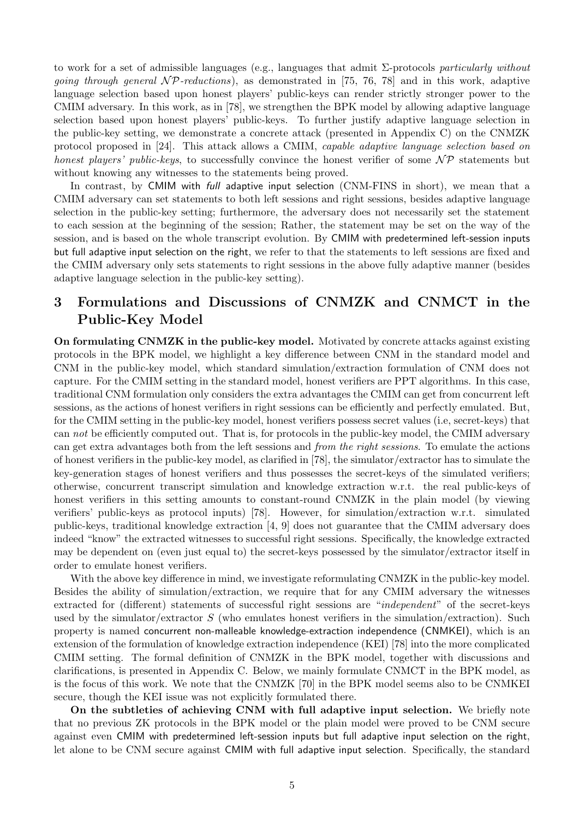to work for a set of admissible languages (e.g., languages that admit Σ-protocols *particularly without going through general N P-reductions*), as demonstrated in [75, 76, 78] and in this work, adaptive language selection based upon honest players' public-keys can render strictly stronger power to the CMIM adversary. In this work, as in [78], we strengthen the BPK model by allowing adaptive language selection based upon honest players' public-keys. To further justify adaptive language selection in the public-key setting, we demonstrate a concrete attack (presented in Appendix C) on the CNMZK protocol proposed in [24]. This attack allows a CMIM, *capable adaptive language selection based on honest players' public-keys*, to successfully convince the honest verifier of some  $\mathcal{NP}$  statements but without knowing any witnesses to the statements being proved.

In contrast, by CMIM with *full* adaptive input selection (CNM-FINS in short), we mean that a CMIM adversary can set statements to both left sessions and right sessions, besides adaptive language selection in the public-key setting; furthermore, the adversary does not necessarily set the statement to each session at the beginning of the session; Rather, the statement may be set on the way of the session, and is based on the whole transcript evolution. By CMIM with predetermined left-session inputs but full adaptive input selection on the right, we refer to that the statements to left sessions are fixed and the CMIM adversary only sets statements to right sessions in the above fully adaptive manner (besides adaptive language selection in the public-key setting).

# **3 Formulations and Discussions of CNMZK and CNMCT in the Public-Key Model**

**On formulating CNMZK in the public-key model.** Motivated by concrete attacks against existing protocols in the BPK model, we highlight a key difference between CNM in the standard model and CNM in the public-key model, which standard simulation/extraction formulation of CNM does not capture. For the CMIM setting in the standard model, honest verifiers are PPT algorithms. In this case, traditional CNM formulation only considers the extra advantages the CMIM can get from concurrent left sessions, as the actions of honest verifiers in right sessions can be efficiently and perfectly emulated. But, for the CMIM setting in the public-key model, honest verifiers possess secret values (i.e, secret-keys) that can *not* be efficiently computed out. That is, for protocols in the public-key model, the CMIM adversary can get extra advantages both from the left sessions and *from the right sessions*. To emulate the actions of honest verifiers in the public-key model, as clarified in [78], the simulator/extractor has to simulate the key-generation stages of honest verifiers and thus possesses the secret-keys of the simulated verifiers; otherwise, concurrent transcript simulation and knowledge extraction w.r.t. the real public-keys of honest verifiers in this setting amounts to constant-round CNMZK in the plain model (by viewing verifiers' public-keys as protocol inputs) [78]. However, for simulation/extraction w.r.t. simulated public-keys, traditional knowledge extraction [4, 9] does not guarantee that the CMIM adversary does indeed "know" the extracted witnesses to successful right sessions. Specifically, the knowledge extracted may be dependent on (even just equal to) the secret-keys possessed by the simulator/extractor itself in order to emulate honest verifiers.

With the above key difference in mind, we investigate reformulating CNMZK in the public-key model. Besides the ability of simulation/extraction, we require that for any CMIM adversary the witnesses extracted for (different) statements of successful right sessions are "*independent*" of the secret-keys used by the simulator/extractor *S* (who emulates honest verifiers in the simulation/extraction). Such property is named concurrent non-malleable knowledge-extraction independence (CNMKEI), which is an extension of the formulation of knowledge extraction independence (KEI) [78] into the more complicated CMIM setting. The formal definition of CNMZK in the BPK model, together with discussions and clarifications, is presented in Appendix C. Below, we mainly formulate CNMCT in the BPK model, as is the focus of this work. We note that the CNMZK [70] in the BPK model seems also to be CNMKEI secure, though the KEI issue was not explicitly formulated there.

**On the subtleties of achieving CNM with full adaptive input selection.** We briefly note that no previous ZK protocols in the BPK model or the plain model were proved to be CNM secure against even CMIM with predetermined left-session inputs but full adaptive input selection on the right, let alone to be CNM secure against CMIM with full adaptive input selection. Specifically, the standard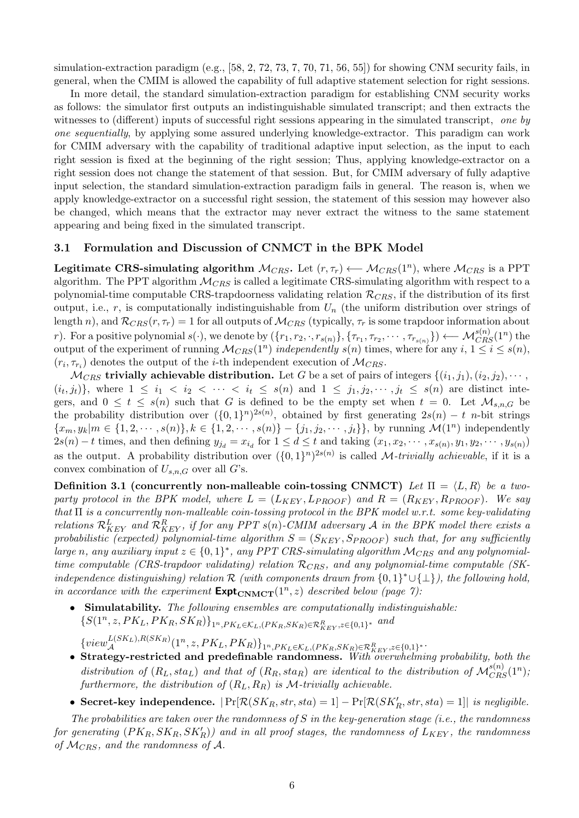simulation-extraction paradigm (e.g., [58, 2, 72, 73, 7, 70, 71, 56, 55]) for showing CNM security fails, in general, when the CMIM is allowed the capability of full adaptive statement selection for right sessions.

In more detail, the standard simulation-extraction paradigm for establishing CNM security works as follows: the simulator first outputs an indistinguishable simulated transcript; and then extracts the witnesses to (different) inputs of successful right sessions appearing in the simulated transcript, *one by one sequentially*, by applying some assured underlying knowledge-extractor. This paradigm can work for CMIM adversary with the capability of traditional adaptive input selection, as the input to each right session is fixed at the beginning of the right session; Thus, applying knowledge-extractor on a right session does not change the statement of that session. But, for CMIM adversary of fully adaptive input selection, the standard simulation-extraction paradigm fails in general. The reason is, when we apply knowledge-extractor on a successful right session, the statement of this session may however also be changed, which means that the extractor may never extract the witness to the same statement appearing and being fixed in the simulated transcript.

### **3.1 Formulation and Discussion of CNMCT in the BPK Model**

**Legitimate CRS-simulating algorithm**  $\mathcal{M}_{CRS}$ . Let  $(r, \tau_r) \leftarrow \mathcal{M}_{CRS}(1^n)$ , where  $\mathcal{M}_{CRS}$  is a PPT algorithm. The PPT algorithm  $\mathcal{M}_{CRS}$  is called a legitimate CRS-simulating algorithm with respect to a polynomial-time computable CRS-trapdoorness validating relation *RCRS*, if the distribution of its first output, i.e., *r*, is computationally indistinguishable from *U<sup>n</sup>* (the uniform distribution over strings of length *n*), and  $\mathcal{R}_{CRS}(r, \tau_r) = 1$  for all outputs of  $\mathcal{M}_{CRS}$  (typically,  $\tau_r$  is some trapdoor information about r). For a positive polynomial  $s(\cdot)$ , we denote by  $(\{r_1, r_2, \cdot, r_{s(n)}\}, \{\tau_{r_1}, \tau_{r_2}, \cdots, \tau_{r_{s(n)}}\}) \leftarrow \mathcal{M}_{CRS}^{s(n)}(1^n)$  the output of the experiment of running  $\mathcal{M}_{CRS}(1^n)$  *independently*  $s(n)$  times, where for any  $i, 1 \leq i \leq s(n)$ ,  $(r_i, \tau_{r_i})$  denotes the output of the *i*-th independent execution of  $\mathcal{M}_{CRS}$ .

*MCRS* **trivially achievable distribution.** Let *G* be a set of pairs of integers  $\{(i_1, j_1), (i_2, j_2), \cdots,$  $(i_t, j_t)$ , where  $1 \leq i_1 < i_2 < \cdots < i_t \leq s(n)$  and  $1 \leq j_1, j_2, \cdots, j_t \leq s(n)$  are distinct integers, and  $0 \le t \le s(n)$  such that *G* is defined to be the empty set when  $t = 0$ . Let  $\mathcal{M}_{s,n,G}$  be the probability distribution over  $({0,1})^n$ <sup>2*s*(*n*)</sup>, obtained by first generating 2*s*(*n*) – *t n*-bit strings  ${x_m, y_k | m \in \{1, 2, \cdots, s(n)\}, k \in \{1, 2, \cdots, s(n)\} - \{j_1, j_2, \cdots, j_t\}\}\,$  by running  $\mathcal{M}(1^n)$  independently  $2s(n) - t$  times, and then defining  $y_{j_d} = x_{i_d}$  for  $1 \le d \le t$  and taking  $(x_1, x_2, \dots, x_{s(n)}, y_1, y_2, \dots, y_{s(n)})$ as the output. A probability distribution over  $({0,1})^n$ <sup>2*s*(*n*)</sub> is called *M-trivially achievable*, if it is a</sup> convex combination of  $U_{s,n,G}$  over all *G*'s.

**Definition 3.1 (concurrently non-malleable coin-tossing CNMCT) Let**  $\Pi = \langle L, R \rangle$  **be a two***party protocol in the BPK model, where*  $L = (L_{KEY}, L_{PROOF})$  and  $R = (R_{KEY}, R_{PROOF})$ *. We say that* Π *is a concurrently non-malleable coin-tossing protocol in the BPK model w.r.t. some key-validating relations*  $\mathcal{R}_{KEY}^L$  *and*  $\mathcal{R}_{KEY}^R$ *, if for any PPT s*(*n*)*-CMIM adversary A in the BPK model there exists a probabilistic (expected) polynomial-time algorithm*  $S = (S_{KEY}, S_{PROOF})$  *such that, for any sufficiently large n*, any auxiliary input  $z \in \{0,1\}^*$ , any PPT CRS-simulating algorithm  $M_{CRS}$  and any polynomial*time computable (CRS-trapdoor validating) relation RCRS, and any polynomial-time computable (SKindependence distinguishing) relation*  $\mathcal{R}$  *(with components drawn from*  $\{0,1\}^* \cup \{\perp\}$ *), the following hold, in accordance with the experiment*  $\text{Expt}_{\text{CNMCT}}(1^n, z)$  *described below (page 7):* 

*•* **Simulatability.** *The following ensembles are computationally indistinguishable:*  $\{S(1^n, z, PK_L, PK_R, SK_R)\}_{1^n, PK_L \in \mathcal{K}_L, (PK_R, SK_R) \in \mathcal{R}_{KEY}^R, z \in \{0,1\}^*}$  and

 $\{view_{\mathcal{A}}^{L(SK_L),R(SK_R)}(1^n,z,PK_L,PK_R)\}_{1^n,PK_L \in \mathcal{K}_L, (PK_R, SK_R) \in \mathcal{R}_{KEY}^R, z \in \{0,1\}^*}$ 

- *•* **Strategy-restricted and predefinable randomness.** *With overwhelming probability, both the distribution of*  $(R_L, sta_L)$  *and that of*  $(R_R, sta_R)$  *are identical to the distribution of*  $\mathcal{M}_{CRS}^{s(n)}(1^n)$ *; furthermore, the distribution of* (*RL, RR*) *is M-trivially achievable.*
- **Secret-key independence.**  $|\Pr[\mathcal{R}(SK_R, str, sta) = 1] \Pr[\mathcal{R}(SK'_R, str, sta) = 1]|$  *is negligible.*

*The probabilities are taken over the randomness of S in the key-generation stage (i.e., the randomness for generating*  $(PK_R, SK_R, SK'_R)$ *) and in all proof stages, the randomness of*  $L_{KEY}$ *, the randomness of MCRS, and the randomness of A.*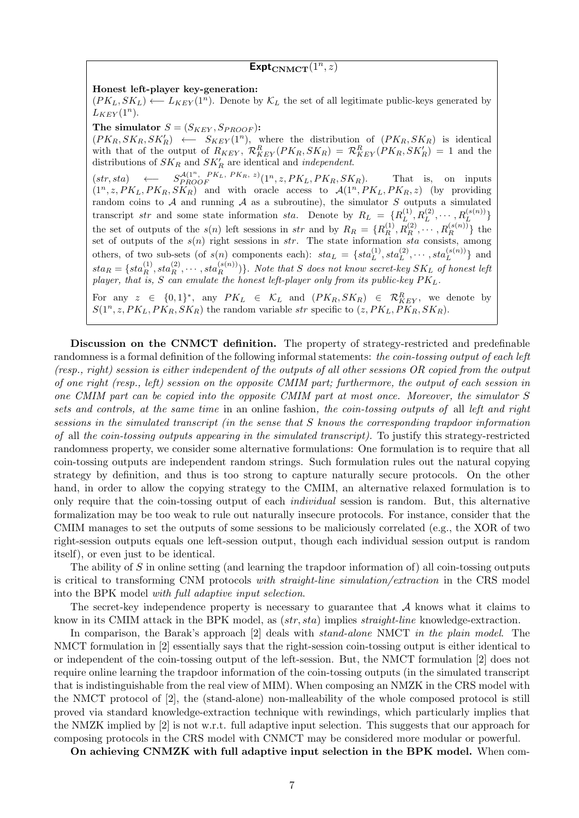# $\frac{1}{\sqrt{\text{Expt}_{\text{CMMCT}}(1^n, z)}}$

#### **Honest left-player key-generation:**

 $(PK_L, SK_L) \leftarrow L_{KEY}(1^n)$ . Denote by  $\mathcal{K}_L$  the set of all legitimate public-keys generated by  $L_{KEY}(1^n)$ .

**The simulator**  $S = (S_{KEY}, S_{PROOF})$ **:** 

 $(PK_R, SK_R, SK'_R) \leftarrow$  *S<sub>KEY</sub>*(1<sup>n</sup>), where the distribution of  $(PK_R, SK_R)$  is identical with that of the output of  $R_{KEY}$ ,  $\mathcal{R}_{KEY}^R(PK_R, SK_R) = \mathcal{R}_{KEY}^R(PK_R, SK_R') = 1$  and the distributions of  $SK_R$  and  $SK'_R$  are identical and *independent*.

 $(str, sta)$  $\mathcal{A}(1^n, PKL, PK_R, z)(1^n, z, PK_L, PK_R, SK_R)$ . That is, on inputs  $(1^n, z, PK_L, PK_R, SK_R)$  and with oracle access to  $\mathcal{A}(1^n, PK_L, PK_R, z)$  (by providing random coins to *A* and running *A* as a subroutine), the simulator *S* outputs a simulated transcript *str* and some state information *sta*. Denote by  $R_L = \{R_L^{(1)}\}$  $R_L^{(1)}, R_L^{(2)}, \cdots, R_L^{(s(n))}\}$ the set of outputs of the  $s(n)$  left sessions in  $str$  and by  $R_R = \{R_R^{(1)}, R_R^{(2)}, \cdots, R_R^{(s(n))}\}\)$  the set of outputs of the *s*(*n*) right sessions in *str*. The state information *sta* consists, among others, of two sub-sets (of  $s(n)$  components each):  $sta_L = \{sta_L^{(1)}, sta_L^{(2)}, \cdots, sta_L^{(s(n))}\}\$ and  $sta_R = \{sta_R^{(1)}, sta_R^{(2)}, \cdots, sta_R^{(s(n))})\}$ . Note that S does not know secret-key SK<sub>L</sub> of honest left *player, that is, S can emulate the honest left-player only from its public-key PKL.*

For any  $z \in \{0,1\}^*$ , any  $PK_L \in \mathcal{K}_L$  and  $(PK_R, SK_R) \in \mathcal{R}_{KEY}^R$ , we denote by  $S(1^n, z, PK_L, PK_R, SK_R)$  the random variable *str* specific to  $(z, PK_L, PK_R, SK_R)$ .

**Discussion on the CNMCT definition.** The property of strategy-restricted and predefinable randomness is a formal definition of the following informal statements: *the coin-tossing output of each left (resp., right) session is either independent of the outputs of all other sessions OR copied from the output of one right (resp., left) session on the opposite CMIM part; furthermore, the output of each session in one CMIM part can be copied into the opposite CMIM part at most once. Moreover, the simulator S sets and controls, at the same time* in an online fashion*, the coin-tossing outputs of* all *left and right sessions in the simulated transcript (in the sense that S knows the corresponding trapdoor information of* all *the coin-tossing outputs appearing in the simulated transcript).* To justify this strategy-restricted randomness property, we consider some alternative formulations: One formulation is to require that all coin-tossing outputs are independent random strings. Such formulation rules out the natural copying strategy by definition, and thus is too strong to capture naturally secure protocols. On the other hand, in order to allow the copying strategy to the CMIM, an alternative relaxed formulation is to only require that the coin-tossing output of each *individual* session is random. But, this alternative formalization may be too weak to rule out naturally insecure protocols. For instance, consider that the CMIM manages to set the outputs of some sessions to be maliciously correlated (e.g., the XOR of two right-session outputs equals one left-session output, though each individual session output is random itself), or even just to be identical.

The ability of *S* in online setting (and learning the trapdoor information of) all coin-tossing outputs is critical to transforming CNM protocols *with straight-line simulation/extraction* in the CRS model into the BPK model *with full adaptive input selection*.

The secret-key independence property is necessary to guarantee that *A* knows what it claims to know in its CMIM attack in the BPK model, as (*str, sta*) implies *straight-line* knowledge-extraction.

In comparison, the Barak's approach [2] deals with *stand-alone* NMCT *in the plain model*. The NMCT formulation in [2] essentially says that the right-session coin-tossing output is either identical to or independent of the coin-tossing output of the left-session. But, the NMCT formulation [2] does not require online learning the trapdoor information of the coin-tossing outputs (in the simulated transcript that is indistinguishable from the real view of MIM). When composing an NMZK in the CRS model with the NMCT protocol of [2], the (stand-alone) non-malleability of the whole composed protocol is still proved via standard knowledge-extraction technique with rewindings, which particularly implies that the NMZK implied by [2] is not w.r.t. full adaptive input selection. This suggests that our approach for composing protocols in the CRS model with CNMCT may be considered more modular or powerful.

**On achieving CNMZK with full adaptive input selection in the BPK model.** When com-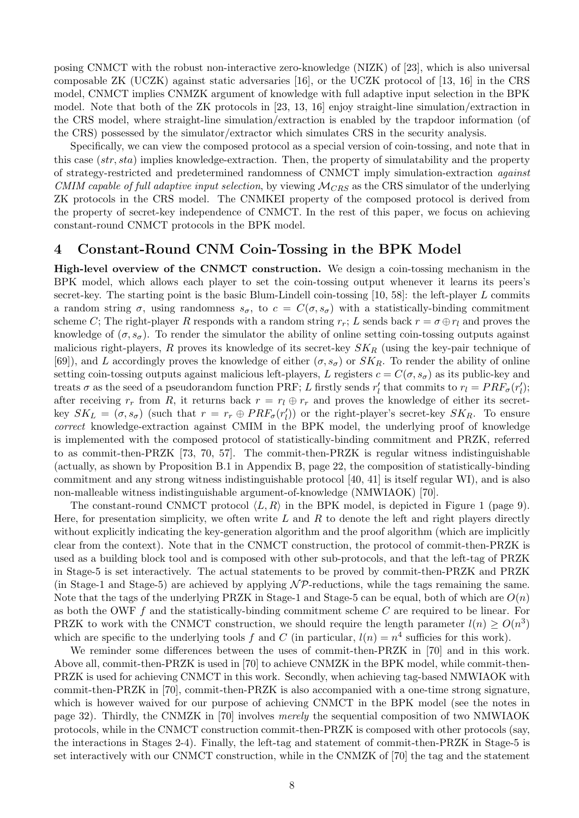posing CNMCT with the robust non-interactive zero-knowledge (NIZK) of [23], which is also universal composable ZK (UCZK) against static adversaries [16], or the UCZK protocol of [13, 16] in the CRS model, CNMCT implies CNMZK argument of knowledge with full adaptive input selection in the BPK model. Note that both of the ZK protocols in [23, 13, 16] enjoy straight-line simulation/extraction in the CRS model, where straight-line simulation/extraction is enabled by the trapdoor information (of the CRS) possessed by the simulator/extractor which simulates CRS in the security analysis.

Specifically, we can view the composed protocol as a special version of coin-tossing, and note that in this case (*str, sta*) implies knowledge-extraction. Then, the property of simulatability and the property of strategy-restricted and predetermined randomness of CNMCT imply simulation-extraction *against CMIM capable of full adaptive input selection*, by viewing *MCRS* as the CRS simulator of the underlying ZK protocols in the CRS model. The CNMKEI property of the composed protocol is derived from the property of secret-key independence of CNMCT. In the rest of this paper, we focus on achieving constant-round CNMCT protocols in the BPK model.

### **4 Constant-Round CNM Coin-Tossing in the BPK Model**

**High-level overview of the CNMCT construction.** We design a coin-tossing mechanism in the BPK model, which allows each player to set the coin-tossing output whenever it learns its peers's secret-key. The starting point is the basic Blum-Lindell coin-tossing [10, 58]: the left-player *L* commits a random string  $\sigma$ , using randomness  $s_{\sigma}$ , to  $c = C(\sigma, s_{\sigma})$  with a statistically-binding commitment scheme *C*; The right-player *R* responds with a random string  $r_r$ ; *L* sends back  $r = \sigma \oplus r_l$  and proves the knowledge of  $(\sigma, s_{\sigma})$ . To render the simulator the ability of online setting coin-tossing outputs against malicious right-players, *R* proves its knowledge of its secret-key *SK<sup>R</sup>* (using the key-pair technique of [69]), and *L* accordingly proves the knowledge of either  $(\sigma, s_{\sigma})$  or  $SK_R$ . To render the ability of online setting coin-tossing outputs against malicious left-players, L registers  $c = C(\sigma, s_{\sigma})$  as its public-key and treats  $\sigma$  as the seed of a pseudorandom function PRF; *L* firstly sends  $r'_{l}$  that commits to  $r_{l} = PRF_{\sigma}(r'_{l});$ after receiving  $r_r$  from R, it returns back  $r = r_l \oplus r_r$  and proves the knowledge of either its secretkey  $SK_L = (\sigma, s_{\sigma})$  (such that  $r = r_r \oplus PRF_{\sigma}(r'_l)$ ) or the right-player's secret-key  $SK_R$ . To ensure *correct* knowledge-extraction against CMIM in the BPK model, the underlying proof of knowledge is implemented with the composed protocol of statistically-binding commitment and PRZK, referred to as commit-then-PRZK [73, 70, 57]. The commit-then-PRZK is regular witness indistinguishable (actually, as shown by Proposition B.1 in Appendix B, page 22, the composition of statistically-binding commitment and any strong witness indistinguishable protocol [40, 41] is itself regular WI), and is also non-malleable witness indistinguishable argument-of-knowledge (NMWIAOK) [70].

The constant-round CNMCT protocol  $\langle L, R \rangle$  in the BPK model, is depicted in Figure 1 (page 9). Here, for presentation simplicity, we often write *L* and *R* to denote the left and right players directly without explicitly indicating the key-generation algorithm and the proof algorithm (which are implicitly clear from the context). Note that in the CNMCT construction, the protocol of commit-then-PRZK is used as a building block tool and is composed with other sub-protocols, and that the left-tag of PRZK in Stage-5 is set interactively. The actual statements to be proved by commit-then-PRZK and PRZK (in Stage-1 and Stage-5) are achieved by applying  $\mathcal{NP}\text{-reductions}$ , while the tags remaining the same. Note that the tags of the underlying PRZK in Stage-1 and Stage-5 can be equal, both of which are *O*(*n*) as both the OWF *f* and the statistically-binding commitment scheme *C* are required to be linear. For PRZK to work with the CNMCT construction, we should require the length parameter  $l(n) \geq O(n^3)$ which are specific to the underlying tools *f* and *C* (in particular,  $l(n) = n^4$  sufficies for this work).

We reminder some differences between the uses of commit-then-PRZK in [70] and in this work. Above all, commit-then-PRZK is used in [70] to achieve CNMZK in the BPK model, while commit-then-PRZK is used for achieving CNMCT in this work. Secondly, when achieving tag-based NMWIAOK with commit-then-PRZK in [70], commit-then-PRZK is also accompanied with a one-time strong signature, which is however waived for our purpose of achieving CNMCT in the BPK model (see the notes in page 32). Thirdly, the CNMZK in [70] involves *merely* the sequential composition of two NMWIAOK protocols, while in the CNMCT construction commit-then-PRZK is composed with other protocols (say, the interactions in Stages 2-4). Finally, the left-tag and statement of commit-then-PRZK in Stage-5 is set interactively with our CNMCT construction, while in the CNMZK of [70] the tag and the statement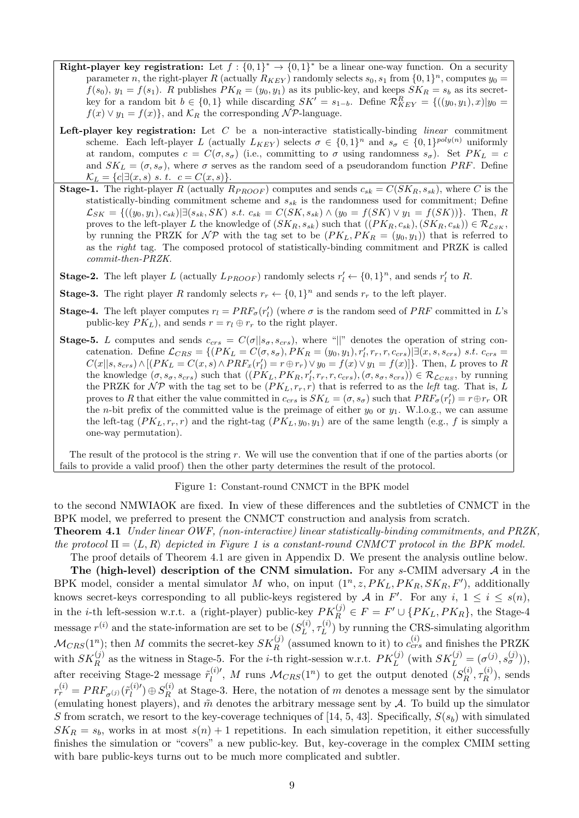- **Right-player key registration:** Let  $f : \{0,1\}^* \to \{0,1\}^*$  be a linear one-way function. On a security parameter *n*, the right-player *R* (actually  $R_{KEY}$ ) randomly selects  $s_0, s_1$  from  $\{0, 1\}^n$ , computes  $y_0 =$  $f(s_0)$ ,  $y_1 = f(s_1)$ . *R* publishes  $PK_R = (y_0, y_1)$  as its public-key, and keeps  $SK_R = s_b$  as its secretkey for a random bit  $b \in \{0,1\}$  while discarding  $SK' = s_{1-b}$ . Define  $\mathcal{R}_{KEY}^R = \{((y_0, y_1), x)|y_0 =$  $f(x) \vee y_1 = f(x)$ , and  $\mathcal{K}_R$  the corresponding  $N \mathcal{P}$ -language.
- **Left-player key registration:** Let *C* be a non-interactive statistically-binding *linear* commitment scheme. Each left-player *L* (actually  $L_{KEY}$ ) selects  $\sigma \in \{0,1\}^n$  and  $s_{\sigma} \in \{0,1\}^{poly(n)}$  uniformly at random, computes  $c = C(\sigma, s_{\sigma})$  (i.e., committing to  $\sigma$  using randomness  $s_{\sigma}$ ). Set  $PK_L = c$ and  $SK_L = (\sigma, s_{\sigma})$ , where  $\sigma$  serves as the random seed of a pseudorandom function *PRF*. Define  $\mathcal{K}_L = \{c | \exists (x, s) \; s. \; t. \; c = C(x, s) \}.$
- **Stage-1.** The right-player *R* (actually  $R_{PROOF}$ ) computes and sends  $c_{sk} = C(SK_R, s_{sk})$ , where *C* is the statistically-binding commitment scheme and *ssk* is the randomness used for commitment; Define  $\mathcal{L}_{SK} = \{((y_0, y_1), c_{sk}) | \exists (s_{sk}, SK) \text{ s.t. } c_{sk} = C(SK, s_{sk}) \land (y_0 = f(SK) \lor y_1 = f(SK))\}.$  Then, R proves to the left-player *L* the knowledge of  $(SK_R, s_{sk})$  such that  $((PK_R, c_{sk}), (SK_R, c_{sk})) \in \mathcal{R}_{\mathcal{L}_{SK}}$ , by running the PRZK for  $\mathcal{NP}$  with the tag set to be  $(PK_L, PK_R = (y_0, y_1))$  that is referred to as the *right* tag. The composed protocol of statistically-binding commitment and PRZK is called *commit-then-PRZK*.

**Stage-2.** The left player *L* (actually  $L_{PROOF}$ ) randomly selects  $r'_{l} \leftarrow \{0, 1\}^{n}$ , and sends  $r'_{l}$  to *R*.

**Stage-3.** The right player *R* randomly selects  $r_r \leftarrow \{0, 1\}^n$  and sends  $r_r$  to the left player.

- **Stage-4.** The left player computes  $r_l = PRF_\sigma(r'_l)$  (where  $\sigma$  is the random seed of *PRF* committed in *L*'s public-key  $PK_L$ ), and sends  $r = r_l \oplus r_r$  to the right player.
- **Stage-5.** *L* computes and sends  $c_{crs} = C(\sigma||s_{\sigma}, s_{crs})$ , where "*||*" denotes the operation of string concatenation. Define  $\mathcal{L}_{CRS} = \{(PK_L = C(\sigma, s_{\sigma}), PK_R = (y_0, y_1), r'_l, r_r, r, c_{crs}) | \exists (x, s, s_{crs}) \ s.t. \ c_{crs} =$  $C(x||s, s_{crs}) \wedge [(PK_L = C(x, s) \wedge PRF_x(r'_l) = r \oplus r_r) \vee y_0 = f(x) \vee y_1 = f(x)]\}.$  Then, L proves to R the knowledge  $(\sigma, s_{\sigma}, s_{crs})$  such that  $((PK_L, PK_R, r'_l, r_r, r, c_{crs}), (\sigma, s_{\sigma}, s_{crs})) \in \mathcal{R}_{\mathcal{L}_{CRS}}$ , by running the PRZK for  $\mathcal{NP}$  with the tag set to be  $(PK_L, r_r, r)$  that is referred to as the *left* tag. That is, *L* proves to *R* that either the value committed in  $c_{crs}$  is  $SK_L = (\sigma, s_{\sigma})$  such that  $PRF_{\sigma}(r'_l) = r \oplus r_r$  OR the *n*-bit prefix of the committed value is the preimage of either  $y_0$  or  $y_1$ . W.l.o.g., we can assume the left-tag  $(PK_L, r_r, r)$  and the right-tag  $(PK_L, y_0, y_1)$  are of the same length (e.g., f is simply a one-way permutation).

The result of the protocol is the string *r*. We will use the convention that if one of the parties aborts (or fails to provide a valid proof) then the other party determines the result of the protocol.

#### Figure 1: Constant-round CNMCT in the BPK model

to the second NMWIAOK are fixed. In view of these differences and the subtleties of CNMCT in the BPK model, we preferred to present the CNMCT construction and analysis from scratch.

**Theorem 4.1** *Under linear OWF, (non-interactive) linear statistically-binding commitments, and PRZK, the protocol*  $\Pi = \langle L, R \rangle$  *depicted in Figure 1 is a constant-round CNMCT protocol in the BPK model.* The proof details of Theorem 4.1 are given in Appendix D. We present the analysis outline below.

**The (high-level) description of the CNM simulation.** For any *s*-CMIM adversary *A* in the BPK model, consider a mental simulator M who, on input  $(1^n, z, PK_L, PK_R, SK_R, F')$ , additionally knows secret-keys corresponding to all public-keys registered by *A* in *F'*. For any *i*,  $1 \leq i \leq s(n)$ , in the *i*-th left-session w.r.t. a (right-player) public-key  $PK_R^{(j)} \in F = F' \cup \{PK_L, PK_R\}$ , the Stage-4 message  $r^{(i)}$  and the state-information are set to be  $(S_L^{(i)})$  $\tau_L^{(i)},\tau_L^{(i)}$  $L^{(i)}$  by running the CRS-simulating algorithm  $\mathcal{M}_{CRS}(1^n)$ ; then *M* commits the secret-key  $SK_R^{(j)}$  (assumed known to it) to  $c_{crs}^{(i)}$  and finishes the PRZK with  $SK_R^{(j)}$  as the witness in Stage-5. For the *i*-th right-session w.r.t.  $PK_L^{(j)}$  (with  $SK_L^{(j)} = (\sigma^{(j)}, s_{\sigma}^{(j)}))$ , after receiving Stage-2 message  $\tilde{r}_{l}^{(i)}$  $\mathcal{M}_{CRS}(1^n)$  to get the output denoted  $(S_R^{(i)})$  $\tau_R^{(i)}, \tau_R^{(i)}$  $R^{(i)}$ , sends  $r_r^{(i)} = PRF_{\sigma^{(j)}}(\widetilde{r}_l^{(i) \prime})$  $g^{(i)\prime}_l) \oplus S^{(i)}_R$  $R<sup>(1)</sup>$  at Stage-3. Here, the notation of *m* denotes a message sent by the simulator (emulating honest players), and  $\tilde{m}$  denotes the arbitrary message sent by  $A$ . To build up the simulator *S* from scratch, we resort to the key-coverage techniques of [14, 5, 43]. Specifically,  $S(s_b)$  with simulated  $SK_R = s_b$ , works in at most  $s(n) + 1$  repetitions. In each simulation repetition, it either successfully finishes the simulation or "covers" a new public-key. But, key-coverage in the complex CMIM setting with bare public-keys turns out to be much more complicated and subtler.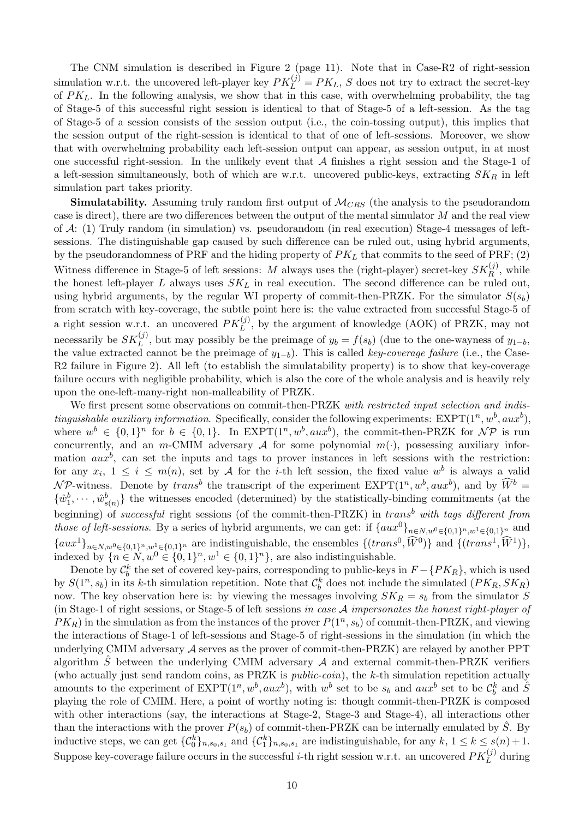The CNM simulation is described in Figure 2 (page 11). Note that in Case-R2 of right-session simulation w.r.t. the uncovered left-player key  $PK_L^{(j)} = PK_L$ , S does not try to extract the secret-key of  $PK<sub>L</sub>$ . In the following analysis, we show that in this case, with overwhelming probability, the tag of Stage-5 of this successful right session is identical to that of Stage-5 of a left-session. As the tag of Stage-5 of a session consists of the session output (i.e., the coin-tossing output), this implies that the session output of the right-session is identical to that of one of left-sessions. Moreover, we show that with overwhelming probability each left-session output can appear, as session output, in at most one successful right-session. In the unlikely event that  $A$  finishes a right session and the Stage-1 of a left-session simultaneously, both of which are w.r.t. uncovered public-keys, extracting *SK<sup>R</sup>* in left simulation part takes priority.

**Simulatability.** Assuming truly random first output of *MCRS* (the analysis to the pseudorandom case is direct), there are two differences between the output of the mental simulator *M* and the real view of *A*: (1) Truly random (in simulation) vs. pseudorandom (in real execution) Stage-4 messages of leftsessions. The distinguishable gap caused by such difference can be ruled out, using hybrid arguments, by the pseudorandomness of PRF and the hiding property of *PK<sup>L</sup>* that commits to the seed of PRF; (2) Witness difference in Stage-5 of left sessions: *M* always uses the (right-player) secret-key  $SK_R^{(j)}$ , while the honest left-player *L* always uses *SK<sup>L</sup>* in real execution. The second difference can be ruled out, using hybrid arguments, by the regular WI property of commit-then-PRZK. For the simulator  $S(s_b)$ from scratch with key-coverage, the subtle point here is: the value extracted from successful Stage-5 of a right session w.r.t. an uncovered  $PK_L^{(j)}$ , by the argument of knowledge (AOK) of PRZK, may not necessarily be  $SK_L^{(j)}$ , but may possibly be the preimage of  $y_b = f(s_b)$  (due to the one-wayness of  $y_{1-b}$ , the value extracted cannot be the preimage of  $y_{1-b}$ ). This is called *key-coverage failure* (i.e., the Case-R2 failure in Figure 2). All left (to establish the simulatability property) is to show that key-coverage failure occurs with negligible probability, which is also the core of the whole analysis and is heavily rely upon the one-left-many-right non-malleability of PRZK.

We first present some observations on commit-then-PRZK *with restricted input selection and indistinguishable auxiliary information.* Specifically, consider the following experiments:  $EXPT(1^n, w^b, aux^b)$ , where  $w^b \in \{0,1\}^n$  for  $b \in \{0,1\}$ . In EXPT $(1^n, w^b, aux^b)$ , the commit-then-PRZK for  $\mathcal{NP}$  is run concurrently, and an *m*-CMIM adversary *A* for some polynomial  $m(\cdot)$ , possessing auxiliary information *aux<sup>b</sup>* , can set the inputs and tags to prover instances in left sessions with the restriction: for any  $x_i$ ,  $1 \leq i \leq m(n)$ , set by *A* for the *i*-th left session, the fixed value  $w^b$  is always a valid  $\mathcal{NP}$ -witness. Denote by *trans<sup>b</sup>* the transcript of the experiment EXPT(1<sup>n</sup>,  $w^b$ ,  $aux^b$ ), and by  $\widetilde{W}^b$  =  $\{\hat{w}_1^b, \dots, \hat{w}_{s(n)}^b\}$  the witnesses encoded (determined) by the statistically-binding commitments (at the beginning) of *successful* right sessions (of the commit-then-PRZK) in *trans<sup>b</sup> with tags different from those of left-sessions.* By a series of hybrid arguments, we can get: if  $\{aux^0\}_{n\in N,w^0\in\{0,1\}^n,w^1\in\{0,1\}^n}$  and  $\{aux^1\}_{n\in N, w^0\in\{0,1\}^n, w^1_{\alpha}\in\{0,1\}^n}$  are indistinguishable, the ensembles  $\{(trans^0, \widehat{W}^0)\}$  and  $\{(trans^1, \widehat{W}^1)\},$ indexed by  $\{n \in \mathbb{N}, w^0 \in \{0,1\}^n, w^1 \in \{0,1\}^n\}$ , are also indistinguishable.

Denote by  $\mathcal{C}_b^k$  the set of covered key-pairs, corresponding to public-keys in  $F - \{PK_R\}$ , which is used by  $S(1^n, s_b)$  in its *k*-th simulation repetition. Note that  $\mathcal{C}_b^k$  does not include the simulated  $(PK_R, SK_R)$ now. The key observation here is: by viewing the messages involving  $SK_R = s_b$  from the simulator *S* (in Stage-1 of right sessions, or Stage-5 of left sessions *in case A impersonates the honest right-player of*  $PK_R$ ) in the simulation as from the instances of the prover  $P(1^n, s_b)$  of commit-then-PRZK, and viewing the interactions of Stage-1 of left-sessions and Stage-5 of right-sessions in the simulation (in which the underlying CMIM adversary *A* serves as the prover of commit-then-PRZK) are relayed by another PPT algorithm  $\hat{S}$  between the underlying CMIM adversary  $\mathcal{A}$  and external commit-then-PRZK verifiers (who actually just send random coins, as PRZK is *public-coin*), the *k*-th simulation repetition actually amounts to the experiment of  $\text{EXPT}(1^n, w^b, aux^b)$ , with  $w^b$  set to be  $s_b$  and  $aux^b$  set to be  $\mathcal{C}_b^k$  and  $\hat{S}$ playing the role of CMIM. Here, a point of worthy noting is: though commit-then-PRZK is composed with other interactions (say, the interactions at Stage-2, Stage-3 and Stage-4), all interactions other than the interactions with the prover  $P(s_b)$  of commit-then-PRZK can be internally emulated by  $\hat{S}$ . By inductive steps, we can get  $\{\mathcal{C}_0^k\}_{n,s_0,s_1}$  and  $\{\mathcal{C}_1^k\}_{n,s_0,s_1}$  are indistinguishable, for any  $k, 1 \leq k \leq s(n)+1$ . Suppose key-coverage failure occurs in the successful *i*-th right session w.r.t. an uncovered  $PK_L^{(j)}$  during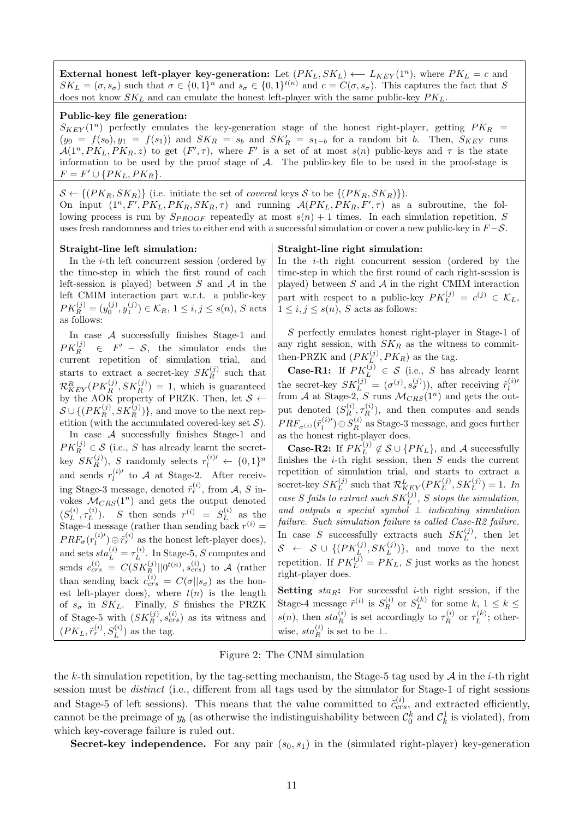**External honest left-player key-generation:** Let  $(PK_L, SK_L) \leftarrow L_{KEY}(1^n)$ , where  $PK_L = c$  and  $SK_L = (\sigma, s_{\sigma})$  such that  $\sigma \in \{0, 1\}^n$  and  $s_{\sigma} \in \{0, 1\}^{t(n)}$  and  $c = C(\sigma, s_{\sigma})$ . This captures the fact that S does not know  $SK_L$  and can emulate the honest left-player with the same public-key  $PK_L$ .

#### **Public-key file generation:**

 $S_{KEY}(1^n)$  perfectly emulates the key-generation stage of the honest right-player, getting  $PK_R$  $(y_0 = f(s_0), y_1 = f(s_1))$  and  $SK_R = s_b$  and  $SK'_R = s_{1-b}$  for a random bit *b*. Then,  $S_{KEY}$  runs  $\mathcal{A}(1^n, PK_L, PK_R, z)$  to get  $(F', \tau)$ , where F' is a set of at most  $s(n)$  public-keys and  $\tau$  is the state information to be used by the proof stage of *A*. The public-key file to be used in the proof-stage is  $F = F' \cup \{PK_L, PK_R\}.$ 

 $S \leftarrow \{(PK_R, SK_R)\}$  (i.e. initiate the set of *covered* keys *S* to be  $\{(PK_R, SK_R)\}$ ).

On input  $(1^n, F', PK_L, PK_R, SK_R, \tau)$  and running  $\mathcal{A}(PK_L, PK_R, F', \tau)$  as a subroutine, the following process is run by  $S_{PROOF}$  repeatedly at most  $s(n) + 1$  times. In each simulation repetition, *S* uses fresh randomness and tries to either end with a successful simulation or cover a new public-key in *F −S*.

### **Straight-line left simulation:**

In the *i*-th left concurrent session (ordered by the time-step in which the first round of each left-session is played) between *S* and *A* in the left CMIM interaction part w.r.t. a public-key  $PK_R^{(j)} = (y_0^{(j)}, y_1^{(j)}) \in \mathcal{K}_R$ ,  $1 \le i, j \le s(n)$ , *S* acts as follows:

In case *A* successfully finishes Stage-1 and  $PK_R^{(j)}$   $\in$  *F'*  $-$  *S*, the simulator ends the current repetition of simulation trial, and starts to extract a secret-key  $SK_R^{(j)}$  such that  $\mathcal{R}_{KEY}^R(PK_R^{(j)}, SK_R^{(j)}) = 1$ , which is guaranteed by the AOK property of PRZK. Then, let *S ←*  $\mathcal{S} \cup \{(PK_R^{(j)}, SK_R^{(j)})\},\$  and move to the next repetition (with the accumulated covered-key set *S*). In case *A* successfully finishes Stage-1 and

 $PK_R^{(j)} \in \mathcal{S}$  (i.e., *S* has already learnt the secretkey  $SK_R^{(j)}$ , *S* randomly selects  $r_l^{(i)} \leftarrow \{0, 1\}^n$ and sends  $r_l^{(i)}$  to *A* at Stage-2. After receiving Stage-3 message, denoted  $\tilde{r}_r^{(i)}$ , from A, S invokes  $\mathcal{M}_{CRS}(1^n)$  and gets the output denoted  $(S_L^{(i)}$  $\tau_L^{(i)},\tau_L^{(i)}$  $L^{(i)}$ ). *S* then sends  $r^{(i)} = S_L^{(i)}$  $L^{(i)}$  as the Stage-4 message (rather than sending back  $r^{(i)}$  =  $PRF_{\sigma}(r_i^{(i)'} ) \oplus \tilde{r}_r^{(i)}$  as the honest left-player does), and sets  $sta_L^{(i)} = \tau_L^{(i)}$  $L^{(i)}$ . In Stage-5, *S* computes and  $\text{sends}~~ c_{crs}^{(i)} \; = \; C(SK_R^{(j)}||0^{t(n)},s_{crs}^{(i)}) \; \; \text{to} \; \; \mathcal{A} \; \; (\text{rather})$ than sending back  $c_{crs}^{(i)} = C(\sigma||s_{\sigma})$  as the honest left-player does), where  $t(n)$  is the length of *s<sup>σ</sup>* in *SKL*. Finally, *S* finishes the PRZK of Stage-5 with  $(SK_R^{(j)}, s_{crs}^{(i)})$  as its witness and  $(PK_L, \tilde{r}_r^{(i)}, S_L^{(i)})$  as the tag.

### **Straight-line right simulation:**

In the *i*-th right concurrent session (ordered by the time-step in which the first round of each right-session is played) between *S* and *A* in the right CMIM interaction part with respect to a public-key  $PK_L^{(j)} = c^{(j)} \in \mathcal{K}_L$ ,  $1 \leq i, j \leq s(n)$ , *S* acts as follows:

*S* perfectly emulates honest right-player in Stage-1 of any right session, with *SK<sup>R</sup>* as the witness to committhen-PRZK and  $(PK_L^{(j)}, PK_R)$  as the tag.

**Case-R1:** If  $PK_L^{(j)} \in S$  (i.e., *S* has already learnt the secret-key  $SK_L^{(j)} = (\sigma^{(j)}, s_{\sigma}^{(j)}))$ , after receiving  $\tilde{r}_l^{(i)}$ from *A* at Stage-2, *S* runs  $M_{CRS}(1^n)$  and gets the output denoted  $(S_R^{(i)}, \tau_R^{(i)})$ , and then computes and sends  $PRF_{\sigma^{(j)}}(\tilde{r}_l^{(i)'}) \oplus S_R^{(i)}$  as Stage-3 message, and goes further as the honest right-player does.

**Case-R2:** If  $PK_L^{(j)} \notin S \cup \{PK_L\}$ , and *A* successfully finishes the *i*-th right session, then *S* ends the current repetition of simulation trial, and starts to extract a secret-key  $SK_L^{(j)}$  such that  $\mathcal{R}_{KEY}^L(PK_L^{(j)}, SK_L^{(j)}) = 1$ . *In case S fails to extract such*  $SK_L^{(j)}$ , *S stops the simulation, and outputs a special symbol ⊥ indicating simulation failure. Such simulation failure is called Case-R2 failure.* In case *S* successfully extracts such  $SK_L^{(j)}$ , then let  $\mathcal{S}$  ←  $\mathcal{S} \cup \{(PK_L^{(j)}, SK_L^{(j)})\},$  and move to the next repetition. If  $PK_L^{(j)} = PK_L$ , *S* just works as the honest right-player does.

**Setting**  $sta<sub>R</sub>$ **:** For successful *i*-th right session, if the Stage-4 message  $\tilde{r}^{(i)}$  is  $S_R^{(i)}$  or  $S_L^{(k)}$  $L_L^{(k)}$  for some  $k, 1 \leq k \leq$ *s*(*n*), then *sta*<sup>(*i*)</sup>) is set accordingly to  $\tau_R^{(i)}$  or  $\tau_L^{(k)}$  $L^{(\kappa)}$ ; otherwise,  $sta_R^{(i)}$  is set to be ⊥.

### Figure 2: The CNM simulation

the *k*-th simulation repetition, by the tag-setting mechanism, the Stage-5 tag used by *A* in the *i*-th right session must be *distinct* (i.e., different from all tags used by the simulator for Stage-1 of right sessions and Stage-5 of left sessions). This means that the value committed to  $\tilde{c}_{crs}^{(i)}$ , and extracted efficiently, cannot be the preimage of  $y_b$  (as otherwise the indistinguishability between  $\mathcal{C}_0^k$  and  $\mathcal{C}_k^1$  is violated), from which key-coverage failure is ruled out.

**Secret-key independence.** For any pair  $(s_0, s_1)$  in the (simulated right-player) key-generation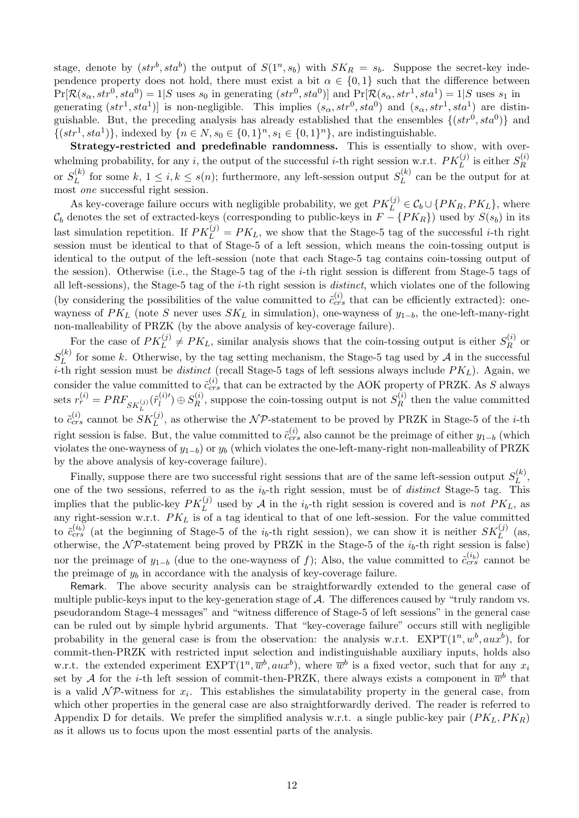stage, denote by  $(str^b, sta^b)$  the output of  $S(1^n, s_b)$  with  $SK_R = s_b$ . Suppose the secret-key independence property does not hold, there must exist a bit  $\alpha \in \{0,1\}$  such that the difference between  $\Pr[\mathcal{R}(s_{\alpha}, str^0, sta^0) = 1 | S \text{ uses } s_0 \text{ in generating } (str^0, sta^0)] \text{ and } \Pr[\mathcal{R}(s_{\alpha}, str^1, sta^1) = 1 | S \text{ uses } s_1 \text{ in } S \text{ and } s_2 \text{ and } s_2 \text{ and } s_3 \text{ is } s_3 \text{ and } s_4 \text{ is } s_4 \text{ and } s_5 \text{ is } s_6 \text{ and } s_7 \text{ is } s_7 \text{ and } s_8 \text{ is } s_9 \text{ is } s_9 \text{ is } s_9 \text{ is } s_1 \text{ and } s$ generating  $(str^1, sta^1)$ ] is non-negligible. This implies  $(s_\alpha, str^0, sta^0)$  and  $(s_\alpha, str^1, sta^1)$  are distinguishable. But, the preceding analysis has already established that the ensembles  $\{(str^0, sta^0)\}\$ and  $\{(str1, sta<sup>1</sup>)\}$ , indexed by  $\{n \in N, s_0 \in \{0, 1\}^n, s_1 \in \{0, 1\}^n\}$ , are indistinguishable.

**Strategy-restricted and predefinable randomness.** This is essentially to show, with overwhelming probability, for any *i*, the output of the successful *i*-th right session w.r.t.  $PK_L^{(j)}$  is either  $S_R^{(i)}$ *R* or  $S_L^{(k)}$  $L_L^{(k)}$  for some  $k, 1 \leq i, k \leq s(n)$ ; furthermore, any left-session output  $S_L^{(k)}$  $L^{(k)}$  can be the output for at most *one* successful right session.

As key-coverage failure occurs with negligible probability, we get  $PK_L^{(j)} \in C_b \cup \{PK_R, PK_L\}$ , where  $\mathcal{C}_b$  denotes the set of extracted-keys (corresponding to public-keys in  $F - \{PK_R\}$ ) used by  $S(s_b)$  in its last simulation repetition. If  $PK_L^{(j)} = PK_L$ , we show that the Stage-5 tag of the successful *i*-th right session must be identical to that of Stage-5 of a left session, which means the coin-tossing output is identical to the output of the left-session (note that each Stage-5 tag contains coin-tossing output of the session). Otherwise (i.e., the Stage-5 tag of the *i*-th right session is different from Stage-5 tags of all left-sessions), the Stage-5 tag of the *i*-th right session is *distinct*, which violates one of the following (by considering the possibilities of the value committed to  $\tilde{c}_{crs}^{(i)}$  that can be efficiently extracted): onewayness of *PK<sup>L</sup>* (note *S* never uses *SK<sup>L</sup>* in simulation), one-wayness of *y*1*−b*, the one-left-many-right non-malleability of PRZK (by the above analysis of key-coverage failure).

For the case of  $PK_L^{(j)} \neq PK_L$ , similar analysis shows that the coin-tossing output is either  $S_R^{(i)}$  $\int_R^{(i)}$  or  $S^{(k)}_L$  $L^{(k)}$  for some *k*. Otherwise, by the tag setting mechanism, the Stage-5 tag used by *A* in the successful *i*-th right session must be *distinct* (recall Stage-5 tags of left sessions always include  $PK_L$ ). Again, we consider the value committed to  $\tilde{c}_{crs}^{(i)}$  that can be extracted by the AOK property of PRZK. As *S* always  $\text{sets}~r_r^{(i)} = PRF_{SK_L^{(j)}}(\tilde{r}_l^{(i)'}$  $\binom{(i)'}{l}$   $\oplus$   $S_R^{(i)}$  $R_R^{(i)}$ , suppose the coin-tossing output is not  $S_R^{(i)}$  $R^{(i)}$  then the value committed to  $\tilde{c}_{crs}^{(i)}$  cannot be  $SK_L^{(j)}$ , as otherwise the *NP*-statement to be proved by PRZK in Stage-5 of the *i*-th right session is false. But, the value committed to  $\tilde{c}_{crs}^{(i)}$  also cannot be the preimage of either  $y_{1-b}$  (which violates the one-wayness of  $y_{1-b}$  or  $y_b$  (which violates the one-left-many-right non-malleability of PRZK by the above analysis of key-coverage failure).

Finally, suppose there are two successful right sessions that are of the same left-session output  $S_L^{(k)}$  $L^{(\kappa)}$ , one of the two sessions, referred to as the *ib*-th right session, must be of *distinct* Stage-5 tag. This implies that the public-key  $PK_L^{(j)}$  used by *A* in the *i*<sub>b</sub>-th right session is covered and is *not*  $PK_L$ , as any right-session w.r.t. *PK<sup>L</sup>* is of a tag identical to that of one left-session. For the value committed to  $\tilde{c}_{crs}^{(i_b)}$  (at the beginning of Stage-5 of the  $i_b$ -th right session), we can show it is neither  $SK_L^{(j)}$  (as, otherwise, the  $N\overline{P}$ -statement being proved by PRZK in the Stage-5 of the *i<sub>b</sub>*-th right session is false) nor the preimage of  $y_{1-b}$  (due to the one-wayness of *f*); Also, the value committed to  $\tilde{c}_{crs}^{(i_b)}$  cannot be the preimage of  $y_b$  in accordance with the analysis of key-coverage failure.

Remark. The above security analysis can be straightforwardly extended to the general case of multiple public-keys input to the key-generation stage of *A*. The differences caused by "truly random vs. pseudorandom Stage-4 messages" and "witness difference of Stage-5 of left sessions" in the general case can be ruled out by simple hybrid arguments. That "key-coverage failure" occurs still with negligible probability in the general case is from the observation: the analysis w.r.t.  $\text{EXPT}(1^n, w^b, aux^b)$ , for commit-then-PRZK with restricted input selection and indistinguishable auxiliary inputs, holds also w.r.t. the extended experiment  $\text{EXPT}(1^n, \overline{w}^b, aux^b)$ , where  $\overline{w}^b$  is a fixed vector, such that for any  $x_i$ set by A for the *i*-th left session of commit-then-PRZK, there always exists a component in  $\overline{w}^b$  that is a valid  $\mathcal{NP}$ -witness for  $x_i$ . This establishes the simulatability property in the general case, from which other properties in the general case are also straightforwardly derived. The reader is referred to Appendix D for details. We prefer the simplified analysis w.r.t. a single public-key pair (*PKL, PKR*) as it allows us to focus upon the most essential parts of the analysis.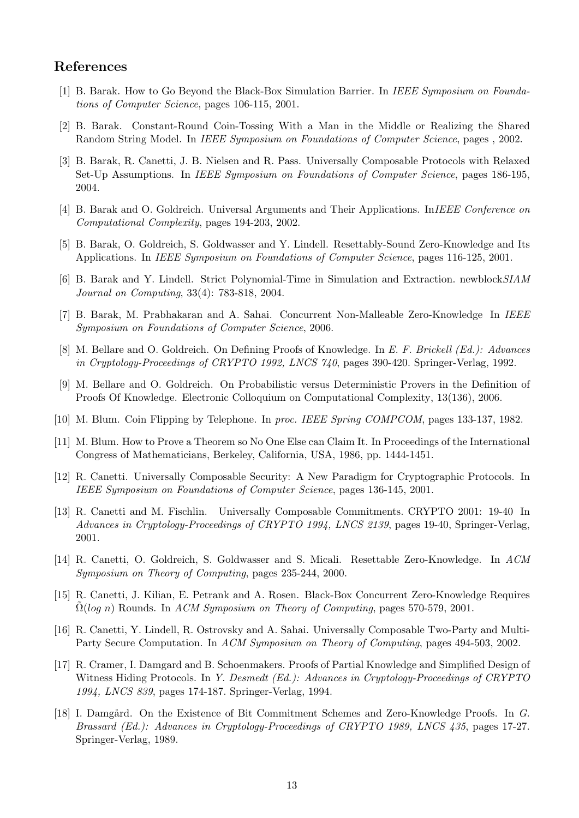### **References**

- [1] B. Barak. How to Go Beyond the Black-Box Simulation Barrier. In *IEEE Symposium on Foundations of Computer Science*, pages 106-115, 2001.
- [2] B. Barak. Constant-Round Coin-Tossing With a Man in the Middle or Realizing the Shared Random String Model. In *IEEE Symposium on Foundations of Computer Science*, pages , 2002.
- [3] B. Barak, R. Canetti, J. B. Nielsen and R. Pass. Universally Composable Protocols with Relaxed Set-Up Assumptions. In *IEEE Symposium on Foundations of Computer Science*, pages 186-195, 2004.
- [4] B. Barak and O. Goldreich. Universal Arguments and Their Applications. In*IEEE Conference on Computational Complexity*, pages 194-203, 2002.
- [5] B. Barak, O. Goldreich, S. Goldwasser and Y. Lindell. Resettably-Sound Zero-Knowledge and Its Applications. In *IEEE Symposium on Foundations of Computer Science*, pages 116-125, 2001.
- [6] B. Barak and Y. Lindell. Strict Polynomial-Time in Simulation and Extraction. newblock*SIAM Journal on Computing*, 33(4): 783-818, 2004.
- [7] B. Barak, M. Prabhakaran and A. Sahai. Concurrent Non-Malleable Zero-Knowledge In *IEEE Symposium on Foundations of Computer Science*, 2006.
- [8] M. Bellare and O. Goldreich. On Defining Proofs of Knowledge. In *E. F. Brickell (Ed.): Advances in Cryptology-Proceedings of CRYPTO 1992, LNCS 740*, pages 390-420. Springer-Verlag, 1992.
- [9] M. Bellare and O. Goldreich. On Probabilistic versus Deterministic Provers in the Definition of Proofs Of Knowledge. Electronic Colloquium on Computational Complexity, 13(136), 2006.
- [10] M. Blum. Coin Flipping by Telephone. In *proc. IEEE Spring COMPCOM*, pages 133-137, 1982.
- [11] M. Blum. How to Prove a Theorem so No One Else can Claim It. In Proceedings of the International Congress of Mathematicians, Berkeley, California, USA, 1986, pp. 1444-1451.
- [12] R. Canetti. Universally Composable Security: A New Paradigm for Cryptographic Protocols. In *IEEE Symposium on Foundations of Computer Science*, pages 136-145, 2001.
- [13] R. Canetti and M. Fischlin. Universally Composable Commitments. CRYPTO 2001: 19-40 In *Advances in Cryptology-Proceedings of CRYPTO 1994, LNCS 2139*, pages 19-40, Springer-Verlag, 2001.
- [14] R. Canetti, O. Goldreich, S. Goldwasser and S. Micali. Resettable Zero-Knowledge. In *ACM Symposium on Theory of Computing*, pages 235-244, 2000.
- [15] R. Canetti, J. Kilian, E. Petrank and A. Rosen. Black-Box Concurrent Zero-Knowledge Requires Ω( ˜ *log n*) Rounds. In *ACM Symposium on Theory of Computing*, pages 570-579, 2001.
- [16] R. Canetti, Y. Lindell, R. Ostrovsky and A. Sahai. Universally Composable Two-Party and Multi-Party Secure Computation. In *ACM Symposium on Theory of Computing*, pages 494-503, 2002.
- [17] R. Cramer, I. Damgard and B. Schoenmakers. Proofs of Partial Knowledge and Simplified Design of Witness Hiding Protocols. In *Y. Desmedt (Ed.): Advances in Cryptology-Proceedings of CRYPTO 1994, LNCS 839*, pages 174-187. Springer-Verlag, 1994.
- [18] I. Damgård. On the Existence of Bit Commitment Schemes and Zero-Knowledge Proofs. In G. *Brassard (Ed.): Advances in Cryptology-Proceedings of CRYPTO 1989, LNCS 435*, pages 17-27. Springer-Verlag, 1989.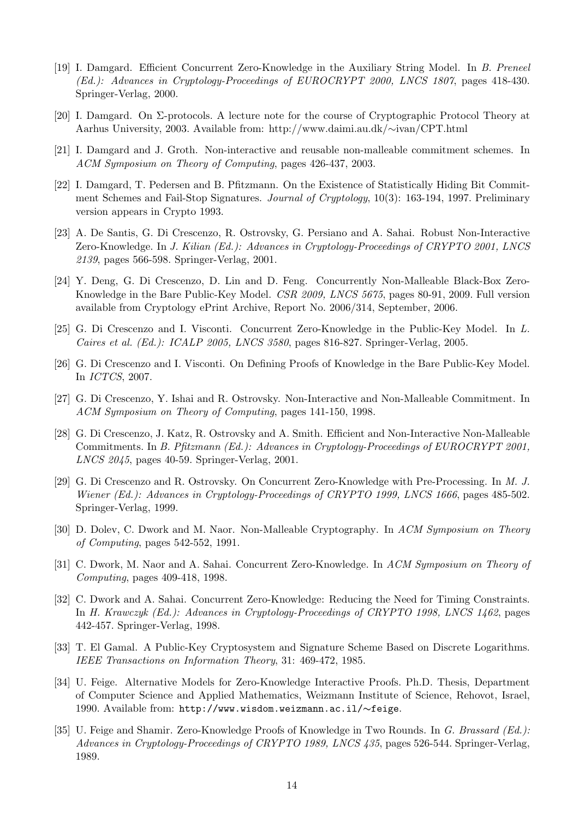- [19] I. Damgard. Efficient Concurrent Zero-Knowledge in the Auxiliary String Model. In *B. Preneel (Ed.): Advances in Cryptology-Proceedings of EUROCRYPT 2000, LNCS 1807*, pages 418-430. Springer-Verlag, 2000.
- [20] I. Damgard. On Σ-protocols. A lecture note for the course of Cryptographic Protocol Theory at Aarhus University, 2003. Available from: http://www.daimi.au.dk/*∼*ivan/CPT.html
- [21] I. Damgard and J. Groth. Non-interactive and reusable non-malleable commitment schemes. In *ACM Symposium on Theory of Computing*, pages 426-437, 2003.
- [22] I. Damgard, T. Pedersen and B. Pfitzmann. On the Existence of Statistically Hiding Bit Commitment Schemes and Fail-Stop Signatures. *Journal of Cryptology*, 10(3): 163-194, 1997. Preliminary version appears in Crypto 1993.
- [23] A. De Santis, G. Di Crescenzo, R. Ostrovsky, G. Persiano and A. Sahai. Robust Non-Interactive Zero-Knowledge. In *J. Kilian (Ed.): Advances in Cryptology-Proceedings of CRYPTO 2001, LNCS 2139*, pages 566-598. Springer-Verlag, 2001.
- [24] Y. Deng, G. Di Crescenzo, D. Lin and D. Feng. Concurrently Non-Malleable Black-Box Zero-Knowledge in the Bare Public-Key Model. *CSR 2009, LNCS 5675*, pages 80-91, 2009. Full version available from Cryptology ePrint Archive, Report No. 2006/314, September, 2006.
- [25] G. Di Crescenzo and I. Visconti. Concurrent Zero-Knowledge in the Public-Key Model. In *L. Caires et al. (Ed.): ICALP 2005, LNCS 3580*, pages 816-827. Springer-Verlag, 2005.
- [26] G. Di Crescenzo and I. Visconti. On Defining Proofs of Knowledge in the Bare Public-Key Model. In *ICTCS*, 2007.
- [27] G. Di Crescenzo, Y. Ishai and R. Ostrovsky. Non-Interactive and Non-Malleable Commitment. In *ACM Symposium on Theory of Computing*, pages 141-150, 1998.
- [28] G. Di Crescenzo, J. Katz, R. Ostrovsky and A. Smith. Efficient and Non-Interactive Non-Malleable Commitments. In *B. Pfitzmann (Ed.): Advances in Cryptology-Proceedings of EUROCRYPT 2001, LNCS 2045*, pages 40-59. Springer-Verlag, 2001.
- [29] G. Di Crescenzo and R. Ostrovsky. On Concurrent Zero-Knowledge with Pre-Processing. In *M. J. Wiener (Ed.): Advances in Cryptology-Proceedings of CRYPTO 1999, LNCS 1666*, pages 485-502. Springer-Verlag, 1999.
- [30] D. Dolev, C. Dwork and M. Naor. Non-Malleable Cryptography. In *ACM Symposium on Theory of Computing*, pages 542-552, 1991.
- [31] C. Dwork, M. Naor and A. Sahai. Concurrent Zero-Knowledge. In *ACM Symposium on Theory of Computing*, pages 409-418, 1998.
- [32] C. Dwork and A. Sahai. Concurrent Zero-Knowledge: Reducing the Need for Timing Constraints. In *H. Krawczyk (Ed.): Advances in Cryptology-Proceedings of CRYPTO 1998, LNCS 1462*, pages 442-457. Springer-Verlag, 1998.
- [33] T. El Gamal. A Public-Key Cryptosystem and Signature Scheme Based on Discrete Logarithms. *IEEE Transactions on Information Theory*, 31: 469-472, 1985.
- [34] U. Feige. Alternative Models for Zero-Knowledge Interactive Proofs. Ph.D. Thesis, Department of Computer Science and Applied Mathematics, Weizmann Institute of Science, Rehovot, Israel, 1990. Available from: http://www.wisdom.weizmann.ac.il/∼feige.
- [35] U. Feige and Shamir. Zero-Knowledge Proofs of Knowledge in Two Rounds. In *G. Brassard (Ed.): Advances in Cryptology-Proceedings of CRYPTO 1989, LNCS 435*, pages 526-544. Springer-Verlag, 1989.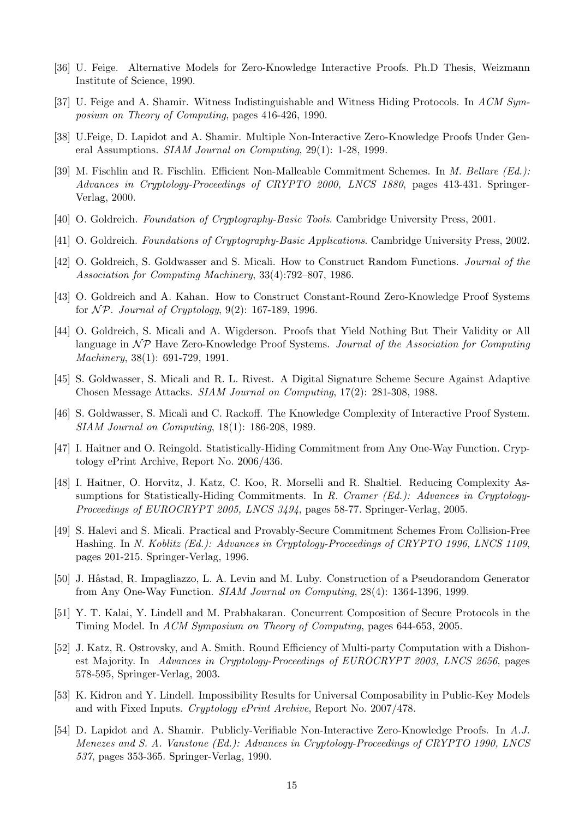- [36] U. Feige. Alternative Models for Zero-Knowledge Interactive Proofs. Ph.D Thesis, Weizmann Institute of Science, 1990.
- [37] U. Feige and A. Shamir. Witness Indistinguishable and Witness Hiding Protocols. In *ACM Symposium on Theory of Computing*, pages 416-426, 1990.
- [38] U.Feige, D. Lapidot and A. Shamir. Multiple Non-Interactive Zero-Knowledge Proofs Under General Assumptions. *SIAM Journal on Computing*, 29(1): 1-28, 1999.
- [39] M. Fischlin and R. Fischlin. Efficient Non-Malleable Commitment Schemes. In *M. Bellare (Ed.): Advances in Cryptology-Proceedings of CRYPTO 2000, LNCS 1880*, pages 413-431. Springer-Verlag, 2000.
- [40] O. Goldreich. *Foundation of Cryptography-Basic Tools*. Cambridge University Press, 2001.
- [41] O. Goldreich. *Foundations of Cryptography-Basic Applications*. Cambridge University Press, 2002.
- [42] O. Goldreich, S. Goldwasser and S. Micali. How to Construct Random Functions. *Journal of the Association for Computing Machinery*, 33(4):792–807, 1986.
- [43] O. Goldreich and A. Kahan. How to Construct Constant-Round Zero-Knowledge Proof Systems for *N P*. *Journal of Cryptology*, 9(2): 167-189, 1996.
- [44] O. Goldreich, S. Micali and A. Wigderson. Proofs that Yield Nothing But Their Validity or All language in  $\mathcal{NP}$  Have Zero-Knowledge Proof Systems. *Journal of the Association for Computing Machinery*, 38(1): 691-729, 1991.
- [45] S. Goldwasser, S. Micali and R. L. Rivest. A Digital Signature Scheme Secure Against Adaptive Chosen Message Attacks. *SIAM Journal on Computing*, 17(2): 281-308, 1988.
- [46] S. Goldwasser, S. Micali and C. Rackoff. The Knowledge Complexity of Interactive Proof System. *SIAM Journal on Computing*, 18(1): 186-208, 1989.
- [47] I. Haitner and O. Reingold. Statistically-Hiding Commitment from Any One-Way Function. Cryptology ePrint Archive, Report No. 2006/436.
- [48] I. Haitner, O. Horvitz, J. Katz, C. Koo, R. Morselli and R. Shaltiel. Reducing Complexity Assumptions for Statistically-Hiding Commitments. In *R. Cramer (Ed.): Advances in Cryptology-Proceedings of EUROCRYPT 2005, LNCS 3494*, pages 58-77. Springer-Verlag, 2005.
- [49] S. Halevi and S. Micali. Practical and Provably-Secure Commitment Schemes From Collision-Free Hashing. In *N. Koblitz (Ed.): Advances in Cryptology-Proceedings of CRYPTO 1996, LNCS 1109*, pages 201-215. Springer-Verlag, 1996.
- [50] J. Håstad, R. Impagliazzo, L. A. Levin and M. Luby. Construction of a Pseudorandom Generator from Any One-Way Function. *SIAM Journal on Computing*, 28(4): 1364-1396, 1999.
- [51] Y. T. Kalai, Y. Lindell and M. Prabhakaran. Concurrent Composition of Secure Protocols in the Timing Model. In *ACM Symposium on Theory of Computing*, pages 644-653, 2005.
- [52] J. Katz, R. Ostrovsky, and A. Smith. Round Efficiency of Multi-party Computation with a Dishonest Majority. In *Advances in Cryptology-Proceedings of EUROCRYPT 2003, LNCS 2656*, pages 578-595, Springer-Verlag, 2003.
- [53] K. Kidron and Y. Lindell. Impossibility Results for Universal Composability in Public-Key Models and with Fixed Inputs. *Cryptology ePrint Archive*, Report No. 2007/478.
- [54] D. Lapidot and A. Shamir. Publicly-Verifiable Non-Interactive Zero-Knowledge Proofs. In *A.J. Menezes and S. A. Vanstone (Ed.): Advances in Cryptology-Proceedings of CRYPTO 1990, LNCS 537*, pages 353-365. Springer-Verlag, 1990.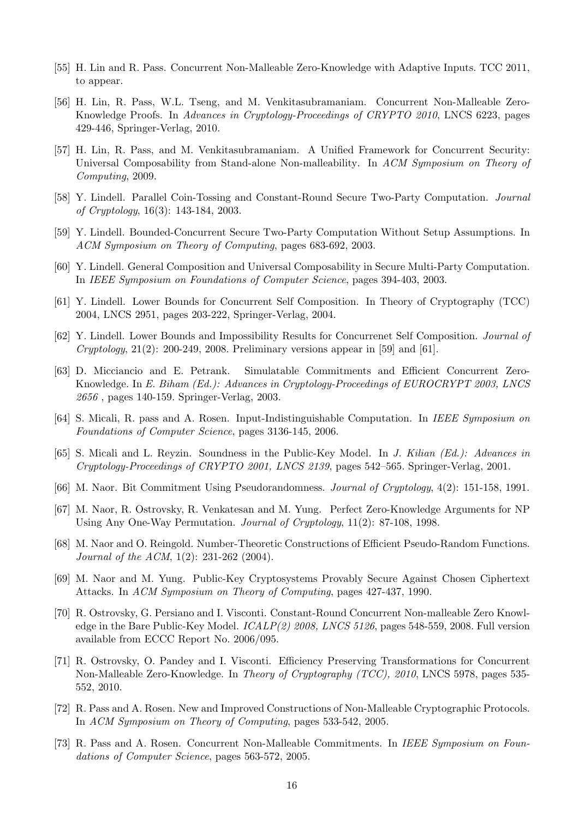- [55] H. Lin and R. Pass. Concurrent Non-Malleable Zero-Knowledge with Adaptive Inputs. TCC 2011, to appear.
- [56] H. Lin, R. Pass, W.L. Tseng, and M. Venkitasubramaniam. Concurrent Non-Malleable Zero-Knowledge Proofs. In *Advances in Cryptology-Proceedings of CRYPTO 2010*, LNCS 6223, pages 429-446, Springer-Verlag, 2010.
- [57] H. Lin, R. Pass, and M. Venkitasubramaniam. A Unified Framework for Concurrent Security: Universal Composability from Stand-alone Non-malleability. In *ACM Symposium on Theory of Computing*, 2009.
- [58] Y. Lindell. Parallel Coin-Tossing and Constant-Round Secure Two-Party Computation. *Journal of Cryptology*, 16(3): 143-184, 2003.
- [59] Y. Lindell. Bounded-Concurrent Secure Two-Party Computation Without Setup Assumptions. In *ACM Symposium on Theory of Computing*, pages 683-692, 2003.
- [60] Y. Lindell. General Composition and Universal Composability in Secure Multi-Party Computation. In *IEEE Symposium on Foundations of Computer Science*, pages 394-403, 2003.
- [61] Y. Lindell. Lower Bounds for Concurrent Self Composition. In Theory of Cryptography (TCC) 2004, LNCS 2951, pages 203-222, Springer-Verlag, 2004.
- [62] Y. Lindell. Lower Bounds and Impossibility Results for Concurrenet Self Composition. *Journal of Cryptology*, 21(2): 200-249, 2008. Preliminary versions appear in [59] and [61].
- [63] D. Micciancio and E. Petrank. Simulatable Commitments and Efficient Concurrent Zero-Knowledge. In *E. Biham (Ed.): Advances in Cryptology-Proceedings of EUROCRYPT 2003, LNCS 2656* , pages 140-159. Springer-Verlag, 2003.
- [64] S. Micali, R. pass and A. Rosen. Input-Indistinguishable Computation. In *IEEE Symposium on Foundations of Computer Science*, pages 3136-145, 2006.
- [65] S. Micali and L. Reyzin. Soundness in the Public-Key Model. In *J. Kilian (Ed.): Advances in Cryptology-Proceedings of CRYPTO 2001, LNCS 2139*, pages 542–565. Springer-Verlag, 2001.
- [66] M. Naor. Bit Commitment Using Pseudorandomness. *Journal of Cryptology*, 4(2): 151-158, 1991.
- [67] M. Naor, R. Ostrovsky, R. Venkatesan and M. Yung. Perfect Zero-Knowledge Arguments for NP Using Any One-Way Permutation. *Journal of Cryptology*, 11(2): 87-108, 1998.
- [68] M. Naor and O. Reingold. Number-Theoretic Constructions of Efficient Pseudo-Random Functions. *Journal of the ACM*, 1(2): 231-262 (2004).
- [69] M. Naor and M. Yung. Public-Key Cryptosystems Provably Secure Against Chosen Ciphertext Attacks. In *ACM Symposium on Theory of Computing*, pages 427-437, 1990.
- [70] R. Ostrovsky, G. Persiano and I. Visconti. Constant-Round Concurrent Non-malleable Zero Knowledge in the Bare Public-Key Model. *ICALP(2) 2008, LNCS 5126*, pages 548-559, 2008. Full version available from ECCC Report No. 2006/095.
- [71] R. Ostrovsky, O. Pandey and I. Visconti. Efficiency Preserving Transformations for Concurrent Non-Malleable Zero-Knowledge. In *Theory of Cryptography (TCC), 2010*, LNCS 5978, pages 535- 552, 2010.
- [72] R. Pass and A. Rosen. New and Improved Constructions of Non-Malleable Cryptographic Protocols. In *ACM Symposium on Theory of Computing*, pages 533-542, 2005.
- [73] R. Pass and A. Rosen. Concurrent Non-Malleable Commitments. In *IEEE Symposium on Foundations of Computer Science*, pages 563-572, 2005.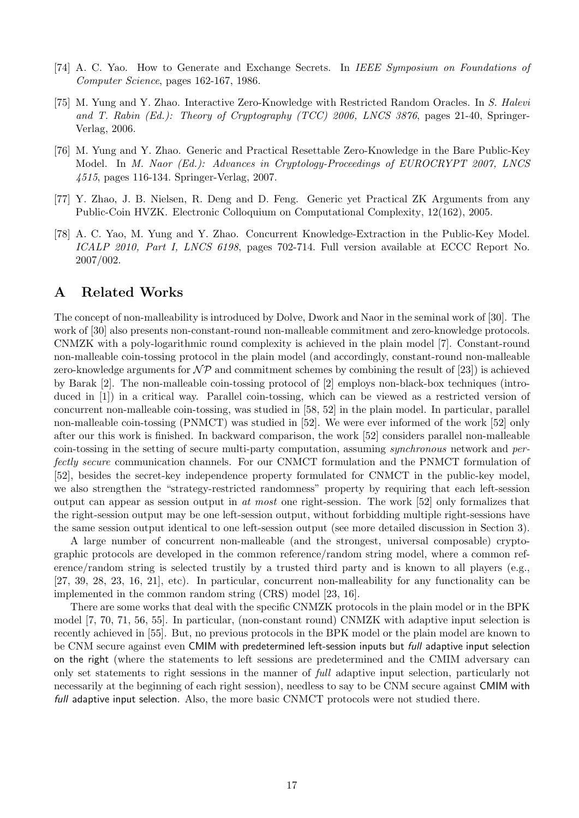- [74] A. C. Yao. How to Generate and Exchange Secrets. In *IEEE Symposium on Foundations of Computer Science*, pages 162-167, 1986.
- [75] M. Yung and Y. Zhao. Interactive Zero-Knowledge with Restricted Random Oracles. In *S. Halevi and T. Rabin (Ed.): Theory of Cryptography (TCC) 2006, LNCS 3876*, pages 21-40, Springer-Verlag, 2006.
- [76] M. Yung and Y. Zhao. Generic and Practical Resettable Zero-Knowledge in the Bare Public-Key Model. In *M. Naor (Ed.): Advances in Cryptology-Proceedings of EUROCRYPT 2007, LNCS 4515*, pages 116-134. Springer-Verlag, 2007.
- [77] Y. Zhao, J. B. Nielsen, R. Deng and D. Feng. Generic yet Practical ZK Arguments from any Public-Coin HVZK. Electronic Colloquium on Computational Complexity, 12(162), 2005.
- [78] A. C. Yao, M. Yung and Y. Zhao. Concurrent Knowledge-Extraction in the Public-Key Model. *ICALP 2010, Part I, LNCS 6198*, pages 702-714. Full version available at ECCC Report No. 2007/002.

### **A Related Works**

The concept of non-malleability is introduced by Dolve, Dwork and Naor in the seminal work of [30]. The work of [30] also presents non-constant-round non-malleable commitment and zero-knowledge protocols. CNMZK with a poly-logarithmic round complexity is achieved in the plain model [7]. Constant-round non-malleable coin-tossing protocol in the plain model (and accordingly, constant-round non-malleable zero-knowledge arguments for  $\mathcal{NP}$  and commitment schemes by combining the result of [23]) is achieved by Barak [2]. The non-malleable coin-tossing protocol of [2] employs non-black-box techniques (introduced in [1]) in a critical way. Parallel coin-tossing, which can be viewed as a restricted version of concurrent non-malleable coin-tossing, was studied in [58, 52] in the plain model. In particular, parallel non-malleable coin-tossing (PNMCT) was studied in [52]. We were ever informed of the work [52] only after our this work is finished. In backward comparison, the work [52] considers parallel non-malleable coin-tossing in the setting of secure multi-party computation, assuming *synchronous* network and *perfectly secure* communication channels. For our CNMCT formulation and the PNMCT formulation of [52], besides the secret-key independence property formulated for CNMCT in the public-key model, we also strengthen the "strategy-restricted randomness" property by requiring that each left-session output can appear as session output in *at most* one right-session. The work [52] only formalizes that the right-session output may be one left-session output, without forbidding multiple right-sessions have the same session output identical to one left-session output (see more detailed discussion in Section 3).

A large number of concurrent non-malleable (and the strongest, universal composable) cryptographic protocols are developed in the common reference/random string model, where a common reference/random string is selected trustily by a trusted third party and is known to all players (e.g., [27, 39, 28, 23, 16, 21], etc). In particular, concurrent non-malleability for any functionality can be implemented in the common random string (CRS) model [23, 16].

There are some works that deal with the specific CNMZK protocols in the plain model or in the BPK model [7, 70, 71, 56, 55]. In particular, (non-constant round) CNMZK with adaptive input selection is recently achieved in [55]. But, no previous protocols in the BPK model or the plain model are known to be CNM secure against even CMIM with predetermined left-session inputs but *full* adaptive input selection on the right (where the statements to left sessions are predetermined and the CMIM adversary can only set statements to right sessions in the manner of *full* adaptive input selection, particularly not necessarily at the beginning of each right session), needless to say to be CNM secure against CMIM with *full* adaptive input selection. Also, the more basic CNMCT protocols were not studied there.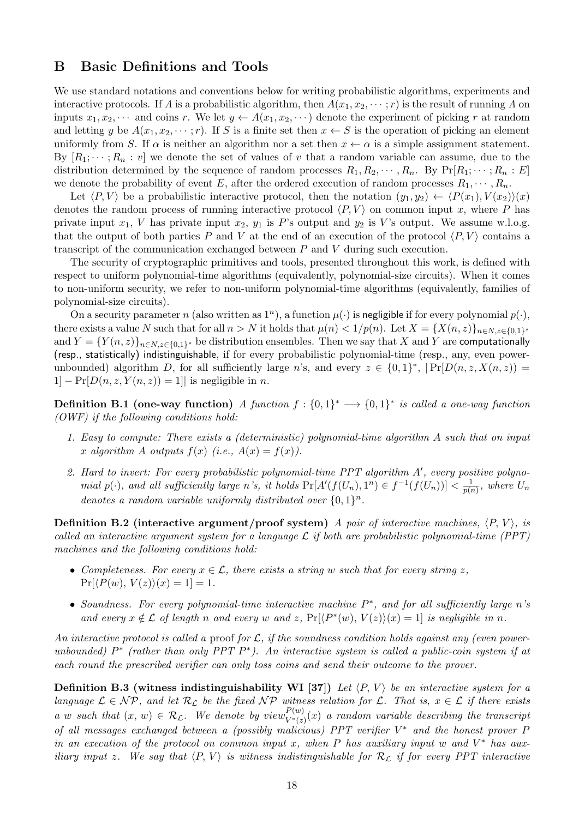### **B Basic Definitions and Tools**

We use standard notations and conventions below for writing probabilistic algorithms, experiments and interactive protocols. If *A* is a probabilistic algorithm, then  $A(x_1, x_2, \dots; r)$  is the result of running *A* on inputs  $x_1, x_2, \cdots$  and coins *r*. We let  $y \leftarrow A(x_1, x_2, \cdots)$  denote the experiment of picking *r* at random and letting *y* be  $A(x_1, x_2, \dots; r)$ . If *S* is a finite set then  $x \leftarrow S$  is the operation of picking an element uniformly from *S*. If  $\alpha$  is neither an algorithm nor a set then  $x \leftarrow \alpha$  is a simple assignment statement. By  $[R_1; \dots; R_n : v]$  we denote the set of values of v that a random variable can assume, due to the distribution determined by the sequence of random processes  $R_1, R_2, \cdots, R_n$ . By  $Pr[R_1; \cdots; R_n : E]$ we denote the probability of event *E*, after the ordered execution of random processes  $R_1, \dots, R_n$ .

Let  $\langle P, V \rangle$  be a probabilistic interactive protocol, then the notation  $(y_1, y_2) \leftarrow \langle P(x_1), V(x_2) \rangle(x)$ denotes the random process of running interactive protocol  $\langle P, V \rangle$  on common input x, where P has private input  $x_1$ , *V* has private input  $x_2$ ,  $y_1$  is *P*'s output and  $y_2$  is *V*'s output. We assume w.l.o.g. that the output of both parties *P* and *V* at the end of an execution of the protocol  $\langle P, V \rangle$  contains a transcript of the communication exchanged between *P* and *V* during such execution.

The security of cryptographic primitives and tools, presented throughout this work, is defined with respect to uniform polynomial-time algorithms (equivalently, polynomial-size circuits). When it comes to non-uniform security, we refer to non-uniform polynomial-time algorithms (equivalently, families of polynomial-size circuits).

On a security parameter *n* (also written as  $1^n$ ), a function  $\mu(\cdot)$  is negligible if for every polynomial  $p(\cdot)$ , there exists a value N such that for all  $n > N$  it holds that  $\mu(n) < 1/p(n)$ . Let  $X = \{X(n, z)\}_{n \in N, z \in \{0, 1\}^*}$ and  $Y = \{Y(n,z)\}_{n \in N, z \in \{0,1\}^*}$  be distribution ensembles. Then we say that X and Y are computationally (resp., statistically) indistinguishable, if for every probabilistic polynomial-time (resp., any, even powerunbounded) algorithm *D*, for all sufficiently large *n*'s, and every  $z \in \{0,1\}^*$ ,  $|\Pr[D(n,z,X(n,z))|$ 1] *−* Pr[*D*(*n, z, Y* (*n, z*)) = 1]*|* is negligible in *n*.

**Definition B.1 (one-way function)** *A function*  $f: \{0,1\}^* \longrightarrow \{0,1\}^*$  *is called a one-way function (OWF) if the following conditions hold:*

- *1. Easy to compute: There exists a (deterministic) polynomial-time algorithm A such that on input x* algorithm *A* outputs  $f(x)$  (i.e.,  $A(x) = f(x)$ ).
- *2. Hard to invert: For every probabilistic polynomial-time PPT algorithm A′ , every positive polyno*mial  $p(\cdot)$ , and all sufficiently large n's, it holds  $Pr[A'(f(U_n), 1^n) \in f^{-1}(f(U_n))] < \frac{1}{p(n)}$  $\frac{1}{p(n)}$ *, where*  $U_n$ *denotes a random variable uniformly distributed over*  $\{0,1\}^n$ .

**Definition B.2 (interactive argument/proof system)** *A pair of interactive machines, ⟨P, V ⟩, is called an interactive argument system for a language*  $\mathcal{L}$  *if both are probabilistic polynomial-time (PPT) machines and the following conditions hold:*

- *Completeness. For every*  $x \in \mathcal{L}$ *, there exists a string w such that for every string*  $z$ *,*  $Pr[\langle P(w), V(z) \rangle (x) = 1] = 1.$
- *• Soundness. For every polynomial-time interactive machine P ∗ , and for all sufficiently large n's* and every  $x \notin \mathcal{L}$  of length n and every w and z,  $Pr[\langle P^*(w), V(z) \rangle (x) = 1]$  is negligible in n.

*An interactive protocol is called a* proof *for L, if the soundness condition holds against any (even powerunbounded*)  $P^*$  (rather than only PPT  $P^*$ ). An interactive system is called a public-coin system if at *each round the prescribed verifier can only toss coins and send their outcome to the prover.*

**Definition B.3 (witness indistinguishability WI [37])** *Let*  $\langle P, V \rangle$  *be an interactive system for a language*  $\mathcal{L} \in \mathcal{NP}$ , and let  $\mathcal{R}_{\mathcal{L}}$  be the fixed  $\mathcal{NP}$  witness relation for  $\mathcal{L}$ . That is,  $x \in \mathcal{L}$  if there exists *a w* such that  $(x, w) \in \mathcal{R}_\mathcal{L}$ . We denote by  $view_{V^*(z)}^{P(w)}(x)$  *a random variable describing the transcript of all messages exchanged between a (possibly malicious) PPT verifier V <sup>∗</sup> and the honest prover P in an execution of the protocol on common input x, when P has auxiliary input w and V <sup>∗</sup> has auxiliary input z.* We say that  $\langle P, V \rangle$  *is witness indistinguishable for*  $\mathcal{R}_\mathcal{L}$  *if for every PPT interactive*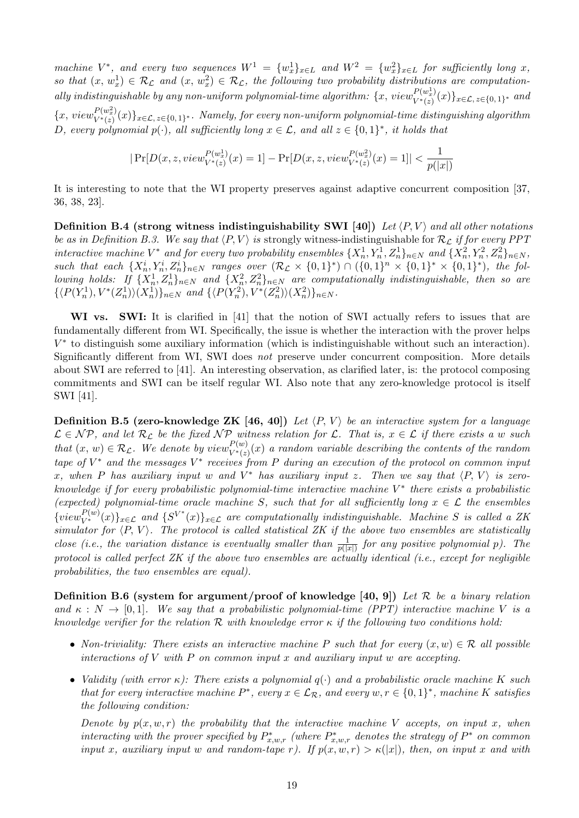machine  $V^*$ , and every two sequences  $W^1 = \{w_x^1\}_{x \in L}$  and  $W^2 = \{w_x^2\}_{x \in L}$  for sufficiently long x, *so that*  $(x, w_x^1) \in \mathcal{R}_\mathcal{L}$  and  $(x, w_x^2) \in \mathcal{R}_\mathcal{L}$ , the following two probability distributions are computation*ally indistinguishable by any non-uniform polynomial-time algorithm:*  $\{x, view^{P(w_x^1)}_{V^*(x)}\}$ *V ∗*(*z*) (*x*)*}x∈L, z∈{*0*,* <sup>1</sup>*} <sup>∗</sup> and*  ${x, view}_{V^*(z)}^{P(w_x^2)}$  $V^{* (w_x)}_{V^{*}(z)}(x)\}_{x\in\mathcal{L},\,z\in\{0,1\}^*}.$  Namely, for every non-uniform polynomial-time distinguishing algorithm *D*, every polynomial  $p(\cdot)$ , all sufficiently long  $x \in \mathcal{L}$ , and all  $z \in \{0,1\}^*$ , it holds that

$$
|\Pr[D(x,z,view^{P(w_x^1)}_{V^*(z)}(x)=1]-\Pr[D(x,z,view^{P(w_x^2)}_{V^*(z)}(x)=1]|<\frac{1}{p(|x|)}
$$

It is interesting to note that the WI property preserves against adaptive concurrent composition [37, 36, 38, 23].

**Definition B.4 (strong witness indistinguishability SWI [40])** *Let ⟨P, V ⟩ and all other notations be as in Definition B.3. We say that*  $\langle P, V \rangle$  *is* strongly witness-indistinguishable for  $\mathcal{R}_\mathcal{L}$  *if for every PPT* interactive machine  $V^*$  and for every two probability ensembles  $\{X_n^1, Y_n^1, Z_n^1\}_{n\in N}$  and  $\{X_n^2, Y_n^2, Z_n^2\}_{n\in N}$ , such that each  $\{X_n^i, Y_n^i, Z_n^i\}_{n \in \mathbb{N}}$  ranges over  $(\mathcal{R}_{\mathcal{L}} \times \{0,1\}^*) \cap (\{0,1\}^n \times \{0,1\}^* \times \{0,1\}^*)$ , the following holds: If  $\{X_n^1, Z_n^1\}_{n\in\mathbb{N}}$  and  $\{X_n^2, Z_n^2\}_{n\in\mathbb{N}}$  are computationally indistinguishable, then so are  $\{\langle P(Y_n^1), V^*(Z_n^1)\rangle(X_n^1)\}_{n\in\mathbb{N}}\ and\ \{\langle P(Y_n^2), V^*(Z_n^2)\rangle(X_n^2)\}_{n\in\mathbb{N}}.$ 

WI vs. SWI: It is clarified in [41] that the notion of SWI actually refers to issues that are fundamentally different from WI. Specifically, the issue is whether the interaction with the prover helps *V*<sup>∗</sup> to distinguish some auxiliary information (which is indistinguishable without such an interaction). Significantly different from WI, SWI does *not* preserve under concurrent composition. More details about SWI are referred to [41]. An interesting observation, as clarified later, is: the protocol composing commitments and SWI can be itself regular WI. Also note that any zero-knowledge protocol is itself SWI [41].

**Definition B.5 (zero-knowledge ZK [46, 40])** Let  $\langle P, V \rangle$  be an interactive system for a language  $\mathcal{L} \in \mathcal{NP}$ , and let  $\mathcal{R}_{\mathcal{L}}$  be the fixed  $\mathcal{NP}$  witness relation for  $\mathcal{L}$ . That is,  $x \in \mathcal{L}$  if there exists a *w* such *that*  $(x, w) \in \mathcal{R}_\mathcal{L}$ . We denote by  $view_{V^*(z)}^{P(w)}(x)$  a random variable describing the contents of the random *tape of V <sup>∗</sup> and the messages V ∗ receives from P during an execution of the protocol on common input x*, when P has auxiliary input w and  $V^*$  has auxiliary input *z*. Then we say that  $\langle P, V \rangle$  is zero*knowledge if for every probabilistic polynomial-time interactive machine V ∗ there exists a probabilistic (expected) polynomial-time oracle machine S, such that for all sufficiently long*  $x \in \mathcal{L}$  *the ensembles*  $\{view_{V^*}^{P(w)}(x)\}_{x\in\mathcal{L}}$  and  $\{S^{V^*}(x)\}_{x\in\mathcal{L}}$  are computationally indistinguishable. Machine S is called a ZK *simulator for*  $\langle P, V \rangle$ *. The protocol is called statistical ZK if the above two ensembles are statistically close (i.e., the variation distance is eventually smaller than*  $\frac{1}{p(|x|)}$  *for any positive polynomial p). The protocol is called perfect ZK if the above two ensembles are actually identical (i.e., except for negligible probabilities, the two ensembles are equal).*

**Definition B.6 (system for argument/proof of knowledge [40, 9])** *Let R be a binary relation and*  $\kappa : N \to [0,1]$ *. We say that a probabilistic polynomial-time (PPT) interactive machine V is a knowledge verifier for the relation R with knowledge error κ if the following two conditions hold:*

- *• Non-triviality: There exists an interactive machine P such that for every* (*x, w*) *∈ R all possible interactions of V with P on common input x and auxiliary input w are accepting.*
- *• Validity (with error κ): There exists a polynomial q*(*·*) *and a probabilistic oracle machine K such that for every interactive machine*  $P^*$ *, every*  $x \in \mathcal{L}_{\mathcal{R}}$ *, and every*  $w, r \in \{0,1\}^*$ *, machine*  $K$  *satisfies the following condition:*

*Denote by*  $p(x, w, r)$  *the probability that the interactive machine V accepts, on input x, when interacting with the prover specified by*  $P_{x,w,r}^*$  *(where*  $P_{x,w,r}^*$  *denotes the strategy of*  $P^*$  *on common input x*, *auxiliary input w and random-tape r*). If  $p(x, w, r) > \kappa(|x|)$ , *then, on input x and with*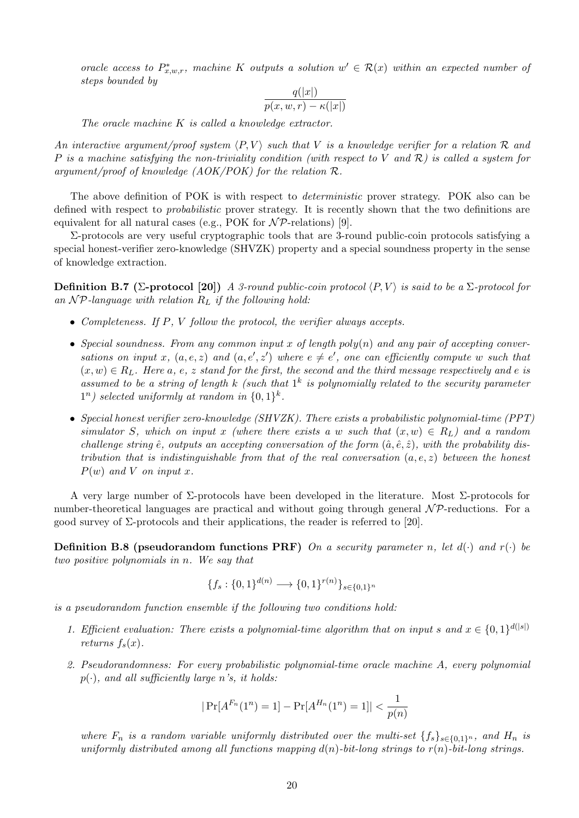*oracle access to*  $P_{x,w,r}^*$ *, machine K outputs a solution*  $w' \in \mathcal{R}(x)$  *within an expected number of steps bounded by*

$$
\frac{q(|x|)}{p(x,w,r)-\kappa(|x|)}
$$

*The oracle machine K is called a knowledge extractor.*

*An interactive argument/proof system ⟨P, V ⟩ such that V is a knowledge verifier for a relation R and P is a machine satisfying the non-triviality condition (with respect to V and R) is called a system for argument/proof of knowledge (AOK/POK) for the relation R.*

The above definition of POK is with respect to *deterministic* prover strategy. POK also can be defined with respect to *probabilistic* prover strategy. It is recently shown that the two definitions are equivalent for all natural cases (e.g., POK for  $N\mathcal{P}$ -relations) [9].

Σ-protocols are very useful cryptographic tools that are 3-round public-coin protocols satisfying a special honest-verifier zero-knowledge (SHVZK) property and a special soundness property in the sense of knowledge extraction.

**Definition B.7 (**Σ**-protocol [20])** *A 3-round public-coin protocol ⟨P, V ⟩ is said to be a* Σ*-protocol for an N P-language with relation R<sup>L</sup> if the following hold:*

- *• Completeness. If P, V follow the protocol, the verifier always accepts.*
- *• Special soundness. From any common input x of length poly*(*n*) *and any pair of accepting conversations on input x*,  $(a, e, z)$  *and*  $(a, e', z')$  *where*  $e \neq e'$ , *one can efficiently compute w such that*  $(x, w) \in R_L$ *. Here a*, *e*, *z stand for the first, the second and the third message respectively and <i>e is* assumed to be a string of length  $k$  (such that  $1^k$  is polynomially related to the security parameter  $1^n$ ) selected uniformly at random in  $\{0,1\}^k$ .
- *• Special honest verifier zero-knowledge (SHVZK). There exists a probabilistic polynomial-time (PPT) simulator S*, which on input *x* (where there exists a *w* such that  $(x, w) \in R_L$ ) and a random *challenge string*  $\hat{e}$ *, outputs an accepting conversation of the form*  $(\hat{a}, \hat{e}, \hat{z})$ *, with the probability distribution that is indistinguishable from that of the real conversation* (*a, e, z*) *between the honest*  $P(w)$  *and*  $V$  *on input*  $x$ *.*

A very large number of Σ-protocols have been developed in the literature. Most Σ-protocols for number-theoretical languages are practical and without going through general  $N\mathcal{P}$ -reductions. For a good survey of  $\Sigma$ -protocols and their applications, the reader is referred to [20].

**Definition B.8 (pseudorandom functions PRF)** *On a security parameter n, let d*(*·*) *and r*(*·*) *be two positive polynomials in n. We say that*

$$
\{f_s: \{0,1\}^{d(n)} \longrightarrow \{0,1\}^{r(n)}\}_{s \in \{0,1\}^n}
$$

*is a pseudorandom function ensemble if the following two conditions hold:*

- *1. Efficient evaluation: There exists a polynomial-time algorithm that on input s and*  $x \in \{0,1\}^{d(|s|)}$ *returns*  $f_s(x)$ *.*
- *2. Pseudorandomness: For every probabilistic polynomial-time oracle machine A, every polynomial p*(*·*)*, and all sufficiently large n's, it holds:*

$$
|\Pr[A^{F_n}(1^n) = 1] - \Pr[A^{H_n}(1^n) = 1]| < \frac{1}{p(n)}
$$

*where*  $F_n$  *is a random variable uniformly distributed over the multi-set*  $\{f_s\}_{s\in\{0,1\}^n}$ , and  $H_n$  *is uniformly distributed among all functions mapping*  $d(n)$ *-bit-long strings to*  $r(n)$ *-bit-long strings.*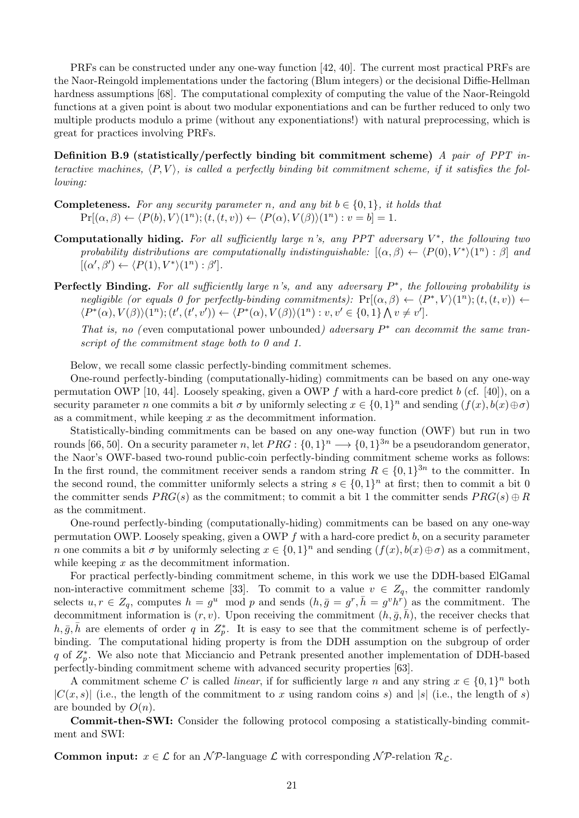PRFs can be constructed under any one-way function [42, 40]. The current most practical PRFs are the Naor-Reingold implementations under the factoring (Blum integers) or the decisional Diffie-Hellman hardness assumptions [68]. The computational complexity of computing the value of the Naor-Reingold functions at a given point is about two modular exponentiations and can be further reduced to only two multiple products modulo a prime (without any exponentiations!) with natural preprocessing, which is great for practices involving PRFs.

**Definition B.9 (statistically/perfectly binding bit commitment scheme)** *A pair of PPT interactive machines,*  $\langle P, V \rangle$ *, is called a perfectly binding bit commitment scheme, if it satisfies the following:*

- **Completeness.** For any security parameter *n*, and any bit  $b \in \{0, 1\}$ , it holds that  $\Pr[(\alpha, \beta) \leftarrow \langle P(b), V \rangle (1^n); (t, (t, v)) \leftarrow \langle P(\alpha), V(\beta) \rangle (1^n): v = b] = 1.$
- **Computationally hiding.** *For all sufficiently large n's, any PPT adversary V ∗ , the following two probability distributions are computationally indistinguishable:*  $[(\alpha, \beta) \leftarrow \langle P(0), V^* \rangle (1^n) : \beta]$  and  $[(\alpha', \beta') \leftarrow \langle P(1), V^* \rangle (1^n) : \beta'].$
- **Perfectly Binding.** *For all sufficiently large n's, and* any *adversary P ∗ , the following probability is negligible (or equals 0 for perfectly-binding commitments):*  $Pr[(\alpha, \beta) \leftarrow \langle P^*, V \rangle (1^n); (t, (t, v)) \leftarrow$  $\langle P^*(\alpha), V(\beta) \rangle (1^n); (t', (t', v')) \leftarrow \langle P^*(\alpha), V(\beta) \rangle (1^n): v, v' \in \{0, 1\} \bigwedge v \neq v'.$

*That is, no (* even computational power unbounded*) adversary P ∗ can decommit the same transcript of the commitment stage both to 0 and 1.*

Below, we recall some classic perfectly-binding commitment schemes.

One-round perfectly-binding (computationally-hiding) commitments can be based on any one-way permutation OWP [10, 44]. Loosely speaking, given a OWP *f* with a hard-core predict *b* (cf. [40]), on a security parameter *n* one commits a bit  $\sigma$  by uniformly selecting  $x \in \{0,1\}^n$  and sending  $(f(x), b(x) \oplus \sigma)$ as a commitment, while keeping *x* as the decommitment information.

Statistically-binding commitments can be based on any one-way function (OWF) but run in two rounds [66, 50]. On a security parameter *n*, let  $PRG: \{0,1\}^n \longrightarrow \{0,1\}^{3n}$  be a pseudorandom generator, the Naor's OWF-based two-round public-coin perfectly-binding commitment scheme works as follows: In the first round, the commitment receiver sends a random string  $R \in \{0,1\}^{3n}$  to the committer. In the second round, the committer uniformly selects a string  $s \in \{0,1\}^n$  at first; then to commit a bit 0 the committer sends  $PRG(s)$  as the commitment; to commit a bit 1 the committer sends  $PRG(s) \oplus R$ as the commitment.

One-round perfectly-binding (computationally-hiding) commitments can be based on any one-way permutation OWP. Loosely speaking, given a OWP *f* with a hard-core predict *b*, on a security parameter *n* one commits a bit  $\sigma$  by uniformly selecting  $x \in \{0,1\}^n$  and sending  $(f(x), b(x) \oplus \sigma)$  as a commitment, while keeping *x* as the decommitment information.

For practical perfectly-binding commitment scheme, in this work we use the DDH-based ElGamal non-interactive commitment scheme [33]. To commit to a value  $v \in Z_q$ , the committer randomly selects  $u, r \in Z_q$ , computes  $h = g^u \mod p$  and sends  $(h, \bar{g} = g^r, \bar{h} = g^v h^r)$  as the commitment. The decommitment information is  $(r, v)$ . Upon receiving the commitment  $(h, \bar{g}, \bar{h})$ , the receiver checks that  $h, \bar{g}, \bar{h}$  are elements of order *q* in  $Z_p^*$ . It is easy to see that the commitment scheme is of perfectlybinding. The computational hiding property is from the DDH assumption on the subgroup of order *q* of  $Z_p^*$ . We also note that Micciancio and Petrank presented another implementation of DDH-based perfectly-binding commitment scheme with advanced security properties [63].

A commitment scheme *C* is called *linear*, if for sufficiently large *n* and any string  $x \in \{0,1\}^n$  both  $|C(x, s)|$  (i.e., the length of the commitment to *x* using random coins *s*) and |*s*| (i.e., the length of *s*) are bounded by  $O(n)$ .

**Commit-then-SWI:** Consider the following protocol composing a statistically-binding commitment and SWI:

**Common input:**  $x \in \mathcal{L}$  for an  $\mathcal{NP}$ -language  $\mathcal{L}$  with corresponding  $\mathcal{NP}$ -relation  $\mathcal{R}_{\mathcal{L}}$ .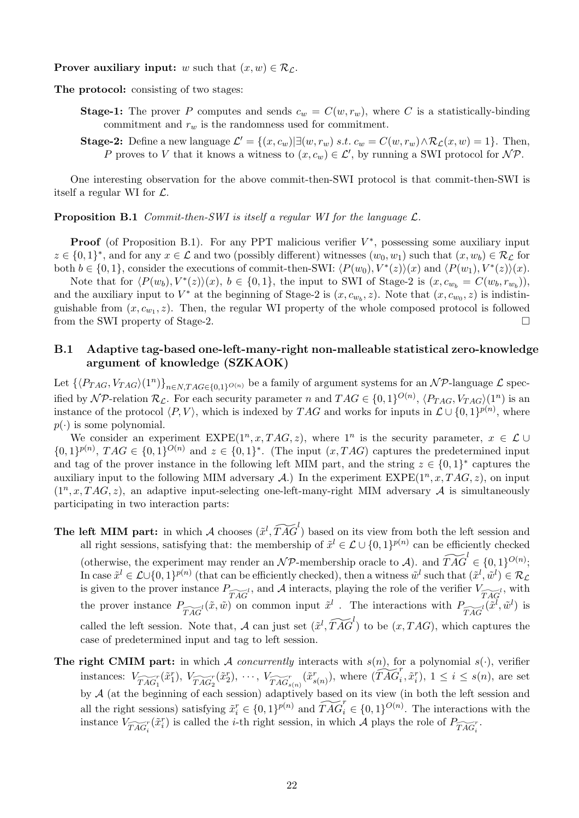### **Prover auxiliary input:** *w* such that  $(x, w) \in \mathcal{R}_\mathcal{L}$ .

**The protocol:** consisting of two stages:

- **Stage-1:** The prover *P* computes and sends  $c_w = C(w, r_w)$ , where *C* is a statistically-binding commitment and  $r_w$  is the randomness used for commitment.
- **Stage-2:** Define a new language  $\mathcal{L}' = \{(x, c_w) | \exists (w, r_w) \ s.t. \ c_w = C(w, r_w) \land \mathcal{R}_{\mathcal{L}}(x, w) = 1\}.$  Then, *P* proves to *V* that it knows a witness to  $(x, c_w) \in \mathcal{L}'$ , by running a SWI protocol for  $\mathcal{NP}$ .

One interesting observation for the above commit-then-SWI protocol is that commit-then-SWI is itself a regular WI for *L*.

**Proposition B.1** *Commit-then-SWI is itself a regular WI for the language L.*

**Proof** (of Proposition B.1). For any PPT malicious verifier *V ∗* , possessing some auxiliary input  $z \in \{0,1\}^*$ , and for any  $x \in \mathcal{L}$  and two (possibly different) witnesses  $(w_0, w_1)$  such that  $(x, w_b) \in \mathcal{R}_\mathcal{L}$  for both  $b \in \{0,1\}$ , consider the executions of commit-then-SWI:  $\langle P(w_0), V^*(z) \rangle(x)$  and  $\langle P(w_1), V^*(z) \rangle(x)$ .

Note that for  $\langle P(w_b), V^*(z)\rangle(x)$ ,  $b \in \{0,1\}$ , the input to SWI of Stage-2 is  $(x, c_{w_b} = C(w_b, r_{w_b}))$ , and the auxiliary input to  $V^*$  at the beginning of Stage-2 is  $(x, c_{w_b}, z)$ . Note that  $(x, c_{w_0}, z)$  is indistinguishable from  $(x, c_{w_1}, z)$ . Then, the regular WI property of the whole composed protocol is followed from the SWI property of Stage-2.

### **B.1 Adaptive tag-based one-left-many-right non-malleable statistical zero-knowledge argument of knowledge (SZKAOK)**

Let  $\{P_{TAG}, V_{TAG}\}(1^n)\}_{n \in N, TAG \in \{0,1\}^{O(n)}}$  be a family of argument systems for an  $\mathcal{NP}$ -language  $\mathcal{L}$  specified by NP-relation  $\mathcal{R}_{\mathcal{L}}$ . For each security parameter n and  $TAG \in \{0,1\}^{O(n)}$ ,  $\langle P_{TAG}, V_{TAG}\rangle(1^n)$  is an instance of the protocol  $\langle P, V \rangle$ , which is indexed by *TAG* and works for inputs in  $\mathcal{L} \cup \{0, 1\}^{p(n)}$ , where  $p(\cdot)$  is some polynomial.

We consider an experiment  $EXPE(1^n, x, TAG, z)$ , where  $1^n$  is the security parameter,  $x \in \mathcal{L} \cup$  $\{0,1\}^{p(n)}$ , *TAG*  $\in \{0,1\}^{O(n)}$  and  $z \in \{0,1\}^*$ . (The input  $(x, TAG)$  captures the predetermined input and tag of the prover instance in the following left MIM part, and the string  $z \in \{0,1\}^*$  captures the auxiliary input to the following MIM adversary  $A$ .) In the experiment  $\text{EXPE}(1^n, x, TAG, z)$ , on input  $(1^n, x, TAG, z)$ , an adaptive input-selecting one-left-many-right MIM adversary *A* is simultaneously participating in two interaction parts:

- **The left MIM part:** in which *A* chooses  $(\tilde{x}^l, \widetilde{TAG}^l)$  based on its view from both the left session and all right sessions, satisfying that: the membership of  $\tilde{x}^l \in \mathcal{L} \cup \{0,1\}^{p(n)}$  can be efficiently checked (otherwise, the experiment may render an *NP*-membership oracle to *A*). and  $\widetilde{TAG}^l \in \{0,1\}^{O(n)}$ ; In case  $\tilde{x}^l \in \mathcal{L} \cup \{0,1\}^{p(n)}$  (that can be efficiently checked), then a witness  $\tilde{w}^l$  such that  $(\tilde{x}^l, \tilde{w}^l) \in \mathcal{R}_\mathcal{L}$ is given to the prover instance  $P_{\widetilde{TAG}}$ , and *A* interacts, playing the role of the verifier  $V_{\widetilde{TAG}}$ , with the prover instance  $P_{\widetilde{TAG}}(\tilde{x}, \tilde{w})$  on common input  $\tilde{x}^l$ . The interactions with  $P_{\widetilde{TAG}}(\tilde{x}^l, \tilde{w}^l)$  is called the left session. Note that, *A* can just set  $(\tilde{x}^l, \widetilde{TAG}^l)$  to be  $(x, TAG)$ , which captures the case of predetermined input and tag to left session.
- **The right CMIM part:** in which *A concurrently* interacts with  $s(n)$ , for a polynomial  $s(\cdot)$ , verifier instances:  $V_{\widetilde{TAG}_1}(\tilde{x}_1^r)$ ,  $V_{\widetilde{TAG}_2}(\tilde{x}_2^r)$ ,  $\cdots$ ,  $V_{\widetilde{TAG}_{s(n)}}(\tilde{x}_{s(n)}^r)$ , where  $(\widetilde{TAG}_i^r, \tilde{x}_i^r)$ ,  $1 \leq i \leq s(n)$ , are set by *A* (at the beginning of each session) adaptively based on its view (in both the left session and all the right sessions) satisfying  $\tilde{x}_i^r \in \{0,1\}^{p(n)}$  and  $\widetilde{TAG}_i^r \in \{0,1\}^{O(n)}$ . The interactions with the instance  $V_{\widetilde{TAG}_i^r}(\tilde{x}_i^r)$  is called the *i*-th right session, in which *A* plays the role of  $P_{\widetildeTAG}_i^r$ .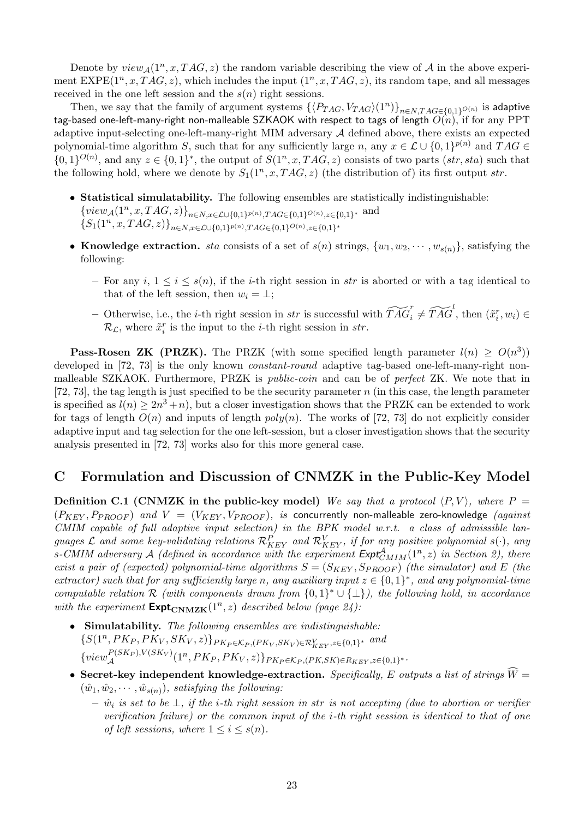Denote by  $view_{\mathcal{A}}(1^n, x, TAG, z)$  the random variable describing the view of  $\mathcal{A}$  in the above experiment  $EXPE(1^n, x, TAG, z)$ , which includes the input  $(1^n, x, TAG, z)$ , its random tape, and all messages received in the one left session and the  $s(n)$  right sessions.

Then, we say that the family of argument systems  $\{\langle P_{TAG}, V_{TAG}\rangle(1^n)\}_{n\in N, TAG \in \{0,1\}^{O(n)}}$  is adaptive tag-based one-left-many-right non-malleable SZKAOK with respect to tags of length *O*(*n*), if for any PPT adaptive input-selecting one-left-many-right MIM adversary *A* defined above, there exists an expected polynomial-time algorithm *S*, such that for any sufficiently large *n*, any  $x \in \mathcal{L} \cup \{0, 1\}^{p(n)}$  and  $TAG \in$  $\{0,1\}^{O(n)}$ , and any  $z \in \{0,1\}^*$ , the output of  $S(1^n, x, TAG, z)$  consists of two parts (*str, sta*) such that the following hold, where we denote by  $S_1(1^n, x, TAG, z)$  (the distribution of) its first output *str*.

- *•* **Statistical simulatability.** The following ensembles are statistically indistinguishable:  $\{view_{\mathcal{A}}(1^n, x, TAG, z)\}_{n \in N, x \in \mathcal{L} \cup \{0,1\}^{p(n)}, TAG \in \{0,1\}^{O(n)}, z \in \{0,1\}^*}$  and  ${S_1(1^n, x, TAG, z)}_{n \in N, x \in \mathcal{L} \cup \{0,1\}^{p(n)}, TAG \in \{0,1\}^{O(n)}, z \in \{0,1\}^*}$
- **Knowledge extraction.** *sta* consists of a set of  $s(n)$  strings,  $\{w_1, w_2, \dots, w_{s(n)}\}$ , satisfying the following:
	- **–** For any *i*, 1 *≤ i ≤ s*(*n*), if the *i*-th right session in *str* is aborted or with a tag identical to that of the left session, then  $w_i = \perp$ ;
	- $\overline{A}$   $\overline{C}$   $\overline{C}$   $\overline{C}$   $\overline{C}$   $\overline{C}$   $\overline{C}$   $\overline{C}$   $\overline{C}$   $\overline{C}$   $\overline{C}$   $\overline{C}$   $\overline{C}$   $\overline{C}$   $\overline{C}$   $\overline{C}$   $\overline{C}$   $\overline{C}$   $\overline{C}$   $\overline{C}$   $\overline{C}$   $\overline{C}$   $\overline{C}$   $\overline{C}$   $\overline{$  $\mathcal{R}_\mathcal{L}$ , where  $\tilde{x}_i^r$  is the input to the *i*-th right session in *str*.

**Pass-Rosen ZK (PRZK).** The PRZK (with some specified length parameter  $l(n) \geq O(n^3)$ ) developed in [72, 73] is the only known *constant-round* adaptive tag-based one-left-many-right nonmalleable SZKAOK. Furthermore, PRZK is *public-coin* and can be of *perfect* ZK. We note that in [72, 73], the tag length is just specified to be the security parameter *n* (in this case, the length parameter is specified as  $l(n) \geq 2n^3 + n$ , but a closer investigation shows that the PRZK can be extended to work for tags of length  $O(n)$  and inputs of length  $poly(n)$ . The works of [72, 73] do not explicitly consider adaptive input and tag selection for the one left-session, but a closer investigation shows that the security analysis presented in [72, 73] works also for this more general case.

### **C Formulation and Discussion of CNMZK in the Public-Key Model**

**Definition C.1 (CNMZK in the public-key model)** We say that a protocol  $\langle P, V \rangle$ , where P  $(P_{KEY}, P_{PROOF})$  and  $V = (V_{KEY}, V_{PROOF})$ , is concurrently non-malleable zero-knowledge *(against*) *CMIM capable of full adaptive input selection) in the BPK model w.r.t. a class of admissible languages*  $\mathcal{L}$  *and some key-validating relations*  $\mathcal{R}_{KEY}^P$  *and*  $\mathcal{R}_{KEY}^V$ *, if for any positive polynomial s*(*·*)*, any s*-CMIM adversary *A* (defined in accordance with the experiment  $\textsf{Expt}_{CMM}^{\mathcal{A}}(1^n, z)$  in Section 2), there *exist a pair of (expected) polynomial-time algorithms*  $S = (S_{KEY}, S_{PROOF})$  *(the simulator) and*  $E$  *(the extractor)* such that for any sufficiently large *n*, any auxiliary input  $z \in \{0,1\}^*$ , and any polynomial-time *computable relation*  $\mathcal{R}$  *(with components drawn from*  $\{0,1\}^* \cup \{\perp\}$ *), the following hold, in accordance with the experiment*  $\text{Expt}_{\text{CNMZK}}(1^n, z)$  *described below (page 24)*:

- *•* **Simulatability.** *The following ensembles are indistinguishable:*  $\{S(1^n, PK_P, PK_V, SK_V, z)\}_{PK_P \in \mathcal{K}_P, (PK_V, SK_V) \in \mathcal{R}_{KEY}^V, z \in \{0,1\}^*}$  and  $\{view_{\mathcal{A}}^{P(SK_{P}),V(SK_{V})}(1^{n},PK_{P},PK_{V},z)\}_{PK_{P}\in\mathcal{K}_{P},(PK,SK)\in R_{KEY},z\in\{0,1\}^{*}}$
- **Secret-key independent knowledge-extraction.** *Specifically,*  $E$  *outputs a list of strings*  $\widehat{W}$  =  $(\hat{w}_1, \hat{w}_2, \cdots, \hat{w}_{s(n)})$ *, satisfying the following:* 
	- **–** *w*ˆ*<sup>i</sup> is set to be ⊥, if the i-th right session in str is not accepting (due to abortion or verifier verification failure) or the common input of the i-th right session is identical to that of one of left sessions, where*  $1 \leq i \leq s(n)$ *.*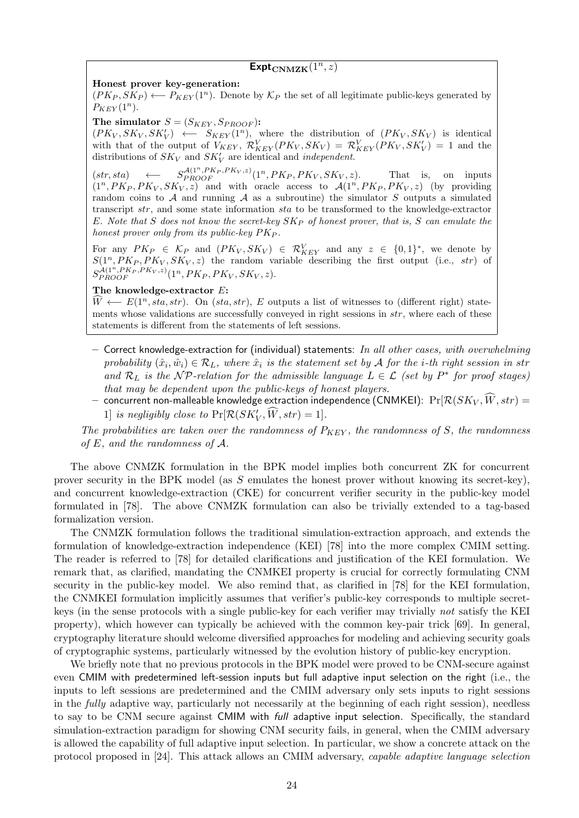# $\frac{1}{\sqrt{\text{Expt}_{\text{CNMZK}}(1^n, z)}}$

**Honest prover key-generation:**

 $(PK_P, SK_P)$  *←−*  $P_{KEY}(1^n)$ . Denote by  $K_P$  the set of all legitimate public-keys generated by  $P_{KEY}(1^n)$ .

The simulator  $S = (S_{KEY}, S_{PROOF})$ :

 $(PK_V, SK_V, SK'_V) \leftarrow S_{KEY}(1^n)$ , where the distribution of  $(PK_V, SK_V)$  is identical with that of the output of  $V_{KEY}$ ,  $\mathcal{R}_{KEY}^V(PK_V, SK_V) = \mathcal{R}_{KEY}^V(PK_V, SK_V') = 1$  and the distributions of  $SK_V$  and  $SK'_V$  are identical and *independent*.

 $(str, sta)$  $\mathcal{A}(1^n, PK_P, PK_V,z)(1^n, PK_P, PK_V, SK_V, z)$ . That is, on inputs  $(1^n, PK_P, PK_V, SK_V, z)$  and with oracle access to  $\mathcal{A}(1^n, PK_P, PK_V, z)$  (by providing random coins to *A* and running *A* as a subroutine) the simulator *S* outputs a simulated transcript *str*, and some state information *sta* to be transformed to the knowledge-extractor *E*. *Note that S does not know the secret-key SK<sup>P</sup> of honest prover, that is, S can emulate the honest prover only from its public-key PK<sup>P</sup> .*

For any  $PK_P \in \mathcal{K}_P$  and  $(PK_V, SK_V) \in \mathcal{R}_{KEY}^V$  and any  $z \in \{0,1\}^*$ , we denote by  $S(1^n, PK_P, PK_V, SK_V, z)$  the random variable describing the first output (i.e., *str*) of  $S_{PROOF}^{\mathcal{A}(1^n, PK_P, PK_V,z)}(1^n, PK_P, PK_V, SK_V,z).$ 

#### **The knowledge-extractor** *E***:**

 $\hat{W} \leftarrow E(1^n, sta, str)$ . On (*sta, str*), *E* outputs a list of witnesses to (different right) statements whose validations are successfully conveyed in right sessions in *str*, where each of these statements is different from the statements of left sessions.

- **–** Correct knowledge-extraction for (individual) statements: *In all other cases, with overwhelming*  $p$ robability  $(\hat{x}_i, \hat{w}_i) \in \mathcal{R}_L$ , where  $\hat{x}_i$  is the statement set by A for the *i*-th right session in str *and*  $\mathcal{R}_L$  *is the*  $\mathcal{NP}$ *-relation for the admissible language*  $L \in \mathcal{L}$  *(set by*  $P^*$  *for proof stages) that may be dependent upon the public-keys of honest players.*
- $-$  concurrent non-malleable knowledge extraction independence (CNMKEI):  $\Pr[\mathcal{R}(SK_V, \widehat{W}, str) =$ 1] *is negligibly close to*  $\Pr[\mathcal{R}(SK'_V, \tilde{W}, str) = 1].$

*The probabilities are taken over the randomness of*  $P_{KEY}$ , the randomness of *S*, the randomness *of E, and the randomness of A.*

The above CNMZK formulation in the BPK model implies both concurrent ZK for concurrent prover security in the BPK model (as *S* emulates the honest prover without knowing its secret-key), and concurrent knowledge-extraction (CKE) for concurrent verifier security in the public-key model formulated in [78]. The above CNMZK formulation can also be trivially extended to a tag-based formalization version.

The CNMZK formulation follows the traditional simulation-extraction approach, and extends the formulation of knowledge-extraction independence (KEI) [78] into the more complex CMIM setting. The reader is referred to [78] for detailed clarifications and justification of the KEI formulation. We remark that, as clarified, mandating the CNMKEI property is crucial for correctly formulating CNM security in the public-key model. We also remind that, as clarified in [78] for the KEI formulation, the CNMKEI formulation implicitly assumes that verifier's public-key corresponds to multiple secretkeys (in the sense protocols with a single public-key for each verifier may trivially *not* satisfy the KEI property), which however can typically be achieved with the common key-pair trick [69]. In general, cryptography literature should welcome diversified approaches for modeling and achieving security goals of cryptographic systems, particularly witnessed by the evolution history of public-key encryption.

We briefly note that no previous protocols in the BPK model were proved to be CNM-secure against even CMIM with predetermined left-session inputs but full adaptive input selection on the right (i.e., the inputs to left sessions are predetermined and the CMIM adversary only sets inputs to right sessions in the *fully* adaptive way, particularly not necessarily at the beginning of each right session), needless to say to be CNM secure against CMIM with *full* adaptive input selection. Specifically, the standard simulation-extraction paradigm for showing CNM security fails, in general, when the CMIM adversary is allowed the capability of full adaptive input selection. In particular, we show a concrete attack on the protocol proposed in [24]. This attack allows an CMIM adversary, *capable adaptive language selection*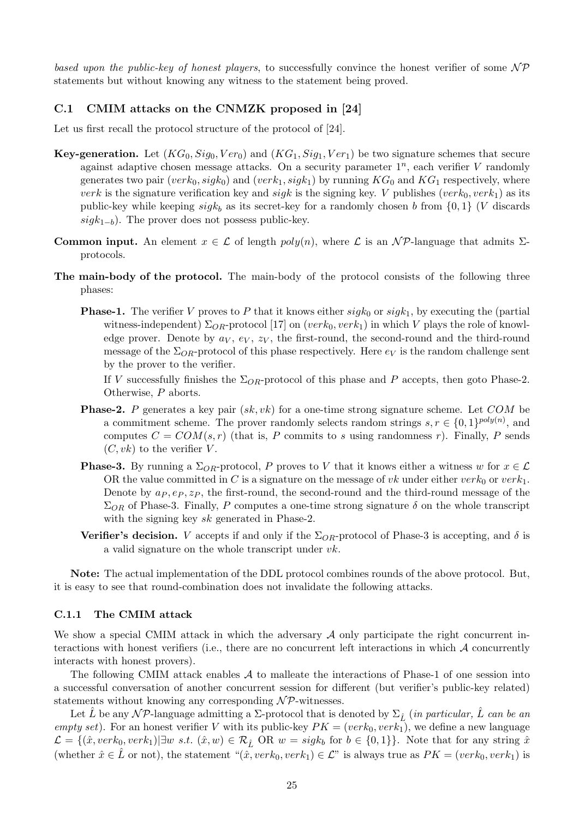*based upon the public-key of honest players*, to successfully convince the honest verifier of some *N P* statements but without knowing any witness to the statement being proved.

### **C.1 CMIM attacks on the CNMZK proposed in [24]**

Let us first recall the protocol structure of the protocol of [24].

- **Key-generation.** Let  $(KG_0, Sig_0, Ver_0)$  and  $(KG_1, Sig_1, Ver_1)$  be two signature schemes that secure against adaptive chosen message attacks. On a security parameter 1*<sup>n</sup>* , each verifier *V* randomly generates two pair  $(verk_0, sigk_0)$  and  $(verk_1, sigk_1)$  by running  $KG_0$  and  $KG_1$  respectively, where *verk* is the signature verification key and *sigk* is the signing key. *V* publishes (*verk*<sub>0</sub>*, verk*<sub>1</sub>) as its public-key while keeping  $sigk_b$  as its secret-key for a randomly chosen *b* from  $\{0,1\}$  (*V* discards *sigk*<sub>1−*b*</sub>). The prover does not possess public-key.
- **Common input.** An element  $x \in \mathcal{L}$  of length  $poly(n)$ , where  $\mathcal{L}$  is an *NP*-language that admits  $\Sigma$ protocols.
- The main-body of the protocol. The main-body of the protocol consists of the following three phases:
	- **Phase-1.** The verifier *V* proves to *P* that it knows either  $sigk_0$  or  $sigk_1$ , by executing the (partial witness-independent)  $\Sigma_{OR}$ -protocol [17] on (*verk*<sub>0</sub>, *verk*<sub>1</sub>) in which *V* plays the role of knowledge prover. Denote by  $a_V$ ,  $e_V$ ,  $z_V$ , the first-round, the second-round and the third-round message of the  $\Sigma_{OR}$ -protocol of this phase respectively. Here  $e_V$  is the random challenge sent by the prover to the verifier.

If *V* successfully finishes the  $\Sigma_{OR}$ -protocol of this phase and *P* accepts, then goto Phase-2. Otherwise, *P* aborts.

- **Phase-2.** *P* generates a key pair (*sk, vk*) for a one-time strong signature scheme. Let *COM* be a commitment scheme. The prover randomly selects random strings  $s, r \in \{0, 1\}^{poly(n)}$ , and computes  $C = COM(s, r)$  (that is, *P* commits to *s* using randomness *r*). Finally, *P* sends  $(C, vk)$  to the verifier V.
- **Phase-3.** By running a  $\Sigma_{OR}$ -protocol, *P* proves to *V* that it knows either a witness *w* for  $x \in \mathcal{L}$ OR the value committed in C is a signature on the message of *vk* under either  $verk_0$  or  $verk_1$ . Denote by *a<sup>P</sup> , e<sup>P</sup> , z<sup>P</sup>* , the first-round, the second-round and the third-round message of the  $\Sigma_{OR}$  of Phase-3. Finally, *P* computes a one-time strong signature  $\delta$  on the whole transcript with the signing key *sk* generated in Phase-2.
- **Verifier's decision.** *V* accepts if and only if the  $\Sigma_{OR}$ -protocol of Phase-3 is accepting, and  $\delta$  is a valid signature on the whole transcript under *vk*.

**Note:** The actual implementation of the DDL protocol combines rounds of the above protocol. But, it is easy to see that round-combination does not invalidate the following attacks.

### **C.1.1 The CMIM attack**

We show a special CMIM attack in which the adversary A only participate the right concurrent interactions with honest verifiers (i.e., there are no concurrent left interactions in which *A* concurrently interacts with honest provers).

The following CMIM attack enables *A* to malleate the interactions of Phase-1 of one session into a successful conversation of another concurrent session for different (but verifier's public-key related) statements without knowing any corresponding *N P*-witnesses.

Let  $\hat{L}$  be any  $\hat{N}P$ -language admitting a  $\Sigma$ -protocol that is denoted by  $\Sigma_{\hat{L}}$  (*in particular,*  $\hat{L}$  *can be an empty set*). For an honest verifier *V* with its public-key  $PK = (verk_0, verk_1)$ , we define a new language  $\mathcal{L} = \{(\hat{x}, \text{verk}_0, \text{verk}_1) | \exists w \text{ s.t. } (\hat{x}, w) \in \mathcal{R}_{\hat{L}} \text{ OR } w = \text{sigk}_b \text{ for } b \in \{0, 1\}\}.$  Note that for any string  $\hat{x}$ (whether  $\hat{x} \in \hat{L}$  or not), the statement " $(\hat{x}, verk_0, verk_1) \in \mathcal{L}$ " is always true as  $PK = (verk_0, verk_1)$  is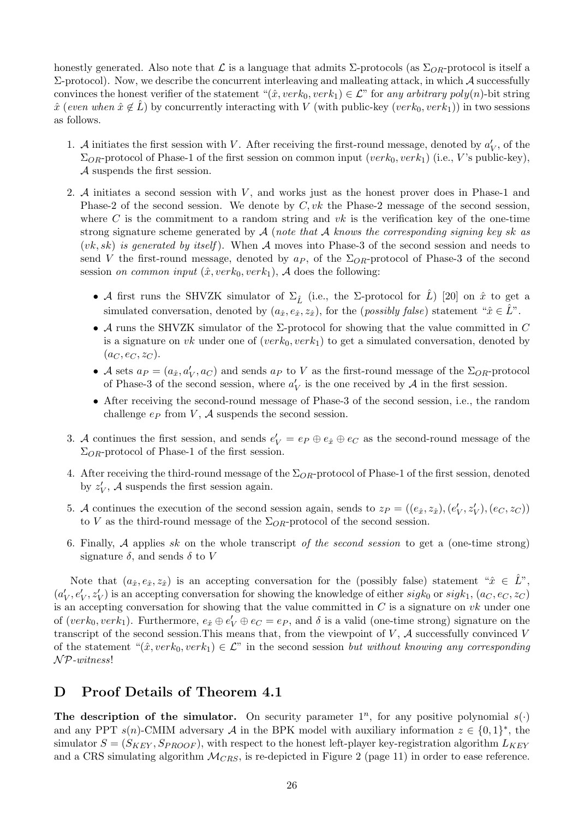honestly generated. Also note that  $\mathcal L$  is a language that admits  $\Sigma$ -protocols (as  $\Sigma_{OR}$ -protocol is itself a Σ-protocol). Now, we describe the concurrent interleaving and malleating attack, in which *A* successfully convinces the honest verifier of the statement " $(\hat{x}, verk_0, verk_1) \in \mathcal{L}$ " for *any arbitrary poly*(*n*)-bit string  $\hat{x}$  (*even when*  $\hat{x} \notin L$ ) by concurrently interacting with *V* (with public-key (*verk*<sub>0</sub>*, verk*<sub>1</sub>)) in two sessions as follows.

- 1. *A* initiates the first session with *V*. After receiving the first-round message, denoted by  $a'_{V}$ , of the  $\Sigma_{OR}$ -protocol of Phase-1 of the first session on common input (*verk*<sub>0</sub>, *verk*<sub>1</sub>) (i.e., *V*'s public-key), *A* suspends the first session.
- 2. *A* initiates a second session with *V* , and works just as the honest prover does in Phase-1 and Phase-2 of the second session. We denote by *C*, *vk* the Phase-2 message of the second session, where  $C$  is the commitment to a random string and  $vk$  is the verification key of the one-time strong signature scheme generated by *A* (*note that A knows the corresponding signing key sk as* (*vk, sk*) *is generated by itself* ). When *A* moves into Phase-3 of the second session and needs to send *V* the first-round message, denoted by  $a_P$ , of the  $\Sigma_{OR}$ -protocol of Phase-3 of the second session *on common input*  $(\hat{x}, \text{verk}_0, \text{verk}_1)$ , *A* does the following:
	- *A* first runs the SHVZK simulator of  $\Sigma_{\hat{L}}$  (i.e., the Σ-protocol for *L*) [20] on  $\hat{x}$  to get a simulated conversation, denoted by  $(a_{\hat{x}}, e_{\hat{x}}, z_{\hat{x}})$ , for the (*possibly false*) statement " $\hat{x} \in \hat{L}$ ".
	- *• A* runs the SHVZK simulator of the Σ-protocol for showing that the value committed in *C* is a signature on *vk* under one of  $(verk_0, verk_1)$  to get a simulated conversation, denoted by  $(a_C, e_C, z_C)$ .
	- *A* sets  $a_P = (a_{\hat{x}}, a'_V, a_C)$  and sends  $a_P$  to *V* as the first-round message of the  $\Sigma_{OR}$ -protocol of Phase-3 of the second session, where  $a'_V$  is the one received by  $A$  in the first session.
	- After receiving the second-round message of Phase-3 of the second session, i.e., the random challenge  $e_P$  from  $V$ ,  $A$  suspends the second session.
- 3. *A* continues the first session, and sends  $e'_V = e_P \oplus e_{\hat{x}} \oplus e_C$  as the second-round message of the Σ*OR*-protocol of Phase-1 of the first session.
- 4. After receiving the third-round message of the Σ*OR*-protocol of Phase-1 of the first session, denoted by  $z'_{V}$ ,  $A$  suspends the first session again.
- 5. A continues the execution of the second session again, sends to  $z_P = ((e_{\hat{x}}, z_{\hat{x}}), (e'_V, z'_V), (e_C, z_C))$ to *V* as the third-round message of the  $\Sigma_{OR}$ -protocol of the second session.
- 6. Finally, *A* applies *sk* on the whole transcript *of the second session* to get a (one-time strong) signature  $\delta$ , and sends  $\delta$  to *V*

Note that  $(a_{\hat{x}}, e_{\hat{x}}, z_{\hat{x}})$  is an accepting conversation for the (possibly false) statement " $\hat{x} \in \hat{L}$ ",  $(a'_V, e'_V, z'_V)$  is an accepting conversation for showing the knowledge of either  $sigk_0$  or  $sigk_1$ ,  $(a_C, e_C, z_C)$ is an accepting conversation for showing that the value committed in *C* is a signature on *vk* under one of  $(verk_0, verk_1)$ . Furthermore,  $e_{\hat{x}} \oplus e'_{V} \oplus e_{C} = e_{P}$ , and  $\delta$  is a valid (one-time strong) signature on the transcript of the second session. This means that, from the viewpoint of  $V$ ,  $A$  successfully convinced  $V$ of the statement " $(\hat{x}, verk_0, verk_1) \in \mathcal{L}$ " in the second session *but without knowing any corresponding N P-witness*!

### **D Proof Details of Theorem 4.1**

**The description of the simulator.** On security parameter  $1^n$ , for any positive polynomial  $s(\cdot)$ and any PPT  $s(n)$ -CMIM adversary *A* in the BPK model with auxiliary information  $z \in \{0,1\}^*$ , the simulator  $S = (S_{KEY}, S_{PROOF})$ , with respect to the honest left-player key-registration algorithm  $L_{KEY}$ and a CRS simulating algorithm  $\mathcal{M}_{CRS}$ , is re-depicted in Figure 2 (page 11) in order to ease reference.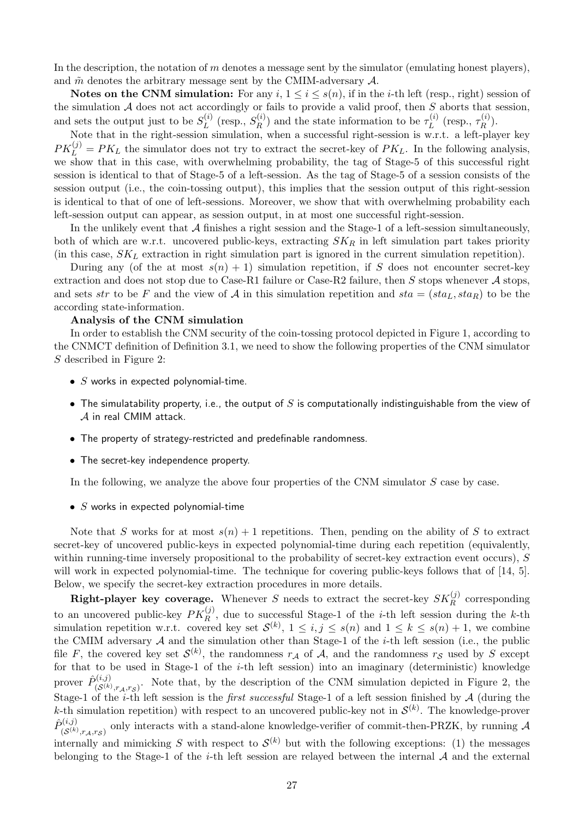In the description, the notation of *m* denotes a message sent by the simulator (emulating honest players), and  $\tilde{m}$  denotes the arbitrary message sent by the CMIM-adversary  $\mathcal{A}$ .

**Notes on the CNM simulation:** For any  $i, 1 \leq i \leq s(n)$ , if in the *i*-th left (resp., right) session of the simulation *A* does not act accordingly or fails to provide a valid proof, then *S* aborts that session, and sets the output just to be  $S_L^{(i)}$  $L^{(i)}$  (resp.,  $S_R^{(i)}$  $\binom{n}{R}$ ) and the state information to be  $\tau_L^{(i)}$  $\tau_L^{(i)}$  (resp.,  $\tau_R^{(i)}$  $\binom{l}{R}$ .

Note that in the right-session simulation, when a successful right-session is w.r.t. a left-player key  $PK_L^{(j)} = PK_L$  the simulator does not try to extract the secret-key of  $PK_L$ . In the following analysis, we show that in this case, with overwhelming probability, the tag of Stage-5 of this successful right session is identical to that of Stage-5 of a left-session. As the tag of Stage-5 of a session consists of the session output (i.e., the coin-tossing output), this implies that the session output of this right-session is identical to that of one of left-sessions. Moreover, we show that with overwhelming probability each left-session output can appear, as session output, in at most one successful right-session.

In the unlikely event that A finishes a right session and the Stage-1 of a left-session simultaneously, both of which are w.r.t. uncovered public-keys, extracting *SK<sup>R</sup>* in left simulation part takes priority (in this case, *SK<sup>L</sup>* extraction in right simulation part is ignored in the current simulation repetition).

During any (of the at most  $s(n) + 1$ ) simulation repetition, if *S* does not encounter secret-key extraction and does not stop due to Case-R1 failure or Case-R2 failure, then *S* stops whenever *A* stops, and sets *str* to be F and the view of A in this simulation repetition and  $sta = (sta_L, sta_R)$  to be the according state-information.

#### **Analysis of the CNM simulation**

In order to establish the CNM security of the coin-tossing protocol depicted in Figure 1, according to the CNMCT definition of Definition 3.1, we need to show the following properties of the CNM simulator *S* described in Figure 2:

- *• S* works in expected polynomial-time.
- *•* The simulatability property, i.e., the output of *S* is computationally indistinguishable from the view of *A* in real CMIM attack.
- *•* The property of strategy-restricted and predefinable randomness.
- *•* The secret-key independence property.

In the following, we analyze the above four properties of the CNM simulator *S* case by case.

*• S* works in expected polynomial-time

Note that *S* works for at most  $s(n) + 1$  repetitions. Then, pending on the ability of *S* to extract secret-key of uncovered public-keys in expected polynomial-time during each repetition (equivalently, within running-time inversely propositional to the probability of secret-key extraction event occurs), *S* will work in expected polynomial-time. The technique for covering public-keys follows that of [14, 5]. Below, we specify the secret-key extraction procedures in more details.

**Right-player key coverage.** Whenever *S* needs to extract the secret-key  $SK_R^{(j)}$  corresponding to an uncovered public-key  $PK_R^{(j)}$ , due to successful Stage-1 of the *i*-th left session during the *k*-th simulation repetition w.r.t. covered key set  $\mathcal{S}^{(k)}$ ,  $1 \leq i, j \leq s(n)$  and  $1 \leq k \leq s(n) + 1$ , we combine the CMIM adversary *A* and the simulation other than Stage-1 of the *i*-th left session (i.e., the public file F, the covered key set  $S^{(k)}$ , the randomness  $r_A$  of A, and the randomness  $r_S$  used by S except for that to be used in Stage-1 of the *i*-th left session) into an imaginary (deterministic) knowledge prover  $\hat{P}^{(i,j)}_{\zeta \in (k)}$  $(S^{(k)},r_A,r_S)$ . Note that, by the description of the CNM simulation depicted in Figure 2, the Stage-1 of the *i*-th left session is the *first successful* Stage-1 of a left session finished by *A* (during the *k*-th simulation repetition) with respect to an uncovered public-key not in  $\mathcal{S}^{(k)}$ . The knowledge-prover  $\hat{P}^{(i,j)}$ (*i,j*)  $(S^{(k)},r_A,r_S)$  only interacts with a stand-alone knowledge-verifier of commit-then-PRZK, by running A internally and mimicking *S* with respect to  $\mathcal{S}^{(k)}$  but with the following exceptions: (1) the messages belonging to the Stage-1 of the *i*-th left session are relayed between the internal *A* and the external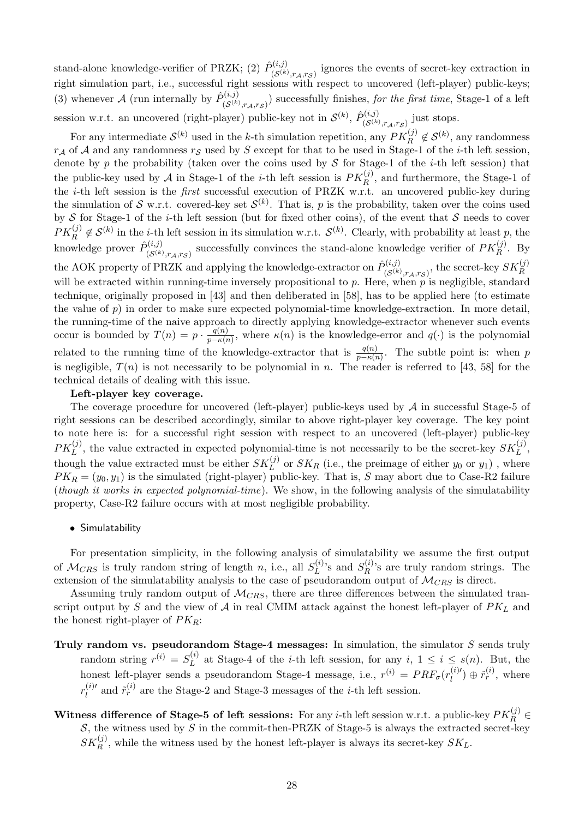stand-alone knowledge-verifier of PRZK; (2)  $\hat{P}^{(i,j)}_{c\leq k}$  $(S^{(k)},r_A,r_S)$  ignores the events of secret-key extraction in right simulation part, i.e., successful right sessions with respect to uncovered (left-player) public-keys; (3) whenever *A* (run internally by  $\hat{P}^{(i,j)}_{\zeta \zeta (k)}$  $(S^{(k)},r_A,r_S)$  successfully finishes, *for the first time*, Stage-1 of a left session w.r.t. an uncovered (right-player) public-key not in  $\mathcal{S}^{(k)}$ ,  $\hat{P}^{(i,j)}_{\zeta \zeta (k)}$  $(\mathcal{S}^{(k)}, r_{\mathcal{A}}, r_{\mathcal{S}})$  just stops.

For any intermediate  $\mathcal{S}^{(k)}$  used in the *k*-th simulation repetition, any  $PK_R^{(j)} \notin \mathcal{S}^{(k)}$ , any randomness *r<sup>A</sup>* of *A* and any randomness *r<sup>S</sup>* used by *S* except for that to be used in Stage-1 of the *i*-th left session, denote by  $p$  the probability (taken over the coins used by  $S$  for Stage-1 of the *i*-th left session) that the public-key used by  $A$  in Stage-1 of the *i*-th left session is  $PK_R^{(j)}$ , and furthermore, the Stage-1 of the *i*-th left session is the *first* successful execution of PRZK w.r.t. an uncovered public-key during the simulation of *S* w.r.t. covered-key set  $S^{(k)}$ . That is, *p* is the probability, taken over the coins used by *S* for Stage-1 of the *i*-th left session (but for fixed other coins), of the event that *S* needs to cover  $PK_R^{(j)} \notin S^{(k)}$  in the *i*-th left session in its simulation w.r.t.  $S^{(k)}$ . Clearly, with probability at least *p*, the knowledge prover  $\hat{P}^{(i,j)}_{\zeta \in (k)}$  $(S^{(k)}, r_A, r_S)$  successfully convinces the stand-alone knowledge verifier of  $PK_R^{(j)}$ . By the AOK property of PRZK and applying the knowledge-extractor on  $\hat{P}^{(i,j)}_{c\leq k}$  $(S^{(i,j)}_{\mathcal{S}^{(k)},r_A,r_S)}$ , the secret-key  $SK_R^{(j)}$ will be extracted within running-time inversely propositional to  $p$ . Here, when  $p$  is negligible, standard technique, originally proposed in [43] and then deliberated in [58], has to be applied here (to estimate the value of  $p$ ) in order to make sure expected polynomial-time knowledge-extraction. In more detail, the running-time of the naive approach to directly applying knowledge-extractor whenever such events occur is bounded by  $T(n) = p \cdot \frac{q(n)}{n - \kappa(n)}$  $\frac{q(n)}{p-\kappa(n)}$ , where  $\kappa(n)$  is the knowledge-error and  $q(\cdot)$  is the polynomial related to the running time of the knowledge-extractor that is  $\frac{q(n)}{p-\kappa(n)}$ . The subtle point is: when *p* is negligible,  $T(n)$  is not necessarily to be polynomial in *n*. The reader is referred to [43, 58] for the technical details of dealing with this issue.

### **Left-player key coverage.**

The coverage procedure for uncovered (left-player) public-keys used by *A* in successful Stage-5 of right sessions can be described accordingly, similar to above right-player key coverage. The key point to note here is: for a successful right session with respect to an uncovered (left-player) public-key  $PK_L^{(j)}$ , the value extracted in expected polynomial-time is not necessarily to be the secret-key  $SK_L^{(j)}$ , though the value extracted must be either  $SK_L^{(j)}$  or  $SK_R$  (i.e., the preimage of either  $y_0$  or  $y_1$ ), where  $PK_R = (y_0, y_1)$  is the simulated (right-player) public-key. That is, *S* may abort due to Case-R2 failure (*though it works in expected polynomial-time*). We show, in the following analysis of the simulatability property, Case-R2 failure occurs with at most negligible probability.

### *•* Simulatability

For presentation simplicity, in the following analysis of simulatability we assume the first output of  $M_{CRS}$  is truly random string of length *n*, i.e., all  $S_L^{(i)}$  $L^{(i)}$ 's and  $S_R^{(i)}$  $R^{(v)}$ 's are truly random strings. The extension of the simulatability analysis to the case of pseudorandom output of *MCRS* is direct.

Assuming truly random output of *MCRS*, there are three differences between the simulated transcript output by *S* and the view of *A* in real CMIM attack against the honest left-player of *PK<sup>L</sup>* and the honest right-player of *PKR*:

- **Truly random vs. pseudorandom Stage-4 messages:** In simulation, the simulator *S* sends truly random string  $r^{(i)} = S_L^{(i)}$  $L^{(i)}$  at Stage-4 of the *i*-th left session, for any *i*,  $1 \leq i \leq s(n)$ . But, the honest left-player sends a pseudorandom Stage-4 message, i.e.,  $r^{(i)} = PRF_{\sigma}(r_i^{(i)}')$  $\tilde{r}^{(i)}_l$   $\oplus$   $\tilde{r}^{(i)}_r$ , where  $r_l^{(i)\prime}$  $\tilde{r}_{l}^{(i)}$  and  $\tilde{r}_{r}^{(i)}$  are the Stage-2 and Stage-3 messages of the *i*-th left session.
- **Witness difference of Stage-5 of left sessions:** For any *i*-th left session w.r.t. a public-key  $PK_R^{(j)}$   $\in$ *S*, the witness used by *S* in the commit-then-PRZK of Stage-5 is always the extracted secret-key  $SK_R^{(j)}$ , while the witness used by the honest left-player is always its secret-key  $SK_L$ .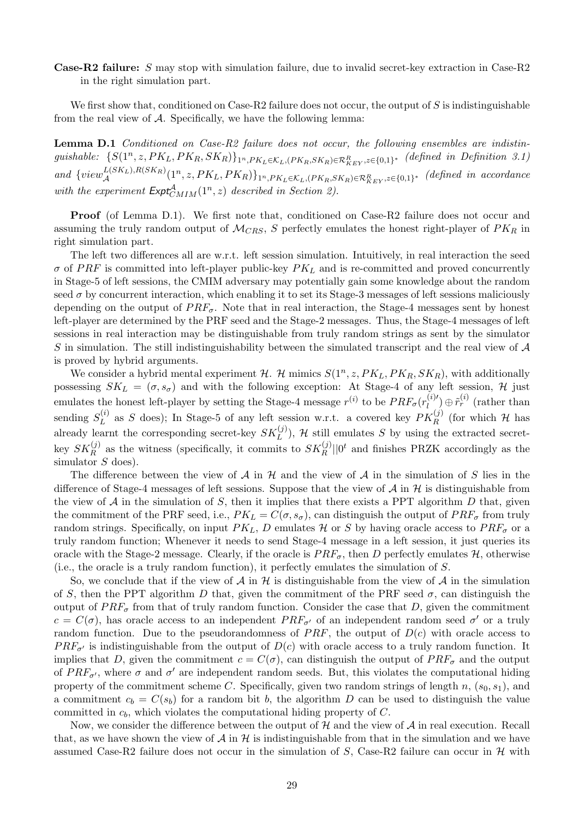**Case-R2 failure:** *S* may stop with simulation failure, due to invalid secret-key extraction in Case-R2 in the right simulation part.

We first show that, conditioned on Case-R2 failure does not occur, the output of *S* is indistinguishable from the real view of *A*. Specifically, we have the following lemma:

**Lemma D.1** *Conditioned on Case-R2 failure does not occur, the following ensembles are indistin*guishable:  $\{S(1^n, z, PK_L, PK_R, SK_R)\}_{1^n, PK_L \in \mathcal{K}_L, (PK_R, SK_R) \in \mathcal{R}_{KEY}^R, z \in \{0,1\}^*}$  (defined in Definition 3.1) and  $\{view_{\mathcal{A}}^{L(SK_L),R(SK_R)}(1^n,z,PK_L,PK_R)\}_{1^n,PK_L \in \mathcal{K}_L, (PK_R, SK_R) \in \mathcal{R}_{KEY}^R, z \in \{0,1\}^*}$  (defined in accordance with the experiment  $\text{Expt}_{CMM}^{\mathcal{A}}(1^n, z)$  described in Section 2).

Proof (of Lemma D.1). We first note that, conditioned on Case-R2 failure does not occur and assuming the truly random output of  $\mathcal{M}_{CRS}$ , *S* perfectly emulates the honest right-player of  $PK_R$  in right simulation part.

The left two differences all are w.r.t. left session simulation. Intuitively, in real interaction the seed  $\sigma$  of *PRF* is committed into left-player public-key  $PK_L$  and is re-committed and proved concurrently in Stage-5 of left sessions, the CMIM adversary may potentially gain some knowledge about the random seed  $\sigma$  by concurrent interaction, which enabling it to set its Stage-3 messages of left sessions maliciously depending on the output of  $PRF_\sigma$ . Note that in real interaction, the Stage-4 messages sent by honest left-player are determined by the PRF seed and the Stage-2 messages. Thus, the Stage-4 messages of left sessions in real interaction may be distinguishable from truly random strings as sent by the simulator *S* in simulation. The still indistinguishability between the simulated transcript and the real view of *A* is proved by hybrid arguments.

We consider a hybrid mental experiment  $H$ .  $H$  mimics  $S(1^n, z, PK_L, PK_R, SK_R)$ , with additionally possessing  $SK_L = (\sigma, s_{\sigma})$  and with the following exception: At Stage-4 of any left session, *H* just emulates the honest left-player by setting the Stage-4 message  $r^{(i)}$  to be  $PRF_{\sigma}(r_i^{(i)})$  $\tilde{r}_r^{(i)}$  (rather than sending  $S_L^{(i)}$  $L_L^{(i)}$  as *S* does); In Stage-5 of any left session w.r.t. a covered key  $PK_R^{(j)}$  (for which *H* has already learnt the corresponding secret-key  $SK_L^{(j)}$ ),  $\mathcal{H}$  still emulates *S* by using the extracted secretkey  $SK_R^{(j)}$  as the witness (specifically, it commits to  $SK_R^{(j)}||0^t$  and finishes PRZK accordingly as the simulator *S* does).

The difference between the view of  $A$  in  $H$  and the view of  $A$  in the simulation of  $S$  lies in the difference of Stage-4 messages of left sessions. Suppose that the view of *A* in *H* is distinguishable from the view of  $A$  in the simulation of  $S$ , then it implies that there exists a PPT algorithm  $D$  that, given the commitment of the PRF seed, i.e.,  $PK_L = C(\sigma, s_{\sigma})$ , can distinguish the output of  $PRF_{\sigma}$  from truly random strings. Specifically, on input  $PK_L$ ,  $D$  emulates  $H$  or  $S$  by having oracle access to  $PRF_{\sigma}$  or a truly random function; Whenever it needs to send Stage-4 message in a left session, it just queries its oracle with the Stage-2 message. Clearly, if the oracle is  $PRF_{\sigma}$ , then *D* perfectly emulates *H*, otherwise (i.e., the oracle is a truly random function), it perfectly emulates the simulation of *S*.

So, we conclude that if the view of  $\mathcal A$  in  $\mathcal H$  is distinguishable from the view of  $\mathcal A$  in the simulation of *S*, then the PPT algorithm *D* that, given the commitment of the PRF seed  $\sigma$ , can distinguish the output of  $PRF_{\sigma}$  from that of truly random function. Consider the case that *D*, given the commitment  $c = C(\sigma)$ , has oracle access to an independent *PRF<sub>σ</sub><sup><i>'*</sup></sup> of an independent random seed  $\sigma'$  or a truly random function. Due to the pseudorandomness of  $PRF$ , the output of  $D(c)$  with oracle access to  $PRF_{\sigma}$ <sup>*'*</sup> is indistinguishable from the output of *D*(*c*) with oracle access to a truly random function. It implies that *D*, given the commitment  $c = C(\sigma)$ , can distinguish the output of  $PRF_{\sigma}$  and the output of  $PRF_{\sigma'}$ , where  $\sigma$  and  $\sigma'$  are independent random seeds. But, this violates the computational hiding property of the commitment scheme *C*. Specifically, given two random strings of length *n*,  $(s_0, s_1)$ , and a commitment  $c_b = C(s_b)$  for a random bit *b*, the algorithm *D* can be used to distinguish the value committed in *cb*, which violates the computational hiding property of *C*.

Now, we consider the difference between the output of *H* and the view of *A* in real execution. Recall that, as we have shown the view of  $\mathcal A$  in  $\mathcal H$  is indistinguishable from that in the simulation and we have assumed Case-R2 failure does not occur in the simulation of  $S$ , Case-R2 failure can occur in  $H$  with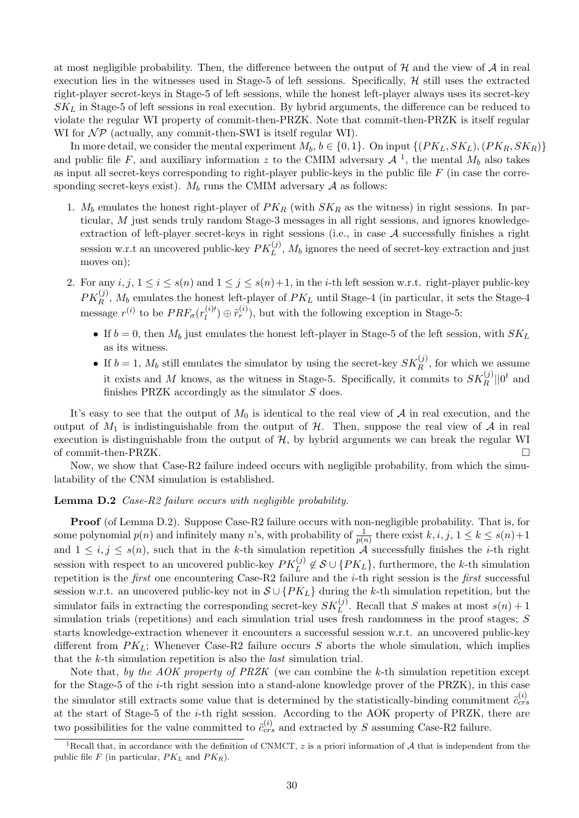at most negligible probability. Then, the difference between the output of *H* and the view of *A* in real execution lies in the witnesses used in Stage-5 of left sessions. Specifically, *H* still uses the extracted right-player secret-keys in Stage-5 of left sessions, while the honest left-player always uses its secret-key  $SK_L$  in Stage-5 of left sessions in real execution. By hybrid arguments, the difference can be reduced to violate the regular WI property of commit-then-PRZK. Note that commit-then-PRZK is itself regular WI for  $\mathcal{NP}$  (actually, any commit-then-SWI is itself regular WI).

In more detail, we consider the mental experiment  $M_b$ ,  $b \in \{0, 1\}$ . On input  $\{(PK_L, SK_L), (PK_R, SK_R)\}$ and public file F, and auxiliary information z to the CMIM adversary  $A^{-1}$ , the mental  $M_b$  also takes as input all secret-keys corresponding to right-player public-keys in the public file *F* (in case the corresponding secret-keys exist).  $M_b$  runs the CMIM adversary  $A$  as follows:

- 1. *M<sup>b</sup>* emulates the honest right-player of *PK<sup>R</sup>* (with *SK<sup>R</sup>* as the witness) in right sessions. In particular, *M* just sends truly random Stage-3 messages in all right sessions, and ignores knowledgeextraction of left-player secret-keys in right sessions (i.e., in case *A* successfully finishes a right session w.r.t an uncovered public-key  $PK_L^{(j)}$ ,  $M_b$  ignores the need of secret-key extraction and just moves on);
- 2. For any  $i, j, 1 \leq i \leq s(n)$  and  $1 \leq j \leq s(n)+1$ , in the *i*-th left session w.r.t. right-player public-key  $PK_R^{(j)}$ ,  $M_b$  emulates the honest left-player of  $PK_L$  until Stage-4 (in particular, it sets the Stage-4  $\text{message } r^{(i)}$  to be  $PRF_{\sigma}(r_l^{(i) \prime})$  $\tilde{r}_l^{(i)}$   $\oplus$   $\tilde{r}_r^{(i)}$ , but with the following exception in Stage-5:
	- If  $b = 0$ , then  $M_b$  just emulates the honest left-player in Stage-5 of the left session, with  $SK_L$ as its witness.
	- If  $b = 1$ ,  $M_b$  still emulates the simulator by using the secret-key  $SK_R^{(j)}$ , for which we assume it exists and *M* knows, as the witness in Stage-5. Specifically, it commits to  $SK_R^{(j)}||0^t$  and finishes PRZK accordingly as the simulator *S* does.

It's easy to see that the output of  $M_0$  is identical to the real view of  $A$  in real execution, and the output of  $M_1$  is indistinguishable from the output of  $H$ . Then, suppose the real view of  $A$  in real execution is distinguishable from the output of  $H$ , by hybrid arguments we can break the regular WI of commit-then-PRZK.

Now, we show that Case-R2 failure indeed occurs with negligible probability, from which the simulatability of the CNM simulation is established.

### **Lemma D.2** *Case-R2 failure occurs with negligible probability.*

**Proof** (of Lemma D.2). Suppose Case-R2 failure occurs with non-negligible probability. That is, for some polynomial  $p(n)$  and infinitely many *n*'s, with probability of  $\frac{1}{p(n)}$  there exist  $k, i, j, 1 \leq k \leq s(n)+1$ and  $1 \leq i, j \leq s(n)$ , such that in the *k*-th simulation repetition  $\mathcal{A}$  successfully finishes the *i*-th right session with respect to an uncovered public-key  $PK_L^{(j)} \notin \mathcal{S} \cup \{PK_L\}$ , furthermore, the *k*-th simulation repetition is the *first* one encountering Case-R2 failure and the *i*-th right session is the *first* successful session w.r.t. an uncovered public-key not in *S ∪ {PKL}* during the *k*-th simulation repetition, but the simulator fails in extracting the corresponding secret-key  $SK_L^{(j)}$ . Recall that *S* makes at most  $s(n) + 1$ simulation trials (repetitions) and each simulation trial uses fresh randomness in the proof stages; *S* starts knowledge-extraction whenever it encounters a successful session w.r.t. an uncovered public-key different from  $PK_L$ ; Whenever Case-R2 failure occurs *S* aborts the whole simulation, which implies that the *k*-th simulation repetition is also the *last* simulation trial.

Note that, *by the AOK property of PRZK* (we can combine the *k*-th simulation repetition except for the Stage-5 of the *i*-th right session into a stand-alone knowledge prover of the PRZK), in this case the simulator still extracts some value that is determined by the statistically-binding commitment  $\tilde{c}_{crs}^{(i)}$ at the start of Stage-5 of the *i*-th right session. According to the AOK property of PRZK, there are two possibilities for the value committed to  $\tilde{c}_{crs}^{(i)}$  and extracted by *S* assuming Case-R2 failure.

<sup>&</sup>lt;sup>1</sup>Recall that, in accordance with the definition of CNMCT, *z* is a priori information of *A* that is independent from the public file  $F$  (in particular,  $PK_L$  and  $PK_R$ ).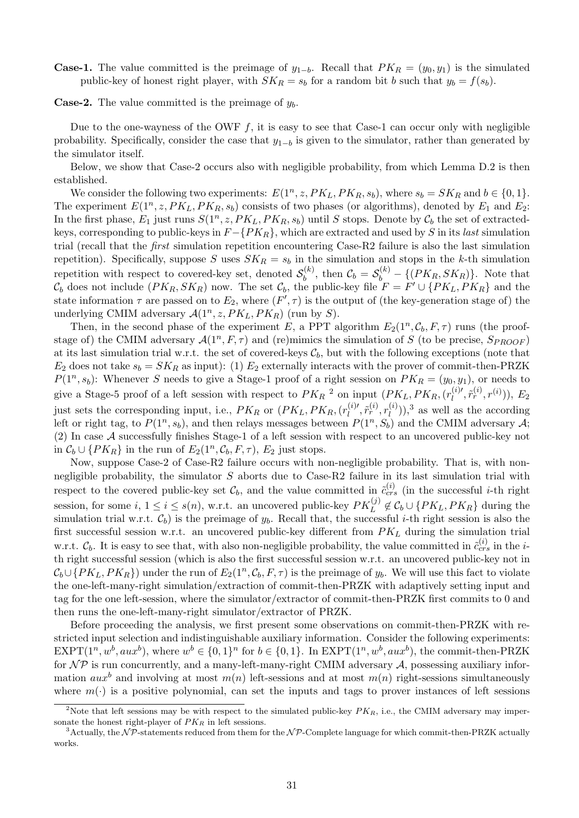**Case-1.** The value committed is the preimage of  $y_{1-b}$ . Recall that  $PK_R = (y_0, y_1)$  is the simulated public-key of honest right player, with  $SK_R = s_b$  for a random bit *b* such that  $y_b = f(s_b)$ .

**Case-2.** The value committed is the preimage of *yb*.

Due to the one-wayness of the OWF *f*, it is easy to see that Case-1 can occur only with negligible probability. Specifically, consider the case that *y*1*−<sup>b</sup>* is given to the simulator, rather than generated by the simulator itself.

Below, we show that Case-2 occurs also with negligible probability, from which Lemma D.2 is then established.

We consider the following two experiments:  $E(1^n, z, PK_L, PK_R, s_b)$ , where  $s_b = SK_R$  and  $b \in \{0, 1\}$ . The experiment  $E(1^n, z, PK_L, PK_R, s_b)$  consists of two phases (or algorithms), denoted by  $E_1$  and  $E_2$ : In the first phase,  $E_1$  just runs  $S(1^n, z, PK_L, PK_R, s_b)$  until *S* stops. Denote by  $C_b$  the set of extractedkeys, corresponding to public-keys in *F−{PKR}*, which are extracted and used by *S* in its *last* simulation trial (recall that the *first* simulation repetition encountering Case-R2 failure is also the last simulation repetition). Specifically, suppose *S* uses  $SK_R = s_b$  in the simulation and stops in the *k*-th simulation repetition with respect to covered-key set, denoted  $S_h^{(k)}$  $\mathcal{C}_b^{(k)}$ , then  $\mathcal{C}_b = \mathcal{S}_b^{(k)} - \{(PK_R, SK_R)\}$ . Note that  $\mathcal{C}_b$  does not include  $(PK_R, SK_R)$  now. The set  $\mathcal{C}_b$ , the public-key file  $F = F' \cup \{PK_L, PK_R\}$  and the state information  $\tau$  are passed on to  $E_2$ , where  $(F', \tau)$  is the output of (the key-generation stage of) the underlying CMIM adversary  $\mathcal{A}(1^n, z, PK_L, PK_R)$  (run by *S*).

Then, in the second phase of the experiment *E*, a PPT algorithm  $E_2(1^n, \mathcal{C}_b, F, \tau)$  runs (the proofstage of) the CMIM adversary  $\mathcal{A}(1^n, F, \tau)$  and (re)mimics the simulation of *S* (to be precise,  $S_{PROOF}$ ) at its last simulation trial w.r.t. the set of covered-keys  $C_b$ , but with the following exceptions (note that  $E_2$  does not take  $s_b = SK_R$  as input): (1)  $E_2$  externally interacts with the prover of commit-then-PRZK  $P(1^n, s_b)$ : Whenever *S* needs to give a Stage-1 proof of a right session on  $PK_R = (y_0, y_1)$ , or needs to give a Stage-5 proof of a left session with respect to  $PK_R$ <sup>2</sup> on input  $(PK_L, PK_R, (r_l^{(i)})$  $\tilde{r}_l^{(i)}$ <sup>*,*  $\tilde{r}_r^{(i)}$ *,*  $r^{(i)}$ )),  $E_2$ </sup> just sets the corresponding input, i.e.,  $PK_R$  or  $(PK_L, PK_R, (r_l^{(i)})$  $\tilde{r}^{(i)\prime}_l,\tilde{r}^{(i)}_r,r^{(i)}_l$  $\binom{n}{l}$ ),<sup>3</sup> as well as the according left or right tag, to  $P(1^n, s_b)$ , and then relays messages between  $P(1^n, S_b)$  and the CMIM adversary A; (2) In case *A* successfully finishes Stage-1 of a left session with respect to an uncovered public-key not in  $\mathcal{C}_b \cup \{PK_R\}$  in the run of  $E_2(1^n, \mathcal{C}_b, F, \tau)$ ,  $E_2$  just stops.

Now, suppose Case-2 of Case-R2 failure occurs with non-negligible probability. That is, with nonnegligible probability, the simulator *S* aborts due to Case-R2 failure in its last simulation trial with respect to the covered public-key set  $\mathcal{C}_b$ , and the value committed in  $\tilde{c}_{crs}^{(i)}$  (in the successful *i*-th right session, for some  $i, 1 \leq i \leq s(n)$ , w.r.t. an uncovered public-key  $PK_L^{(j)} \notin C_b \cup \{PK_L, PK_R\}$  during the simulation trial w.r.t.  $\mathcal{C}_b$  is the preimage of  $y_b$ . Recall that, the successful *i*-th right session is also the first successful session w.r.t. an uncovered public-key different from *PK<sup>L</sup>* during the simulation trial w.r.t.  $\mathcal{C}_b$ . It is easy to see that, with also non-negligible probability, the value committed in  $\tilde{c}_{crs}^{(i)}$  in the *i*th right successful session (which is also the first successful session w.r.t. an uncovered public-key not in  $\mathcal{C}_b \cup \{PK_L, PK_R\}$ ) under the run of  $E_2(1^n, \mathcal{C}_b, F, \tau)$  is the preimage of  $y_b$ . We will use this fact to violate the one-left-many-right simulation/extraction of commit-then-PRZK with adaptively setting input and tag for the one left-session, where the simulator/extractor of commit-then-PRZK first commits to 0 and then runs the one-left-many-right simulator/extractor of PRZK.

Before proceeding the analysis, we first present some observations on commit-then-PRZK with restricted input selection and indistinguishable auxiliary information. Consider the following experiments:  $\text{EXPT}(1^n, w^b, aux^b),$  where  $w^b \in \{0, 1\}^n$  for  $b \in \{0, 1\}.$  In  $\text{EXPT}(1^n, w^b, aux^b),$  the commit-then-PRZK for *N P* is run concurrently, and a many-left-many-right CMIM adversary *A*, possessing auxiliary information *aux*<sup>*b*</sup> and involving at most  $m(n)$  left-sessions and at most  $m(n)$  right-sessions simultaneously where  $m(\cdot)$  is a positive polynomial, can set the inputs and tags to prover instances of left sessions

<sup>&</sup>lt;sup>2</sup>Note that left sessions may be with respect to the simulated public-key  $PK_R$ , i.e., the CMIM adversary may impersonate the honest right-player of *PK<sup>R</sup>* in left sessions.

 $3$ Actually, the  $N\mathcal{P}$ -statements reduced from them for the  $N\mathcal{P}$ -Complete language for which commit-then-PRZK actually works.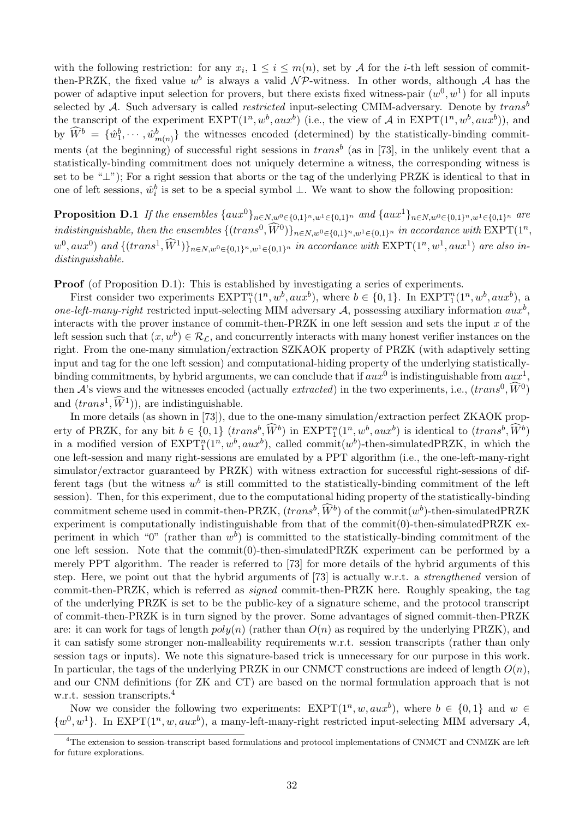with the following restriction: for any  $x_i$ ,  $1 \leq i \leq m(n)$ , set by *A* for the *i*-th left session of committhen-PRZK, the fixed value  $w^b$  is always a valid  $N \mathcal{P}$ -witness. In other words, although *A* has the power of adaptive input selection for provers, but there exists fixed witness-pair  $(w^0, w^1)$  for all inputs selected by *A*. Such adversary is called *restricted* input-selecting CMIM-adversary. Denote by *trans<sup>b</sup>* the transcript of the experiment  $\text{EXPT}(1^n, w^b, aux^b)$  (i.e., the view of *A* in  $\text{EXPT}(1^n, w^b, aux^b)$ ), and by  $\widehat{W}^b = \{\hat{w}_1^b, \cdots, \hat{w}_{m(n)}^b\}$  the witnesses encoded (determined) by the statistically-binding commitments (at the beginning) of successful right sessions in *trans<sup>b</sup>* (as in [73], in the unlikely event that a statistically-binding commitment does not uniquely determine a witness, the corresponding witness is set to be "*⊥*"); For a right session that aborts or the tag of the underlying PRZK is identical to that in one of left sessions,  $\hat{w}_i^b$  is set to be a special symbol  $\perp$ . We want to show the following proposition:

**Proposition D.1** If the ensembles  $\{aux^0\}_{n\in N,w^0\in\{0,1\}^n,w^1\in\{0,1\}^n}$  and  $\{aux^1\}_{n\in N,w^0\in\{0,1\}^n,w^1\in\{0,1\}^n}$  are indistinguishable, then the ensembles  $\{(trans^0, \widehat{W}^0)\}_{n\in N, w^0\in\{0,1\}^n, w^1\in\{0,1\}^n}$  in accordance with  $\text{EXPT}(1^n,$  $w^0, aux^0)$  and  $\{(trans^1, \widehat{W}^1)\}_{n \in N, w^0 \in \{0,1\}^n, w^1 \in \{0,1\}^n}$  in accordance with  $\text{EXPT}(1^n, w^1, aux^1)$  are also in*distinguishable.*

**Proof** (of Proposition D.1): This is established by investigating a series of experiments.

First consider two experiments  $\text{EXPT}_1^n(1^n, w^b, aux^b)$ , where  $b \in \{0, 1\}$ . In  $\text{EXPT}_1^n(1^n, w^b, aux^b)$ , a *one-left-many-right* restricted input-selecting MIM adversary *A*, possessing auxiliary information *aux<sup>b</sup>* , interacts with the prover instance of commit-then-PRZK in one left session and sets the input *x* of the left session such that  $(x, w^b) \in \mathcal{R}_\mathcal{L}$ , and concurrently interacts with many honest verifier instances on the right. From the one-many simulation/extraction SZKAOK property of PRZK (with adaptively setting input and tag for the one left session) and computational-hiding property of the underlying statisticallybinding commitments, by hybrid arguments, we can conclude that if  $aux^0$  is indistinguishable from  $aux^1$ , then *A*'s views and the witnesses encoded (actually *extracted*) in the two experiments, i.e.,  $(trans^0, \widehat{W}^0)$ and  $(trans<sup>1</sup>, \widehat{W}<sup>1</sup>)$ , are indistinguishable.

In more details (as shown in [73]), due to the one-many simulation/extraction perfect ZKAOK property of PRZK, for any bit  $b \in \{0,1\}$   $(trans^b, \widehat{W}^b)$  in  $\text{EXPT}_1^n(1^n, w^b, aux^b)$  is identical to  $(trans^b, \widehat{W}^b)$ in a modified version of  $\text{EXPT}_1^n(1^n, w^b, aux^b)$ , called commit $(w^b)$ -then-simulatedPRZK, in which the one left-session and many right-sessions are emulated by a PPT algorithm (i.e., the one-left-many-right simulator/extractor guaranteed by PRZK) with witness extraction for successful right-sessions of different tags (but the witness  $w^b$  is still committed to the statistically-binding commitment of the left session). Then, for this experiment, due to the computational hiding property of the statistically-binding commitment scheme used in commit-then-PRZK,  $(trans^b, \widehat{W}^b)$  of the commit $(w^b)$ -then-simulatedPRZK experiment is computationally indistinguishable from that of the commit(0)-then-simulatedPRZK experiment in which " $0$ " (rather than  $w<sup>b</sup>$ ) is committed to the statistically-binding commitment of the one left session. Note that the commit(0)-then-simulatedPRZK experiment can be performed by a merely PPT algorithm. The reader is referred to [73] for more details of the hybrid arguments of this step. Here, we point out that the hybrid arguments of [73] is actually w.r.t. a *strengthened* version of commit-then-PRZK, which is referred as *signed* commit-then-PRZK here. Roughly speaking, the tag of the underlying PRZK is set to be the public-key of a signature scheme, and the protocol transcript of commit-then-PRZK is in turn signed by the prover. Some advantages of signed commit-then-PRZK are: it can work for tags of length  $poly(n)$  (rather than  $O(n)$  as required by the underlying PRZK), and it can satisfy some stronger non-malleability requirements w.r.t. session transcripts (rather than only session tags or inputs). We note this signature-based trick is unnecessary for our purpose in this work. In particular, the tags of the underlying PRZK in our CNMCT constructions are indeed of length  $O(n)$ , and our CNM definitions (for ZK and CT) are based on the normal formulation approach that is not w.r.t. session transcripts.<sup>4</sup>

Now we consider the following two experiments:  $EXPT(1^n, w, aux^b)$ , where  $b \in \{0, 1\}$  and  $w \in$  $\{w^0, w^1\}$ . In EXPT(1<sup>n</sup>, w, aux<sup>b</sup>), a many-left-many-right restricted input-selecting MIM adversary *A*,

<sup>4</sup>The extension to session-transcript based formulations and protocol implementations of CNMCT and CNMZK are left for future explorations.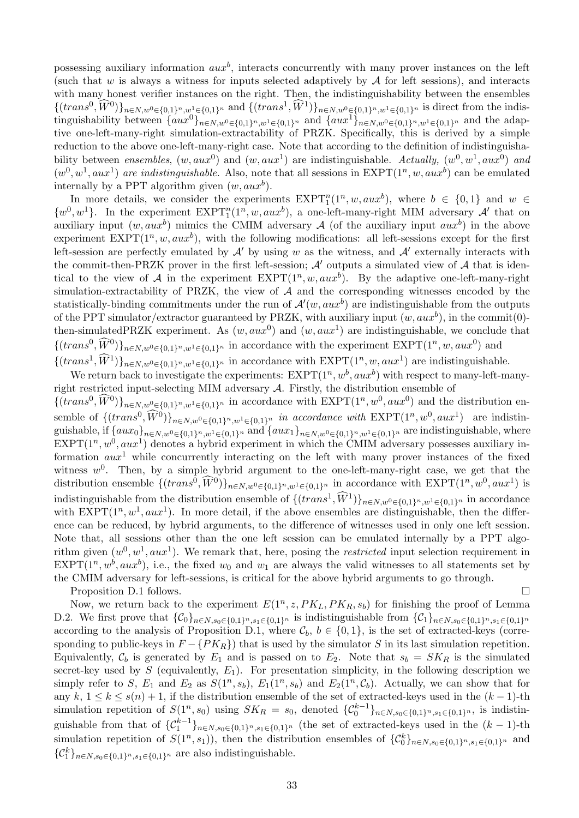possessing auxiliary information *aux<sup>b</sup>* , interacts concurrently with many prover instances on the left (such that *w* is always a witness for inputs selected adaptively by *A* for left sessions), and interacts with many honest verifier instances on the right. Then, the indistinguishability between the ensembles  $\{(trans^0, \widehat{W}^0)\}_{n\in N, w^0\in\{0,1\}^n, w^1_0\in\{0,1\}^n}$  and  $\{(trans^1, \widehat{W}^1)\}_{n\in N, w^0\in\{0,1\}^n, w^1\in\{0,1\}^n}$  is direct from the indistinguishability between  $\{aux^0\}_{n\in N,w^0\in\{0,1\}^n,w^1\in\{0,1\}^n}$  and  $\{aux^1\}_{n\in N,w^0\in\{0,1\}^n,w^1\in\{0,1\}^n}$  and the adaptive one-left-many-right simulation-extractability of PRZK. Specifically, this is derived by a simple reduction to the above one-left-many-right case. Note that according to the definition of indistinguishability between *ensembles*,  $(w, aux^0)$  and  $(w, aux^1)$  are indistinguishable. Actually,  $(w^0, w^1, aux^0)$  and  $(w^0, w^1, aux^1)$  *are indistinguishable.* Also, note that all sessions in EXPT(1<sup>n</sup>, w, aux<sup>b</sup>) can be emulated internally by a PPT algorithm given (*w, aux<sup>b</sup>* ).

In more details, we consider the experiments  $\text{EXPT}_{1}^{n}(1^{n}, w, aux^{b}),$  where  $b \in \{0, 1\}$  and  $w \in$  $\{w^0, w^1\}$ . In the experiment  $\mathrm{EXPT}_1^n(1^n, w, aux^b)$ , a one-left-many-right MIM adversary *A'* that on auxiliary input  $(w, aux^b)$  mimics the CMIM adversary  $A$  (of the auxiliary input  $aux^b$ ) in the above experiment  $\text{EXPT}(1^n, w, aux^b)$ , with the following modifications: all left-sessions except for the first left-session are perfectly emulated by  $A'$  by using *w* as the witness, and  $A'$  externally interacts with the commit-then-PRZK prover in the first left-session;  $A'$  outputs a simulated view of  $A$  that is identical to the view of *A* in the experiment  $\text{EXPT}(1^n, w, aux^b)$ . By the adaptive one-left-many-right simulation-extractability of PRZK, the view of *A* and the corresponding witnesses encoded by the statistically-binding commitments under the run of  $\mathcal{A}'(w, aux^b)$  are indistinguishable from the outputs of the PPT simulator/extractor guaranteed by PRZK, with auxiliary input  $(w, aux^b)$ , in the commit $(0)$ then-simulatedPRZK experiment. As  $(w, aux^0)$  and  $(w, aux^1)$  are indistinguishable, we conclude that  $\{(trans^0, \widehat{W}^0)\}_{n\in N, w^0\in\{0,1\}^n, w^1\in\{0,1\}^n}$  in accordance with the experiment  $\text{EXPT}(1^n, w, aux^0)$  and  $\{(trans^1,\widehat{W}^1)\}_{n\in N,w^0\in\{0,1\}^n,w^1\in\{0,1\}^n}$  in accordance with  $\text{EXPT}(1^n,w,aux^1)$  are indistinguishable.

We return back to investigate the experiments:  $EXPT(1^n, w^b, aux^b)$  with respect to many-left-manyright restricted input-selecting MIM adversary *A*. Firstly, the distribution ensemble of  $\{(trans^0, \widehat{W}^0)\}_{n\in N, w^0\in\{0,1\}^n, w^1\in\{0,1\}^n}$  in accordance with  $\text{EXPT}(1^n, w^0, aux^0)$  and the distribution ensemble of  $\{(trans^0, \widetilde{W}^0)\}_{n\in N, w^0\in\{0,1\}^n, w^1\in\{0,1\}^n}$  in accordance with  $\text{EXPT}(1^n, w^0, aux^1)$  are indistinguishable, if  $\{aux_0\}_{n\in N,w^0\in\{0,1\}^n,w^1\in\{0,1\}^n}$  and  $\{aux_1\}_{n\in N,w^0\in\{0,1\}^n,w^1\in\{0,1\}^n}$  are indistinguishable, where  $\text{EXPT}(1^n, w^0, aux^1)$  denotes a hybrid experiment in which the CMIM adversary possesses auxiliary information *aux*<sup>1</sup> while concurrently interacting on the left with many prover instances of the fixed witness  $w^0$ . Then, by a simple hybrid argument to the one-left-many-right case, we get that the distribution ensemble  $\{(trans^0, \widehat{W}^0)\}_{n\in N,w^0\in\{0,1\}^n,w^1\in\{0,1\}^n}$  in accordance with  $\text{EXPT}(1^n, w^0, aux^1)$  is indistinguishable from the distribution ensemble of  $\{(trans^1,\widehat{W}^1)\}_{n\in N,w^0\in\{0,1\}^n,w^1\in\{0,1\}^n}$  in accordance with  $\text{EXPT}(1^n, w^1, aux^1)$ . In more detail, if the above ensembles are distinguishable, then the difference can be reduced, by hybrid arguments, to the difference of witnesses used in only one left session. Note that, all sessions other than the one left session can be emulated internally by a PPT algorithm given  $(w^0, w^1, aux^1)$ . We remark that, here, posing the *restricted* input selection requirement in EXPT( $1^n, w^b, aux^b$ ), i.e., the fixed  $w_0$  and  $w_1$  are always the valid witnesses to all statements set by the CMIM adversary for left-sessions, is critical for the above hybrid arguments to go through.

Proposition D.1 follows.

Now, we return back to the experiment  $E(1^n, z, PK_L, PK_R, s_b)$  for finishing the proof of Lemma D.2. We first prove that  $\{\mathcal{C}_0\}_{n \in N, s_0 \in \{0,1\}^n, s_1 \in \{0,1\}^n}$  is indistinguishable from  $\{\mathcal{C}_1\}_{n \in N, s_0 \in \{0,1\}^n, s_1 \in \{0,1\}^n}$ according to the analysis of Proposition D.1, where  $C_b$ ,  $b \in \{0,1\}$ , is the set of extracted-keys (corresponding to public-keys in  $F - \{PK_R\}$ ) that is used by the simulator *S* in its last simulation repetition. Equivalently,  $\mathcal{C}_b$  is generated by  $E_1$  and is passed on to  $E_2$ . Note that  $s_b = SK_R$  is the simulated secret-key used by *S* (equivalently, *E*1). For presentation simplicity, in the following description we simply refer to *S*,  $E_1$  and  $E_2$  as  $S(1^n, s_b)$ ,  $E_1(1^n, s_b)$  and  $E_2(1^n, \mathcal{C}_b)$ . Actually, we can show that for any  $k, 1 \leq k \leq s(n) + 1$ , if the distribution ensemble of the set of extracted-keys used in the  $(k-1)$ -th simulation repetition of  $S(1^n, s_0)$  using  $SK_R = s_0$ , denoted  $\{\mathcal{C}_0^{k-1}\}_{n \in N, s_0 \in \{0,1\}^n, s_1 \in \{0,1\}^n}$ , is indistinguishable from that of  $\{\mathcal{C}_{1}^{k-1}\}_{n\in N,s_0\in\{0,1\}^n,s_1\in\{0,1\}^n}$  (the set of extracted-keys used in the  $(k-1)$ -th simulation repetition of  $S(1^n, s_1)$ , then the distribution ensembles of  $\{\mathcal{C}_0^k\}_{n \in N, s_0 \in \{0,1\}^n, s_1 \in \{0,1\}^n}$  and  ${C_1^k}_{n \in N, s_0 \in \{0,1\}^n, s_1 \in \{0,1\}^n}$  are also indistinguishable.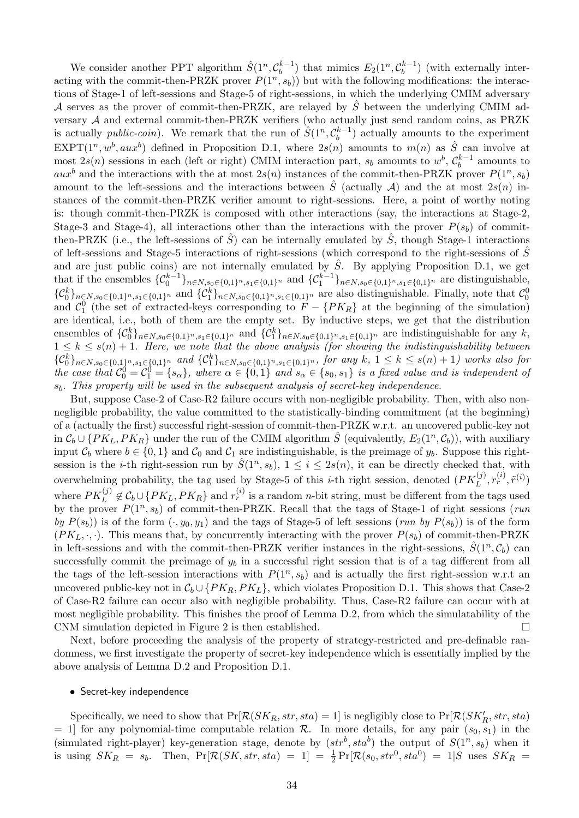We consider another PPT algorithm  $\hat{S}(1^n, \mathcal{C}_b^{k-1})$  that mimics  $E_2(1^n, \mathcal{C}_b^{k-1})$  (with externally interacting with the commit-then-PRZK prover  $P(1^n, s_b)$  but with the following modifications: the interactions of Stage-1 of left-sessions and Stage-5 of right-sessions, in which the underlying CMIM adversary *A* serves as the prover of commit-then-PRZK, are relayed by *S*ˆ between the underlying CMIM adversary *A* and external commit-then-PRZK verifiers (who actually just send random coins, as PRZK is actually *public-coin*). We remark that the run of  $\hat{S}(1^n, C_b^{k-1})$  actually amounts to the experiment EXPT $(1^n, w^b, aux^b)$  defined in Proposition D.1, where  $2s(n)$  amounts to  $m(n)$  as  $\hat{S}$  can involve at most  $2s(n)$  sessions in each (left or right) CMIM interaction part,  $s_b$  amounts to  $w^b$ ,  $C_b^{k-1}$  amounts to *aux*<sup>*b*</sup> and the interactions with the at most  $2s(n)$  instances of the commit-then-PRZK prover  $P(1^n, s_b)$ amount to the left-sessions and the interactions between  $\hat{S}$  (actually  $\mathcal{A}$ ) and the at most  $2s(n)$  instances of the commit-then-PRZK verifier amount to right-sessions. Here, a point of worthy noting is: though commit-then-PRZK is composed with other interactions (say, the interactions at Stage-2, Stage-3 and Stage-4), all interactions other than the interactions with the prover  $P(s_b)$  of committhen-PRZK (i.e., the left-sessions of  $\hat{S}$ ) can be internally emulated by  $\hat{S}$ , though Stage-1 interactions of left-sessions and Stage-5 interactions of right-sessions (which correspond to the right-sessions of  $\hat{S}$ and are just public coins) are not internally emulated by  $\hat{S}$ . By applying Proposition D.1, we get that if the ensembles  $\{\mathcal{C}_{0}^{k-1}\}_{n \in N, s_0 \in \{0,1\}^n, s_1 \in \{0,1\}^n}$  and  $\{\mathcal{C}_{1}^{k-1}\}_{n \in N, s_0 \in \{0,1\}^n, s_1 \in \{0,1\}^n}$  are distinguishable,  $\{\mathcal{C}_0^k\}_{n\in N, s_0\in \{0,1\}^n, s_1\in \{0,1\}^n}$  and  $\{\mathcal{C}_1^k\}_{n\in N, s_0\in \{0,1\}^n, s_1\in \{0,1\}^n}$  are also distinguishable. Finally, note that  $\mathcal{C}_0^0$ and  $\mathcal{C}_1^0$  (the set of extracted-keys corresponding to  $\mathcal{F} - \{PK_R\}$  at the beginning of the simulation) are identical, i.e., both of them are the empty set. By inductive steps, we get that the distribution ensembles of  $\{\mathcal{C}_{0}^{k}\}_{n\in N,s_{0}\in\{0,1\}^{n},s_{1}\in\{0,1\}^{n}}$  and  $\{\mathcal{C}_{1}^{k}\}_{n\in N,s_{0}\in\{0,1\}^{n},s_{1}\in\{0,1\}^{n}}$  are indistinguishable for any k,  $1 \leq k \leq s(n) + 1$ . Here, we note that the above analysis (for showing the indistinguishability between  $\{\mathcal{C}_0^k\}_{n\in N, s_0\in\{0,1\}^n, s_1\in\{0,1\}^n}$  and  $\{\mathcal{C}_1^k\}_{n\in N, s_0\in\{0,1\}^n, s_1\in\{0,1\}^n}$ , for any  $k, 1 \leq k \leq s(n)+1$ ) works also for the case that  $\mathcal{C}_0^0 = \mathcal{C}_1^0 = \{s_\alpha\}$ , where  $\alpha \in \{0,1\}$  and  $s_\alpha \in \{s_0,s_1\}$  is a fixed value and is independent of *sb. This property will be used in the subsequent analysis of secret-key independence.*

But, suppose Case-2 of Case-R2 failure occurs with non-negligible probability. Then, with also nonnegligible probability, the value committed to the statistically-binding commitment (at the beginning) of a (actually the first) successful right-session of commit-then-PRZK w.r.t. an uncovered public-key not in  $\mathcal{C}_b \cup \{PK_L, PK_R\}$  under the run of the CMIM algorithm  $\hat{S}$  (equivalently,  $E_2(1^n, \mathcal{C}_b)$ ), with auxiliary input  $C_b$  where  $b \in \{0, 1\}$  and  $C_0$  and  $C_1$  are indistinguishable, is the preimage of  $y_b$ . Suppose this rightsession is the *i*-th right-session run by  $\hat{S}(1^n, s_b)$ ,  $1 \leq i \leq 2s(n)$ , it can be directly checked that, with overwhelming probability, the tag used by Stage-5 of this *i*-th right session, denoted  $(PK_L^{(j)}, r_r^{(i)}, \tilde{r}^{(i)})$ where  $PK_L^{(j)} \notin C_b \cup \{PK_L, PK_R\}$  and  $r_r^{(i)}$  is a random *n*-bit string, must be different from the tags used by the prover *P*(1*<sup>n</sup> , sb*) of commit-then-PRZK. Recall that the tags of Stage-1 of right sessions (*run by*  $P(s_b)$  is of the form  $(\cdot, y_0, y_1)$  and the tags of Stage-5 of left sessions (*run by*  $P(s_b)$ ) is of the form  $(PK_L, \cdot, \cdot)$ . This means that, by concurrently interacting with the prover  $P(s_b)$  of commit-then-PRZK in left-sessions and with the commit-then-PRZK verifier instances in the right-sessions,  $\hat{S}(1^n, \mathcal{C}_b)$  can successfully commit the preimage of  $y<sub>b</sub>$  in a successful right session that is of a tag different from all the tags of the left-session interactions with  $P(1^n, s_b)$  and is actually the first right-session w.r.t an uncovered public-key not in  $C_b \cup \{PK_R, PK_L\}$ , which violates Proposition D.1. This shows that Case-2 of Case-R2 failure can occur also with negligible probability. Thus, Case-R2 failure can occur with at most negligible probability. This finishes the proof of Lemma D.2, from which the simulatability of the CNM simulation depicted in Figure 2 is then established.  $\square$ 

Next, before proceeding the analysis of the property of strategy-restricted and pre-definable randomness, we first investigate the property of secret-key independence which is essentially implied by the above analysis of Lemma D.2 and Proposition D.1.

#### *•* Secret-key independence

Specifically, we need to show that  $Pr[R(SK_R, str, sta) = 1]$  is negligibly close to  $Pr[R(SK'_R, str, sta)$  $= 1$  for any polynomial-time computable relation *R*. In more details, for any pair  $(s_0, s_1)$  in the (simulated right-player) key-generation stage, denote by  $(str^b, sta^b)$  the output of  $S(1^n, s_b)$  when it is using  $SK_R = s_b$ . Then,  $Pr[\mathcal{R}(SK, str, sta) = 1] = \frac{1}{2} Pr[\mathcal{R}(s_0, str^0, sta^0) = 1 | S$  uses  $SK_R =$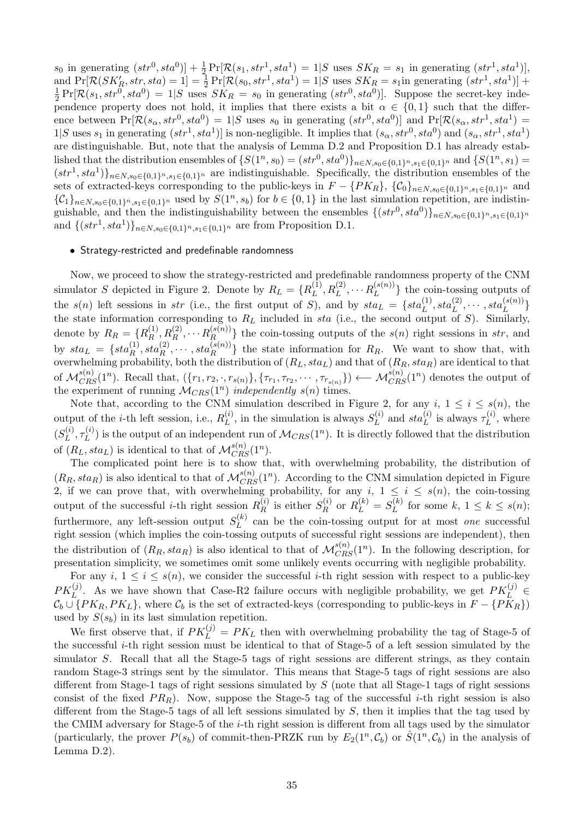$s_0$  in generating  $(str^0, sta^0] + \frac{1}{2} \Pr[\mathcal{R}(s_1, str^1, sta^1) = 1 | S \text{ uses } SK_R = s_1 \text{ in generating } (str^1, sta^1)],$ and  $\Pr[\mathcal{R}(SK_R', str, sta) = 1] = \frac{1}{2} \Pr[\mathcal{R}(s_0, str^1, sta^1) = 1 | S \text{ uses } SK_R = s_1 \text{ in generating } (str^1, sta^1)] +$ 1  $\frac{1}{2} \Pr[\mathcal{R}(s_1, str^0, sta^0) = 1 | S \text{ uses } SK_R = s_0 \text{ in generating } (str^0, sta^0)].$  Suppose the secret-key independence property does not hold, it implies that there exists a bit  $\alpha \in \{0,1\}$  such that the difference between  $\Pr[\mathcal{R}(s_\alpha, str^0, sta^0) = 1 | S \text{ uses } s_0 \text{ in generating } (str^0, sta^0)]$  and  $\Pr[\mathcal{R}(s_\alpha, str^1, sta^1) =$  $1|S$  uses  $s_1$  in generating  $(str^1, sta^1)$  is non-negligible. It implies that  $(s_\alpha, str^0, sta^0)$  and  $(s_\alpha, str^1, sta^1)$ are distinguishable. But, note that the analysis of Lemma D.2 and Proposition D.1 has already established that the distribution ensembles of  $\{S(1^n, s_0) = (str^0, sta^0)\}_{n \in N, s_0 \in \{0,1\}^n, s_1 \in \{0,1\}^n}$  and  $\{S(1^n, s_1) =$  $(str<sup>1</sup>, sta<sup>1</sup>)$ <sup>*n*</sup><sub> $n \in N$ ,s<sub>0</sub> $\in$ {0,1}<sup>*n*</sup>,s<sub>1</sub> $\in$ {0,1}<sup>*n*</sup></sub> are indistinguishable. Specifically, the distribution ensembles of the sets of extracted-keys corresponding to the public-keys in  $F - \{PK_R\}, \{C_0\}_{n \in N, s_0 \in \{0,1\}^n, s_1 \in \{0,1\}^n}$  and  $\{\mathcal{C}_1\}_{n\in N,s_0\in\{0,1\}^n,s_1\in\{0,1\}^n}$  used by  $S(1^n,s_b)$  for  $b\in\{0,1\}$  in the last simulation repetition, are indistinguishable, and then the indistinguishability between the ensembles  $\{(str^0, sta^0)\}_{n \in N, s_0 \in \{0,1\}^n, s_1 \in \{0,1\}^n\}$ and  $\{(str^1, st^1)\}_{n \in N, s_0 \in \{0,1\}^n, s_1 \in \{0,1\}^n}$  are from Proposition D.1.

### *•* Strategy-restricted and predefinable randomness

Now, we proceed to show the strategy-restricted and predefinable randomness property of the CNM simulator *S* depicted in Figure 2. Denote by  $R_L = \{R_L^{(1)}\}$  $R_L^{(1)}, R_L^{(2)}, \cdots R_L^{(s(n))}$  $L^{(s(n))}$  the coin-tossing outputs of the  $s(n)$  left sessions in str (i.e., the first output of S), and by  $sta_L = \{sta_L^{(1)}, sta_L^{(2)}, \cdots, sta_L^{(s(n))}\}\$ the state information corresponding to *R<sup>L</sup>* included in *sta* (i.e., the second output of *S*). Similarly, denote by  $R_R = \{R_R^{(1)}\}$  $R_R^{(1)}, R_R^{(2)}, \cdots R_R^{(s(n))}$  $\{R^{(s(n))}\}\$  the coin-tossing outputs of the *s*(*n*) right sessions in *str*, and by  $sta_L = \{sta_R^{(1)}, sta_R^{(2)}, \cdots, sta_R^{(s(n))}\}\$ the state information for  $R_R$ . We want to show that, with overwhelming probability, both the distribution of  $(R_L, sta_L)$  and that of  $(R_R, sta_R)$  are identical to that of  $\mathcal{M}_{CRS}^{s(n)}(1^n)$ . Recall that,  $(\{r_1, r_2, \cdot, r_{s(n)}\}, \{\tau_{r_1}, \tau_{r_2}, \cdots, \tau_{r_{s(n)}}\}) \leftarrow \mathcal{M}_{CRS}^{s(n)}(1^n)$  denotes the output of the experiment of running  $\mathcal{M}_{CRS}(1^n)$  *independently*  $s(n)$  times.

Note that, according to the CNM simulation described in Figure 2, for any  $i, 1 \leq i \leq s(n)$ , the output of the *i*-th left session, i.e.,  $R_L^{(i)}$  $L_L^{(i)}$ , in the simulation is always  $S_L^{(i)}$  $L_L^{(i)}$  and  $sta_L^{(i)}$  is always  $\tau_L^{(i)}$  $L^{(i)}$ , where  $(S^{(i)}_L)$  $\tau_L^{(i)},\tau_L^{(i)}$  $L^{(i)}$  is the output of an independent run of  $\mathcal{M}_{CRS}(1^n)$ . It is directly followed that the distribution of  $(R_L, sta_L)$  is identical to that of  $\mathcal{M}_{CRS}^{s(n)}(1^n)$ .

The complicated point here is to show that, with overwhelming probability, the distribution of  $(R_R, sta_R)$  is also identical to that of  $\mathcal{M}_{CRS}^{s(n)}(1^n)$ . According to the CNM simulation depicted in Figure 2, if we can prove that, with overwhelming probability, for any  $i, 1 \leq i \leq s(n)$ , the coin-tossing output of the successful *i*-th right session  $R_R^{(i)}$  $S_R^{(i)}$  is either  $S_R^{(i)}$  $R_R^{(i)}$  or  $R_L^{(k)} = S_L^{(k)}$  $L^{(k)}$  for some  $k, 1 \leq k \leq s(n);$ furthermore, any left-session output  $S_L^{(k)}$  $L^{(k)}$  can be the coin-tossing output for at most *one* successful right session (which implies the coin-tossing outputs of successful right sessions are independent), then the distribution of  $(R_R, sta_R)$  is also identical to that of  $\mathcal{M}_{CRS}^{s(n)}(1^n)$ . In the following description, for presentation simplicity, we sometimes omit some unlikely events occurring with negligible probability.

For any  $i, 1 \leq i \leq s(n)$ , we consider the successful *i*-th right session with respect to a public-key  $PK_L^{(j)}$ . As we have shown that Case-R2 failure occurs with negligible probability, we get  $PK_L^{(j)}$   $\in$  $\mathcal{C}_b \cup \{PK_R, PK_L\}$ , where  $\mathcal{C}_b$  is the set of extracted-keys (corresponding to public-keys in  $F - \{PK_R\}$ ) used by  $S(s_b)$  in its last simulation repetition.

We first observe that, if  $PK_L^{(j)} = PK_L$  then with overwhelming probability the tag of Stage-5 of the successful *i*-th right session must be identical to that of Stage-5 of a left session simulated by the simulator *S*. Recall that all the Stage-5 tags of right sessions are different strings, as they contain random Stage-3 strings sent by the simulator. This means that Stage-5 tags of right sessions are also different from Stage-1 tags of right sessions simulated by *S* (note that all Stage-1 tags of right sessions consist of the fixed  $PR_R$ ). Now, suppose the Stage-5 tag of the successful *i*-th right session is also different from the Stage-5 tags of all left sessions simulated by *S*, then it implies that the tag used by the CMIM adversary for Stage-5 of the *i*-th right session is different from all tags used by the simulator (particularly, the prover  $P(s_b)$  of commit-then-PRZK run by  $E_2(1^n, \mathcal{C}_b)$  or  $\hat{S}(1^n, \mathcal{C}_b)$  in the analysis of Lemma D.2).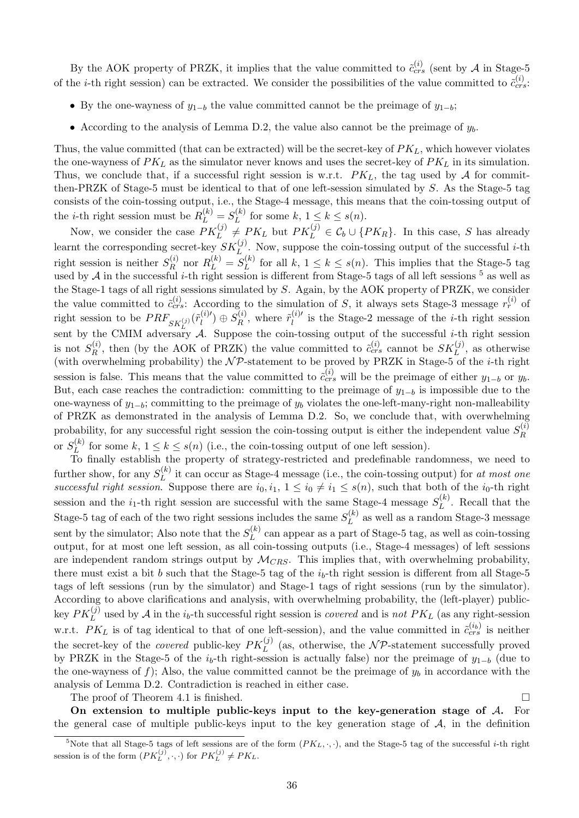By the AOK property of PRZK, it implies that the value committed to  $\tilde{c}_{crs}^{(i)}$  (sent by *A* in Stage-5 of the *i*-th right session) can be extracted. We consider the possibilities of the value committed to  $\tilde{c}_{crs}^{(i)}$ :

- By the one-wayness of  $y_{1-h}$  the value committed cannot be the preimage of  $y_{1-h}$ ;
- According to the analysis of Lemma D.2, the value also cannot be the preimage of  $y_b$ .

Thus, the value committed (that can be extracted) will be the secret-key of *PKL*, which however violates the one-wayness of *PK<sup>L</sup>* as the simulator never knows and uses the secret-key of *PK<sup>L</sup>* in its simulation. Thus, we conclude that, if a successful right session is w.r.t.  $PK_L$ , the tag used by *A* for committhen-PRZK of Stage-5 must be identical to that of one left-session simulated by *S*. As the Stage-5 tag consists of the coin-tossing output, i.e., the Stage-4 message, this means that the coin-tossing output of the *i*-th right session must be  $R_L^{(k)} = S_L^{(k)}$  $L^{(k)}$  for some  $k, 1 \leq k \leq s(n)$ .

Now, we consider the case  $PK_L^{(j)} \neq PK_L$  but  $PK_L^{(j)} \in C_b \cup \{PK_R\}$ . In this case, *S* has already learnt the corresponding secret-key  $SK_L^{(j)}$ . Now, suppose the coin-tossing output of the successful *i*-th right session is neither  $S_R^{(i)}$  $R_R^{(i)}$  nor  $R_L^{(k)} = S_L^{(k)}$  $L^{(k)}$  for all  $k, 1 \leq k \leq s(n)$ . This implies that the Stage-5 tag used by  $A$  in the successful *i*-th right session is different from Stage-5 tags of all left sessions  $^5$  as well as the Stage-1 tags of all right sessions simulated by *S*. Again, by the AOK property of PRZK, we consider the value committed to  $\tilde{c}_{crs}^{(i)}$ : According to the simulation of *S*, it always sets Stage-3 message  $r_r^{(i)}$  of right session to be  $PRF_{SK^{(j)}_L}(\tilde{r}_l^{(i) \prime})$ sent by the CMIM adversary *A*. Suppose the coin-tossing output of the successful *i*-th right session  $g^{(i)\prime}_l) \oplus S^{(i)}_R$  $\tilde{r}_l^{(i)}$ , where  $\tilde{r}_l^{(i)}$  $\frac{1}{l}$  is the Stage-2 message of the *i*-th right session is not  $S_R^{(i)}$  $R_R^{(i)}$ , then (by the AOK of PRZK) the value committed to  $\tilde{c}_{crs}^{(i)}$  cannot be  $SK_L^{(j)}$ , as otherwise (with overwhelming probability) the  $\mathcal{NP}$ -statement to be proved by PRZK in Stage-5 of the *i*-th right session is false. This means that the value committed to  $\tilde{c}_{crs}^{(i)}$  will be the preimage of either  $y_{1-b}$  or  $y_b$ . But, each case reaches the contradiction: committing to the preimage of  $y_{1−b}$  is impossible due to the one-wayness of  $y_{1-b}$ ; committing to the preimage of  $y_b$  violates the one-left-many-right non-malleability of PRZK as demonstrated in the analysis of Lemma D.2. So, we conclude that, with overwhelming probability, for any successful right session the coin-tossing output is either the independent value  $S_R^{(i)}$ *R* or  $S_L^{(k)}$  $L^{(k)}$  for some  $k, 1 \leq k \leq s(n)$  (i.e., the coin-tossing output of one left session).

To finally establish the property of strategy-restricted and predefinable randomness, we need to further show, for any  $S_L^{(k)}$  $L_L^{(k)}$  it can occur as Stage-4 message (i.e., the coin-tossing output) for *at most one successful right session.* Suppose there are  $i_0, i_1, 1 \leq i_0 \neq i_1 \leq s(n)$ , such that both of the  $i_0$ -th right session and the  $i_1$ -th right session are successful with the same Stage-4 message  $S_L^{(k)}$  $L^{(\kappa)}$ . Recall that the Stage-5 tag of each of the two right sessions includes the same  $S_L^{(k)}$  $L^{(k)}$  as well as a random Stage-3 message sent by the simulator; Also note that the  $S_L^{(k)}$  $L^{(k)}$  can appear as a part of Stage-5 tag, as well as coin-tossing output, for at most one left session, as all coin-tossing outputs (i.e., Stage-4 messages) of left sessions are independent random strings output by *MCRS*. This implies that, with overwhelming probability, there must exist a bit *b* such that the Stage-5 tag of the *ib*-th right session is different from all Stage-5 tags of left sessions (run by the simulator) and Stage-1 tags of right sessions (run by the simulator). According to above clarifications and analysis, with overwhelming probability, the (left-player) public- $\mathbb{E}[\text{E}(X|\mathcal{L})]$  are proposed by  $\mathcal{L}$  in the *i*<sub>b</sub>-th successful right session is *covered* and is *not*  $PK_L$  (as any right-session w.r.t.  $PK_L$  is of tag identical to that of one left-session), and the value committed in  $\tilde{c}_{crs}^{(i_b)}$  is neither the secret-key of the *covered* public-key  $PK_L^{(j)}$  (as, otherwise, the  $N\mathcal{P}$ -statement successfully proved by PRZK in the Stage-5 of the *ib*-th right-session is actually false) nor the preimage of *y*1*−<sup>b</sup>* (due to the one-wayness of  $f$ ); Also, the value committed cannot be the preimage of  $y<sub>b</sub>$  in accordance with the analysis of Lemma D.2. Contradiction is reached in either case.

The proof of Theorem 4.1 is finished.  $\square$ 

**On extension to multiple public-keys input to the key-generation stage of** *A***.** For the general case of multiple public-keys input to the key generation stage of *A*, in the definition

<sup>&</sup>lt;sup>5</sup>Note that all Stage-5 tags of left sessions are of the form  $(PK_L, \cdot, \cdot)$ , and the Stage-5 tag of the successful *i*-th right session is of the form  $(PK_L^{(j)}, \cdot, \cdot)$  for  $PK_L^{(j)} \neq PK_L$ .